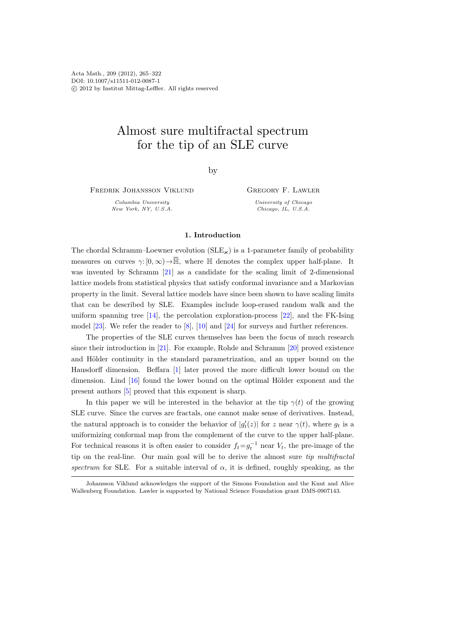Acta Math., 209 (2012), 265–322 DOI: 10.1007/s11511-012-0087-1 c 2012 by Institut Mittag-Leffler. All rights reserved

# Almost sure multifractal spectrum for the tip of an SLE curve

by

Fredrik Johansson Viklund

Columbia University New York, NY, U.S.A. Gregory F. Lawler

University of Chicago Chicago, IL, U.S.A.

# 1. Introduction

The chordal Schramm–Loewner evolution  $(SLE_{\varkappa})$  is a 1-parameter family of probability measures on curves  $\gamma: [0, \infty) \to \overline{\mathbb{H}}$ , where  $\mathbb H$  denotes the complex upper half-plane. It was invented by Schramm [\[21\]](#page-56-0) as a candidate for the scaling limit of 2-dimensional lattice models from statistical physics that satisfy conformal invariance and a Markovian property in the limit. Several lattice models have since been shown to have scaling limits that can be described by SLE. Examples include loop-erased random walk and the uniform spanning tree [\[14\]](#page-56-1), the percolation exploration-process [\[22\]](#page-56-2), and the FK-Ising model [\[23\]](#page-56-3). We refer the reader to [\[8\]](#page-56-4), [\[10\]](#page-56-5) and [\[24\]](#page-56-6) for surveys and further references.

The properties of the SLE curves themselves has been the focus of much research since their introduction in [\[21\]](#page-56-0). For example, Rohde and Schramm [\[20\]](#page-56-7) proved existence and Hölder continuity in the standard parametrization, and an upper bound on the Hausdorff dimension. Beffara [\[1\]](#page-56-8) later proved the more difficult lower bound on the dimension. Lind  $[16]$  found the lower bound on the optimal Hölder exponent and the present authors [\[5\]](#page-56-10) proved that this exponent is sharp.

In this paper we will be interested in the behavior at the tip  $\gamma(t)$  of the growing SLE curve. Since the curves are fractals, one cannot make sense of derivatives. Instead, the natural approach is to consider the behavior of  $|g_t'(z)|$  for z near  $\gamma(t)$ , where  $g_t$  is a uniformizing conformal map from the complement of the curve to the upper half-plane. For technical reasons it is often easier to consider  $f_t = g_t^{-1}$  near  $V_t$ , the pre-image of the tip on the real-line. Our main goal will be to derive the almost sure tip multifractal spectrum for SLE. For a suitable interval of  $\alpha$ , it is defined, roughly speaking, as the

Johansson Viklund acknowledges the support of the Simons Foundation and the Knut and Alice Wallenberg Foundation. Lawler is supported by National Science Foundation grant DMS-0907143.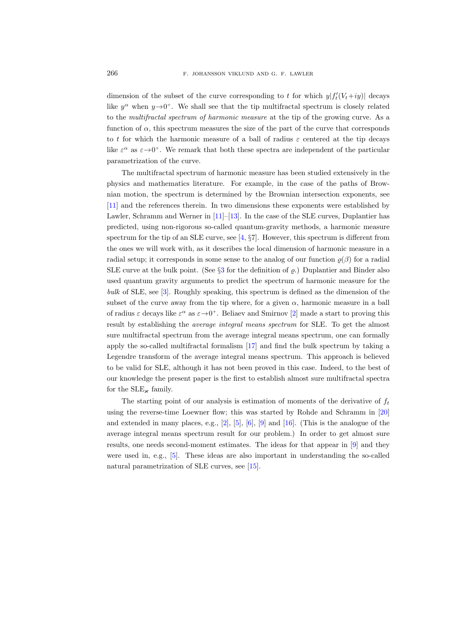dimension of the subset of the curve corresponding to t for which  $y|f'_t(V_t+iy)|$  decays like  $y^{\alpha}$  when  $y \rightarrow 0^{+}$ . We shall see that the tip multifractal spectrum is closely related to the multifractal spectrum of harmonic measure at the tip of the growing curve. As a function of  $\alpha$ , this spectrum measures the size of the part of the curve that corresponds to t for which the harmonic measure of a ball of radius  $\varepsilon$  centered at the tip decays like  $\varepsilon^{\alpha}$  as  $\varepsilon \rightarrow 0^{+}$ . We remark that both these spectra are independent of the particular parametrization of the curve.

The multifractal spectrum of harmonic measure has been studied extensively in the physics and mathematics literature. For example, in the case of the paths of Brownian motion, the spectrum is determined by the Brownian intersection exponents, see [\[11\]](#page-56-11) and the references therein. In two dimensions these exponents were established by Lawler, Schramm and Werner in [\[11\]](#page-56-11)–[\[13\]](#page-56-12). In the case of the SLE curves, Duplantier has predicted, using non-rigorous so-called quantum-gravity methods, a harmonic measure spectrum for the tip of an SLE curve, see  $[4, \S7]$ . However, this spectrum is different from the ones we will work with, as it describes the local dimension of harmonic measure in a radial setup; it corresponds in some sense to the analog of our function  $\rho(\beta)$  for a radial SLE curve at the bulk point. (See  $\S3$  $\S3$  for the definition of  $\rho$ .) Duplantier and Binder also used quantum gravity arguments to predict the spectrum of harmonic measure for the bulk of SLE, see [\[3\]](#page-56-14). Roughly speaking, this spectrum is defined as the dimension of the subset of the curve away from the tip where, for a given  $\alpha$ , harmonic measure in a ball of radius  $\varepsilon$  decays like  $\varepsilon^{\alpha}$  as  $\varepsilon \to 0^+$ . Beliaev and Smirnov [\[2\]](#page-56-15) made a start to proving this result by establishing the average integral means spectrum for SLE. To get the almost sure multifractal spectrum from the average integral means spectrum, one can formally apply the so-called multifractal formalism [\[17\]](#page-56-16) and find the bulk spectrum by taking a Legendre transform of the average integral means spectrum. This approach is believed to be valid for SLE, although it has not been proved in this case. Indeed, to the best of our knowledge the present paper is the first to establish almost sure multifractal spectra for the  $SLE_{\varkappa}$  family.

The starting point of our analysis is estimation of moments of the derivative of  $f_t$ using the reverse-time Loewner flow; this was started by Rohde and Schramm in [\[20\]](#page-56-7) and extended in many places, e.g.,  $[2]$ ,  $[5]$ ,  $[6]$ ,  $[9]$  and  $[16]$ . (This is the analogue of the average integral means spectrum result for our problem.) In order to get almost sure results, one needs second-moment estimates. The ideas for that appear in [\[9\]](#page-56-18) and they were used in, e.g., [\[5\]](#page-56-10). These ideas are also important in understanding the so-called natural parametrization of SLE curves, see [\[15\]](#page-56-19).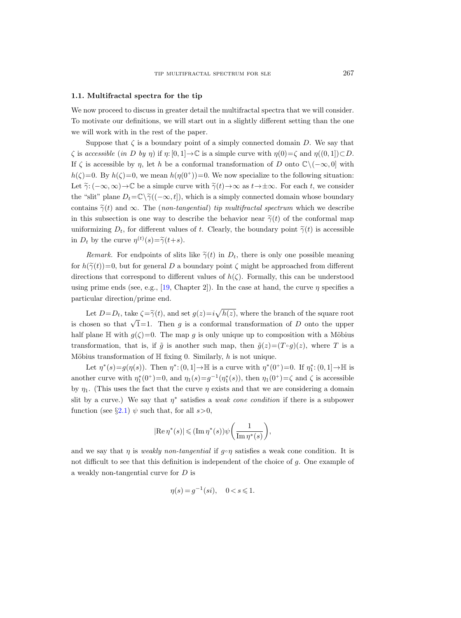#### 1.1. Multifractal spectra for the tip

We now proceed to discuss in greater detail the multifractal spectra that we will consider. To motivate our definitions, we will start out in a slightly different setting than the one we will work with in the rest of the paper.

Suppose that  $\zeta$  is a boundary point of a simply connected domain D. We say that  $\zeta$  is accessible (in D by η) if  $\eta: [0, 1] \to \mathbb{C}$  is a simple curve with  $\eta(0) = \zeta$  and  $\eta((0, 1]) \subset D$ . If  $\zeta$  is accessible by  $\eta$ , let h be a conformal transformation of D onto  $\mathbb{C}\setminus(-\infty,0]$  with  $h(\zeta)=0$ . By  $h(\zeta)=0$ , we mean  $h(\eta(0^+))=0$ . We now specialize to the following situation: Let  $\tilde{\gamma}: (-\infty,\infty) \to \mathbb{C}$  be a simple curve with  $\tilde{\gamma}(t) \to \infty$  as  $t \to \pm \infty$ . For each t, we consider the "slit" plane  $D_t = \mathbb{C}\setminus \widetilde{\gamma}((-\infty, t])$ , which is a simply connected domain whose boundary contains  $\tilde{\gamma}(t)$  and  $\infty$ . The (non-tangential) tip multifractal spectrum which we describe in this subsection is one way to describe the behavior near  $\tilde{\gamma}(t)$  of the conformal map uniformizing  $D_t$ , for different values of t. Clearly, the boundary point  $\tilde{\gamma}(t)$  is accessible in  $D_t$  by the curve  $\eta^{(t)}(s) = \tilde{\gamma}(t+s)$ .

Remark. For endpoints of slits like  $\tilde{\gamma}(t)$  in  $D_t$ , there is only one possible meaning for  $h(\tilde{\gamma}(t))=0$ , but for general D a boundary point  $\zeta$  might be approached from different directions that correspond to different values of  $h(\zeta)$ . Formally, this can be understood using prime ends (see, e.g., [\[19,](#page-56-20) Chapter 2]). In the case at hand, the curve  $\eta$  specifies a particular direction/prime end.

Let  $D=D_t$ , take  $\zeta = \tilde{\gamma}(t)$ , and set  $g(z)=i\sqrt{h(z)}$ , where the branch of the square root is chosen so that  $\sqrt{1}$ =1. Then g is a conformal transformation of D onto the upper half plane H with  $g(\zeta)=0$ . The map g is only unique up to composition with a Möbius transformation, that is, if  $\tilde{g}$  is another such map, then  $\tilde{g}(z)=(T \circ g)(z)$ , where T is a Möbius transformation of  $\mathbb H$  fixing 0. Similarly, h is not unique.

Let  $\eta^*(s) = g(\eta(s))$ . Then  $\eta^*: (0,1] \to \mathbb{H}$  is a curve with  $\eta^*(0^+) = 0$ . If  $\eta_1^*: (0,1] \to \mathbb{H}$  is another curve with  $\eta_1^*(0^+) = 0$ , and  $\eta_1(s) = g^{-1}(\eta_1^*(s))$ , then  $\eta_1(0^+) = \zeta$  and  $\zeta$  is accessible by  $\eta_1$ . (This uses the fact that the curve  $\eta$  exists and that we are considering a domain slit by a curve.) We say that  $\eta^*$  satisfies a *weak cone condition* if there is a subpower function (see §[2.1\)](#page-6-0)  $\psi$  such that, for all  $s > 0$ ,

$$
|\text{Re}\,\eta^*(s)|\leqslant (\text{Im}\,\eta^*(s))\psi\bigg(\frac{1}{\text{Im}\,\eta^*(s)}\bigg),
$$

and we say that  $\eta$  is *weakly non-tangential* if  $g \circ \eta$  satisfies a weak cone condition. It is not difficult to see that this definition is independent of the choice of  $g$ . One example of a weakly non-tangential curve for D is

$$
\eta(s) = g^{-1}(si), \quad 0 < s \leq 1.
$$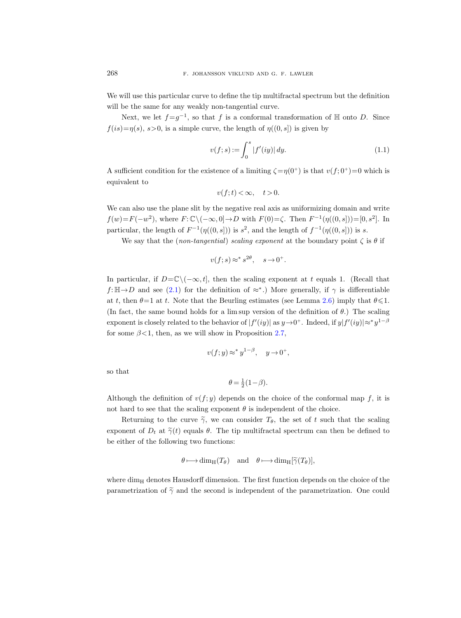We will use this particular curve to define the tip multifractal spectrum but the definition will be the same for any weakly non-tangential curve.

Next, we let  $f = g^{-1}$ , so that f is a conformal transformation of  $\mathbb H$  onto D. Since  $f(is)=\eta(s), s>0$ , is a simple curve, the length of  $\eta((0, s])$  is given by

<span id="page-3-0"></span>
$$
v(f; s) := \int_0^s |f'(iy)| dy.
$$
 (1.1)

A sufficient condition for the existence of a limiting  $\zeta = \eta(0^+)$  is that  $v(f, 0^+) = 0$  which is equivalent to

$$
v(f; t) < \infty, \quad t > 0.
$$

We can also use the plane slit by the negative real axis as uniformizing domain and write  $f(w) = F(-w^2)$ , where  $F: \mathbb{C} \setminus (-\infty, 0] \to D$  with  $F(0) = \zeta$ . Then  $F^{-1}(\eta((0, s])) = [0, s^2]$ . In particular, the length of  $F^{-1}(\eta((0, s]))$  is  $s^2$ , and the length of  $f^{-1}(\eta((0, s]))$  is s.

We say that the (non-tangential) scaling exponent at the boundary point  $\zeta$  is  $\theta$  if

$$
v(f; s) \approx^* s^{2\theta}, \quad s \to 0^+.
$$

In particular, if  $D=\mathbb{C}\setminus(-\infty,t]$ , then the scaling exponent at t equals 1. (Recall that  $f:\mathbb{H}\to D$  and see [\(2.1\)](#page-7-0) for the definition of  $\approx$ <sup>∗</sup>.) More generally, if  $\gamma$  is differentiable at t, then  $\theta = 1$  at t. Note that the Beurling estimates (see Lemma [2.6\)](#page-13-0) imply that  $\theta \leq 1$ . (In fact, the same bound holds for a lim sup version of the definition of  $\theta$ .) The scaling exponent is closely related to the behavior of  $|f'(iy)|$  as  $y \to 0^+$ . Indeed, if  $y|f'(iy)| \approx^* y^{1-\beta}$ for some  $\beta$ <1, then, as we will show in Proposition [2.7,](#page-14-0)

$$
v(f; y) \approx^* y^{1-\beta}, \quad y \to 0^+,
$$

so that

$$
\theta = \frac{1}{2}(1 - \beta).
$$

Although the definition of  $v(f; y)$  depends on the choice of the conformal map f, it is not hard to see that the scaling exponent  $\theta$  is independent of the choice.

Returning to the curve  $\tilde{\gamma}$ , we can consider  $T_{\theta}$ , the set of t such that the scaling exponent of  $D_t$  at  $\tilde{\gamma}(t)$  equals  $\theta$ . The tip multifractal spectrum can then be defined to be either of the following two functions:

$$
\theta \longrightarrow \dim_{\mathrm{H}}(T_{\theta}) \quad \text{and} \quad \theta \longmapsto \dim_{\mathrm{H}}[\widetilde{\gamma}(T_{\theta})],
$$

where  $\dim_H$  denotes Hausdorff dimension. The first function depends on the choice of the parametrization of  $\tilde{\gamma}$  and the second is independent of the parametrization. One could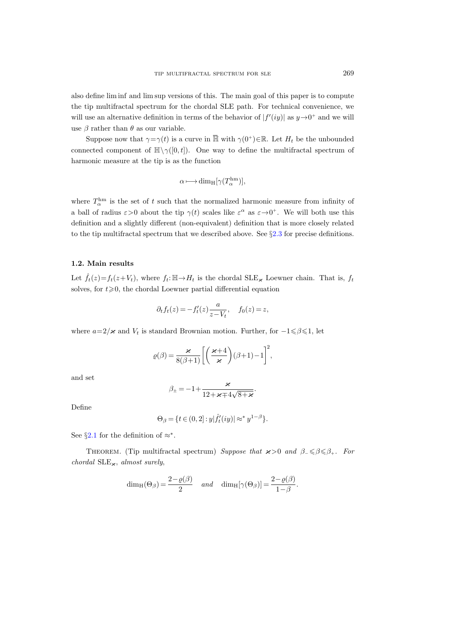also define lim inf and lim sup versions of this. The main goal of this paper is to compute the tip multifractal spectrum for the chordal SLE path. For technical convenience, we will use an alternative definition in terms of the behavior of  $|f'(iy)|$  as  $y\rightarrow 0^+$  and we will use  $\beta$  rather than  $\theta$  as our variable.

Suppose now that  $\gamma = \gamma(t)$  is a curve in  $\overline{\mathbb{H}}$  with  $\gamma(0^+) \in \mathbb{R}$ . Let  $H_t$  be the unbounded connected component of  $\mathbb{H}\setminus\gamma([0,t])$ . One way to define the multifractal spectrum of harmonic measure at the tip is as the function

$$
\alpha \longmapsto \dim_{\mathrm{H}}[\gamma(T_{\alpha}^{\mathrm{hm}})],
$$

where  $T_{\alpha}^{\text{hm}}$  is the set of t such that the normalized harmonic measure from infinity of a ball of radius  $\varepsilon > 0$  about the tip  $\gamma(t)$  scales like  $\varepsilon^{\alpha}$  as  $\varepsilon \to 0^{+}$ . We will both use this definition and a slightly different (non-equivalent) definition that is more closely related to the tip multifractal spectrum that we described above. See  $\S2.3$  $\S2.3$  for precise definitions.

### <span id="page-4-0"></span>1.2. Main results

Let  $f_t(z) = f_t(z+V_t)$ , where  $f_t: \mathbb{H} \to H_t$  is the chordal SLE<sub> $\kappa$ </sub> Loewner chain. That is,  $f_t$ solves, for  $t \geq 0$ , the chordal Loewner partial differential equation

$$
\partial_t f_t(z) = -f'_t(z) \frac{a}{z - V_t}, \quad f_0(z) = z,
$$

where  $a=2/\varkappa$  and  $V_t$  is standard Brownian motion. Further, for  $-1 \le \beta \le 1$ , let

$$
\varrho(\beta) = \frac{\varkappa}{8(\beta+1)} \left[ \left( \frac{\varkappa+4}{\varkappa} \right) (\beta+1) - 1 \right]^2,
$$

and set

$$
\beta_{\pm} = -1 + \frac{\varkappa}{12 + \varkappa \mp 4\sqrt{8 + \varkappa}}.
$$

Define

$$
\Theta_{\beta} = \{ t \in (0,2] : y | \hat{f}'_t(iy)| \approx^* y^{1-\beta} \}.
$$

See §[2.1](#page-6-0) for the definition of  $\approx^*$ .

THEOREM. (Tip multifractal spectrum) Suppose that  $\varkappa > 0$  and  $\beta_- \leq \beta \leq \beta_+$ . For chordal  $\text{SLE}_{\varkappa}$ , almost surely,

$$
\dim_{\mathrm{H}}(\Theta_{\beta}) = \frac{2 - \varrho(\beta)}{2} \quad \text{and} \quad \dim_{\mathrm{H}}[\gamma(\Theta_{\beta})] = \frac{2 - \varrho(\beta)}{1 - \beta}.
$$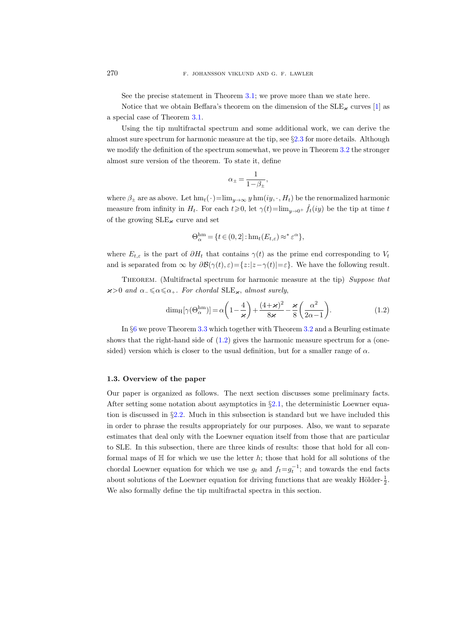See the precise statement in Theorem [3.1;](#page-21-0) we prove more than we state here.

Notice that we obtain Beffara's theorem on the dimension of the  $SLE_{\kappa}$  curves [\[1\]](#page-56-8) as a special case of Theorem [3.1.](#page-21-0)

Using the tip multifractal spectrum and some additional work, we can derive the almost sure spectrum for harmonic measure at the tip, see §[2.3](#page-17-0) for more details. Although we modify the definition of the spectrum somewhat, we prove in Theorem [3.2](#page-23-0) the stronger almost sure version of the theorem. To state it, define

$$
\alpha_{\pm} = \frac{1}{1 - \beta_{\pm}},
$$

where  $\beta_{\pm}$  are as above. Let  $\text{hm}_t(\cdot)=\lim_{y\to\infty} y \text{hm}(iy,\cdot, H_t)$  be the renormalized harmonic measure from infinity in  $H_t$ . For each  $t \ge 0$ , let  $\gamma(t)=\lim_{y\to 0^+} \hat{f}_t(iy)$  be the tip at time t of the growing  $SLE_{\kappa}$  curve and set

$$
\Theta_{\alpha}^{\text{hm}} = \{ t \in (0,2] : \text{hm}_t(E_{t,\varepsilon}) \approx^* \varepsilon^{\alpha} \},
$$

where  $E_{t,\varepsilon}$  is the part of  $\partial H_t$  that contains  $\gamma(t)$  as the prime end corresponding to  $V_t$ and is separated from  $\infty$  by  $\partial \mathcal{B}(\gamma(t), \varepsilon) = \{z : |z - \gamma(t)| = \varepsilon\}$ . We have the following result.

THEOREM. (Multifractal spectrum for harmonic measure at the tip) Suppose that  $x>0$  and  $\alpha_-\leqslant \alpha \leqslant \alpha_+$ . For chordal SLE<sub> $\alpha$ </sub>, almost surely,

$$
\dim_{\mathrm{H}}[\gamma(\Theta_{\alpha}^{\mathrm{hm}})] = \alpha \left(1 - \frac{4}{\varkappa}\right) + \frac{(4 + \varkappa)^2}{8 \varkappa} - \frac{\varkappa}{8} \left(\frac{\alpha^2}{2\alpha - 1}\right). \tag{1.2}
$$

In §[6](#page-44-0) we prove Theorem [3.3](#page-23-1) which together with Theorem [3.2](#page-23-0) and a Beurling estimate shows that the right-hand side of  $(1.2)$  gives the harmonic measure spectrum for a (onesided) version which is closer to the usual definition, but for a smaller range of  $\alpha$ .

### 1.3. Overview of the paper

Our paper is organized as follows. The next section discusses some preliminary facts. After setting some notation about asymptotics in  $\S2.1$ , the deterministic Loewner equation is discussed in §[2.2.](#page-8-0) Much in this subsection is standard but we have included this in order to phrase the results appropriately for our purposes. Also, we want to separate estimates that deal only with the Loewner equation itself from those that are particular to SLE. In this subsection, there are three kinds of results: those that hold for all conformal maps of  $H$  for which we use the letter  $h$ ; those that hold for all solutions of the chordal Loewner equation for which we use  $g_t$  and  $f_t = g_t^{-1}$ ; and towards the end facts about solutions of the Loewner equation for driving functions that are weakly Hölder- $\frac{1}{2}$ . We also formally define the tip multifractal spectra in this section.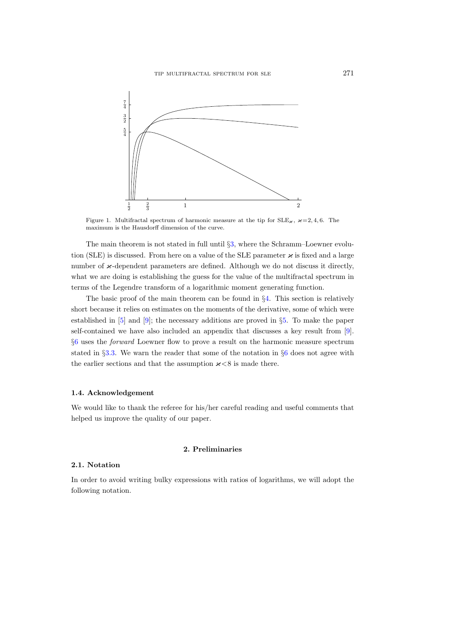

Figure 1. Multifractal spectrum of harmonic measure at the tip for  $SLE_{\varkappa}$ ,  $\varkappa =2, 4, 6$ . The maximum is the Hausdorff dimension of the curve.

The main theorem is not stated in full until §[3,](#page-20-0) where the Schramm–Loewner evolution (SLE) is discussed. From here on a value of the SLE parameter  $\varkappa$  is fixed and a large number of  $\varkappa$ -dependent parameters are defined. Although we do not discuss it directly, what we are doing is establishing the guess for the value of the multifractal spectrum in terms of the Legendre transform of a logarithmic moment generating function.

The basic proof of the main theorem can be found in  $\S4$ . This section is relatively short because it relies on estimates on the moments of the derivative, some of which were established in [\[5\]](#page-56-10) and [\[9\]](#page-56-18); the necessary additions are proved in §[5.](#page-36-0) To make the paper self-contained we have also included an appendix that discusses a key result from [\[9\]](#page-56-18). §[6](#page-44-0) uses the forward Loewner flow to prove a result on the harmonic measure spectrum stated in §[3.3.](#page-23-2) We warn the reader that some of the notation in §[6](#page-44-0) does not agree with the earlier sections and that the assumption  $\varkappa < 8$  is made there.

### 1.4. Acknowledgement

We would like to thank the referee for his/her careful reading and useful comments that helped us improve the quality of our paper.

# 2. Preliminaries

# <span id="page-6-0"></span>2.1. Notation

In order to avoid writing bulky expressions with ratios of logarithms, we will adopt the following notation.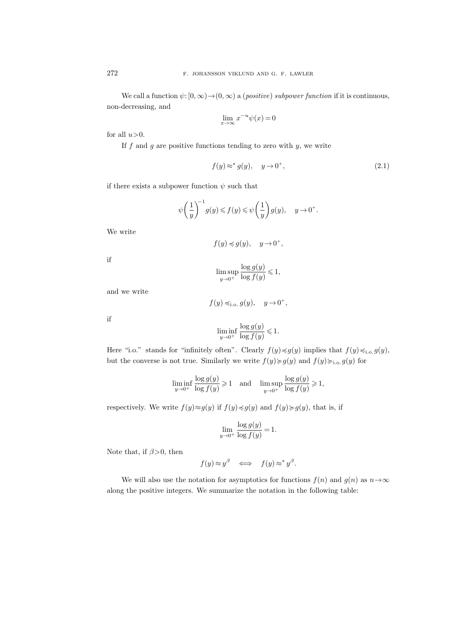We call a function  $\psi: [0, \infty) \to (0, \infty)$  a (positive) subpower function if it is continuous, non-decreasing, and

$$
\lim_{x \to \infty} x^{-u} \psi(x) = 0
$$

for all  $u>0$ .

If  $f$  and  $g$  are positive functions tending to zero with  $y$ , we write

<span id="page-7-0"></span>
$$
f(y) \approx^* g(y), \quad y \to 0^+, \tag{2.1}
$$

if there exists a subpower function  $\psi$  such that

$$
\psi\left(\frac{1}{y}\right)^{-1}g(y) \leqslant f(y) \leqslant \psi\left(\frac{1}{y}\right)g(y), \quad y \to 0^+.
$$

We write

$$
f(y) \preccurlyeq g(y), \quad y \to 0^+,
$$

if

$$
\limsup_{y \to 0^+} \frac{\log g(y)}{\log f(y)} \leq 1,
$$

and we write

$$
f(y) \preccurlyeq_{i.o.} g(y), \quad y \to 0^+,
$$

if

$$
\liminf_{y \to 0^+} \frac{\log g(y)}{\log f(y)} \leq 1.
$$

Here "i.o." stands for "infinitely often". Clearly  $f(y) \preccurlyeq g(y)$  implies that  $f(y) \preccurlyeq_{i.o.} g(y)$ , but the converse is not true. Similarly we write  $f(y) \ge g(y)$  and  $f(y) \ge \ldots g(y)$  for

$$
\liminf_{y \to 0^+} \frac{\log g(y)}{\log f(y)} \geq 1 \quad \text{and} \quad \limsup_{y \to 0^+} \frac{\log g(y)}{\log f(y)} \geq 1,
$$

respectively. We write  $f(y) \approx g(y)$  if  $f(y) \preccurlyeq g(y)$  and  $f(y) \succeq g(y)$ , that is, if

$$
\lim_{y \to 0^+} \frac{\log g(y)}{\log f(y)} = 1.
$$

Note that, if  $\beta > 0$ , then

$$
f(y) \approx y^\beta \quad \Longleftrightarrow \quad f(y) \approx^* y^\beta.
$$

We will also use the notation for asymptotics for functions  $f(n)$  and  $g(n)$  as  $n \rightarrow \infty$ along the positive integers. We summarize the notation in the following table: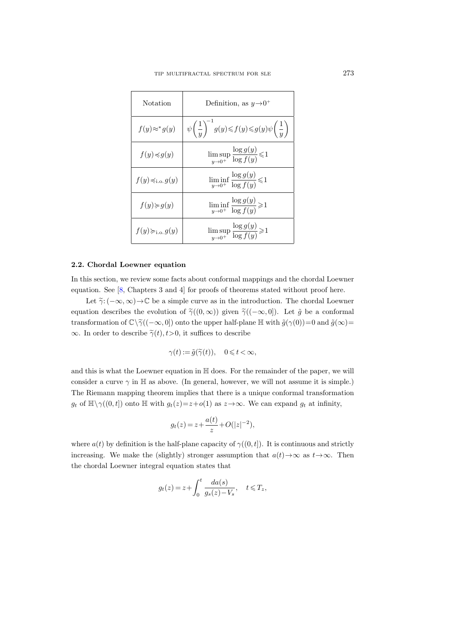| Notation                        | Definition, as $y\rightarrow 0^+$                                                               |
|---------------------------------|-------------------------------------------------------------------------------------------------|
| $f(y) \approx^* g(y)$           | $\psi\left(\frac{1}{y}\right)^{-1}g(y)\leqslant f(y)\leqslant g(y)\psi\left(\frac{1}{y}\right)$ |
| $f(y) \preccurlyeq g(y)$        | $\limsup_{y\to 0^+} \frac{\log g(y)}{\log f(y)}\mbox{\raisebox{.3ex}{$\leqslant$}} 1$           |
| $f(y) \preccurlyeq_{i.o.} g(y)$ | $\liminf_{y\to 0^+} \frac{\log g(y)}{\log f(y)} \leq 1$                                         |
| $f(y) \geq g(y)$                | $\liminf_{y\to 0^+} \frac{\log g(y)}{\log f(y)} \geq 1$                                         |
| $f(y) \succcurlyeq_{i.o.} g(y)$ | $\limsup_{y\to 0^+} \frac{\log g(y)}{\log f(y)}\!\geqslant\! 1$                                 |

# <span id="page-8-0"></span>2.2. Chordal Loewner equation

In this section, we review some facts about conformal mappings and the chordal Loewner equation. See [\[8,](#page-56-4) Chapters 3 and 4] for proofs of theorems stated without proof here.

Let  $\tilde{\gamma}: (-\infty,\infty) \to \mathbb{C}$  be a simple curve as in the introduction. The chordal Loewner equation describes the evolution of  $\tilde{\gamma}((0,\infty))$  given  $\tilde{\gamma}((-\infty,0])$ . Let  $\tilde{g}$  be a conformal transformation of  $\mathbb{C}\setminus\tilde{\gamma}((-\infty, 0])$  onto the upper half-plane H with  $\tilde{g}(\gamma(0))=0$  and  $\tilde{g}(\infty)=$  $\infty$ . In order to describe  $\tilde{\gamma}(t), t>0$ , it suffices to describe

$$
\gamma(t) := \tilde{g}(\tilde{\gamma}(t)), \quad 0 \leqslant t < \infty,
$$

and this is what the Loewner equation in H does. For the remainder of the paper, we will consider a curve  $\gamma$  in H as above. (In general, however, we will not assume it is simple.) The Riemann mapping theorem implies that there is a unique conformal transformation  $g_t$  of  $\mathbb{H}\setminus\gamma((0, t])$  onto  $\mathbb{H}$  with  $g_t(z)=z+o(1)$  as  $z\to\infty$ . We can expand  $g_t$  at infinity,

$$
g_t(z) = z + \frac{a(t)}{z} + O(|z|^{-2}),
$$

where  $a(t)$  by definition is the half-plane capacity of  $\gamma((0,t])$ . It is continuous and strictly increasing. We make the (slightly) stronger assumption that  $a(t) \rightarrow \infty$  as  $t \rightarrow \infty$ . Then the chordal Loewner integral equation states that

$$
g_t(z) = z + \int_0^t \frac{da(s)}{g_s(z) - V_s}, \quad t \leq T_z,
$$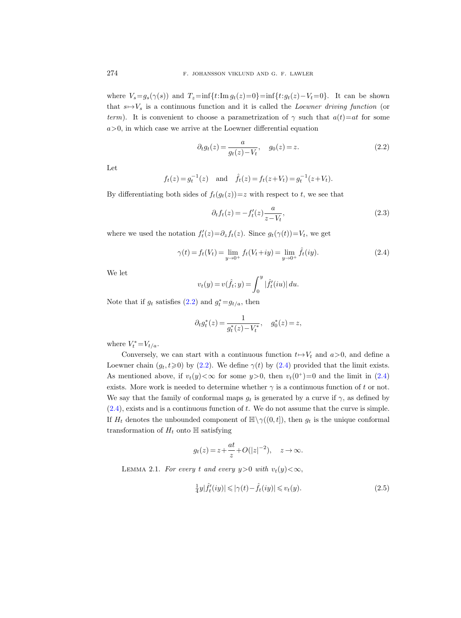where  $V_s = g_s(\gamma(s))$  and  $T_z = \inf\{t:\text{Im }g_t(z)=0\} = \inf\{t:g_t(z)-V_t=0\}$ . It can be shown that  $s \mapsto V_s$  is a continuous function and it is called the Loewner driving function (or term). It is convenient to choose a parametrization of  $\gamma$  such that  $a(t)=at$  for some  $a>0$ , in which case we arrive at the Loewner differential equation

<span id="page-9-0"></span>
$$
\partial_t g_t(z) = \frac{a}{g_t(z) - V_t}, \quad g_0(z) = z.
$$
 (2.2)

Let

$$
f_t(z) = g_t^{-1}(z)
$$
 and  $\hat{f}_t(z) = f_t(z + V_t) = g_t^{-1}(z + V_t)$ .

By differentiating both sides of  $f_t(g_t(z))=z$  with respect to t, we see that

<span id="page-9-2"></span>
$$
\partial_t f_t(z) = -f'_t(z) \frac{a}{z - V_t},\tag{2.3}
$$

where we used the notation  $f'_t(z) = \partial_z f_t(z)$ . Since  $g_t(\gamma(t)) = V_t$ , we get

<span id="page-9-1"></span>
$$
\gamma(t) = f_t(V_t) = \lim_{y \to 0^+} f_t(V_t + iy) = \lim_{y \to 0^+} \hat{f}_t(iy). \tag{2.4}
$$

We let

$$
v_t(y) = v(\hat{f}_t; y) = \int_0^y |\hat{f}'_t(iu)| du.
$$

Note that if  $g_t$  satisfies  $(2.2)$  and  $g_t^* = g_{t/a}$ , then

$$
\partial_t g_t^*(z) = \frac{1}{g_t^*(z) - V_t^*}, \quad g_0^*(z) = z,
$$

where  $V_t^* = V_{t/a}$ .

Conversely, we can start with a continuous function  $t \mapsto V_t$  and  $a>0$ , and define a Loewner chain  $(g_t, t \geq 0)$  by  $(2.2)$ . We define  $\gamma(t)$  by  $(2.4)$  provided that the limit exists. As mentioned above, if  $v_t(y) < \infty$  for some  $y > 0$ , then  $v_t(0^+) = 0$  and the limit in [\(2.4\)](#page-9-1) exists. More work is needed to determine whether  $\gamma$  is a continuous function of t or not. We say that the family of conformal maps  $g_t$  is generated by a curve if  $\gamma$ , as defined by  $(2.4)$ , exists and is a continuous function of t. We do not assume that the curve is simple. If  $H_t$  denotes the unbounded component of  $\mathbb{H}\setminus\gamma((0,t])$ , then  $g_t$  is the unique conformal transformation of  $H_t$  onto  $\mathbb H$  satisfying

$$
g_t(z)=z+\frac{at}{z}+O(|z|^{-2}),\quad z\to\infty.
$$

LEMMA 2.1. For every t and every  $y>0$  with  $v_t(y)<\infty$ ,

<span id="page-9-3"></span>
$$
\frac{1}{4}y|\hat{f}'_t(iy)| \le |\gamma(t) - \hat{f}_t(iy)| \le v_t(y). \tag{2.5}
$$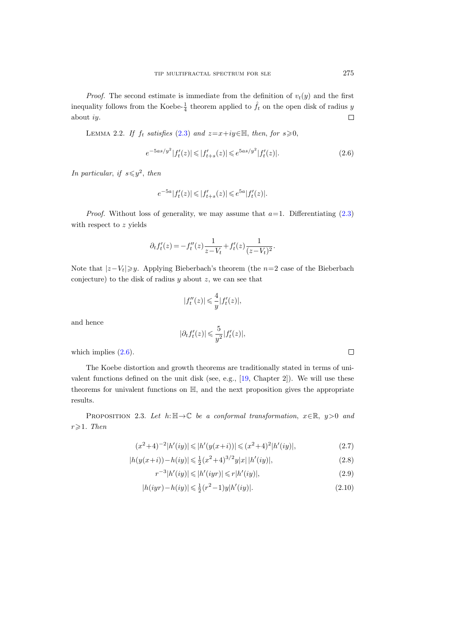*Proof.* The second estimate is immediate from the definition of  $v_t(y)$  and the first inequality follows from the Koebe- $\frac{1}{4}$  theorem applied to  $\hat{f}_t$  on the open disk of radius y about iy.  $\Box$ 

LEMMA 2.2. If  $f_t$  satisfies [\(2.3\)](#page-9-2) and  $z=x+iy\in\mathbb{H}$ , then, for  $s\geqslant0$ ,

<span id="page-10-0"></span>
$$
e^{-5as/y^2}|f'_t(z)| \leq |f'_{t+s}(z)| \leq e^{5as/y^2}|f'_t(z)|. \tag{2.6}
$$

In particular, if  $s \leq y^2$ , then

$$
e^{-5a}|f'_t(z)| \leq |f'_{t+s}(z)| \leqslant e^{5a}|f'_t(z)|.
$$

*Proof.* Without loss of generality, we may assume that  $a=1$ . Differentiating [\(2.3\)](#page-9-2) with respect to z yields

$$
\partial_t f'_t(z) = -f''_t(z) \frac{1}{z - V_t} + f'_t(z) \frac{1}{(z - V_t)^2}.
$$

Note that  $|z-V_t|\geqslant y$ . Applying Bieberbach's theorem (the n=2 case of the Bieberbach conjecture) to the disk of radius  $y$  about  $z$ , we can see that

$$
|f_t''(z)| \leq \frac{4}{y}|f_t'(z)|,
$$

and hence

$$
|\partial_t f'_t(z)| \leqslant \frac{5}{y^2} |f'_t(z)|,
$$

which implies  $(2.6)$ .

The Koebe distortion and growth theorems are traditionally stated in terms of univalent functions defined on the unit disk (see, e.g., [\[19,](#page-56-20) Chapter 2]). We will use these theorems for univalent functions on H, and the next proposition gives the appropriate results.

<span id="page-10-5"></span>PROPOSITION 2.3. Let  $h: \mathbb{H} \to \mathbb{C}$  be a conformal transformation,  $x \in \mathbb{R}$ ,  $y > 0$  and  $r \geqslant 1$ . Then

$$
(x^{2}+4)^{-2}|h'(iy)| \leq |h'(y(x+i))| \leq (x^{2}+4)^{2}|h'(iy)|,
$$
\n(2.7)

$$
|h(y(x+i)) - h(iy)| \le \frac{1}{2}(x^2+4)^{3/2}y|x| \, |h'(iy)|,\tag{2.8}
$$

$$
r^{-3}|h'(iy)| \leqslant |h'(iyr)| \leqslant r|h'(iy)|,\tag{2.9}
$$

$$
|h(iyr) - h(iy)| \leq \frac{1}{2}(r^2 - 1)y|h'(iy)|.
$$
\n(2.10)

<span id="page-10-4"></span><span id="page-10-3"></span><span id="page-10-2"></span><span id="page-10-1"></span> $\Box$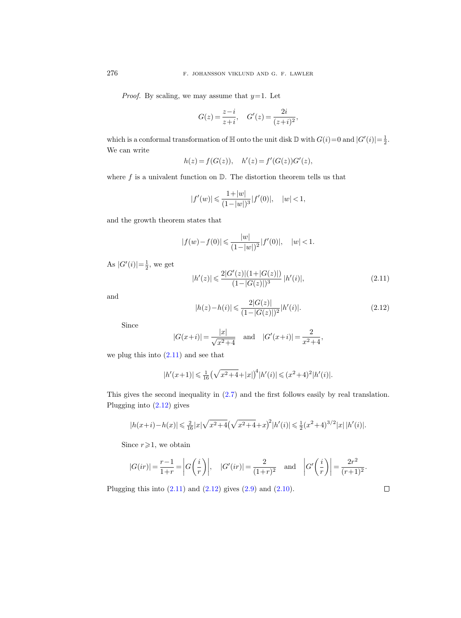*Proof.* By scaling, we may assume that  $y=1$ . Let

$$
G(z)=\frac{z-i}{z+i},\quad G'(z)=\frac{2i}{(z+i)^2},
$$

which is a conformal transformation of  $\mathbb H$  onto the unit disk  $\mathbb D$  with  $G(i)=0$  and  $|G'(i)|=\frac{1}{2}$ . We can write

$$
h(z) = f(G(z)), \quad h'(z) = f'(G(z))G'(z),
$$

where  $f$  is a univalent function on  $\mathbb{D}$ . The distortion theorem tells us that

$$
|f'(w)| \leqslant \frac{1+|w|}{(1-|w|)^3}|f'(0)|, \quad |w| < 1,
$$

and the growth theorem states that

$$
|f(w)-f(0)| \leq \frac{|w|}{(1-|w|)^2}|f'(0)|, \quad |w| < 1.
$$

As  $|G'(i)| = \frac{1}{2}$ , we get

<span id="page-11-0"></span>
$$
|h'(z)| \leqslant \frac{2|G'(z)|(1+|G(z)|)}{(1-|G(z)|)^3} |h'(i)|,\tag{2.11}
$$

and

<span id="page-11-1"></span>
$$
|h(z) - h(i)| \leqslant \frac{2|G(z)|}{(1 - |G(z)|)^2} |h'(i)|. \tag{2.12}
$$

Since

$$
|G(x+i)| = \frac{|x|}{\sqrt{x^2+4}}
$$
 and  $|G'(x+i)| = \frac{2}{x^2+4}$ ,

we plug this into  $(2.11)$  and see that

$$
|h'(x+1)| \leq \frac{1}{16} \left(\sqrt{x^2+4} + |x|\right)^4 |h'(i)| \leq (x^2+4)^2 |h'(i)|.
$$

This gives the second inequality in [\(2.7\)](#page-10-1) and the first follows easily by real translation. Plugging into [\(2.12\)](#page-11-1) gives

$$
|h(x+i) - h(x)| \leq \frac{2}{16}|x|\sqrt{x^2+4}\left(\sqrt{x^2+4}+x\right)^2|h'(i)| \leq \frac{1}{2}(x^2+4)^{3/2}|x|\,|h'(i)|.
$$

Since  $r \geq 1$ , we obtain

$$
|G(ir)| = \frac{r-1}{1+r} = \left| G\left(\frac{i}{r}\right) \right|, \quad |G'(ir)| = \frac{2}{(1+r)^2} \quad \text{and} \quad \left| G'\left(\frac{i}{r}\right) \right| = \frac{2r^2}{(r+1)^2}.
$$

<span id="page-11-2"></span>Plugging this into  $(2.11)$  and  $(2.12)$  gives  $(2.9)$  and  $(2.10)$ .

 $\Box$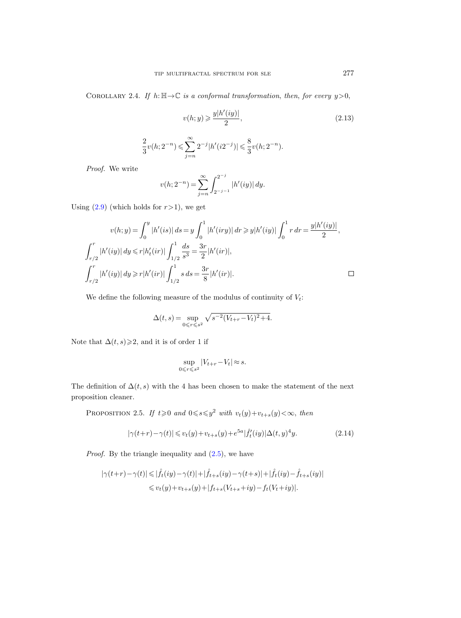COROLLARY 2.4. If  $h: \mathbb{H} \to \mathbb{C}$  is a conformal transformation, then, for every  $y > 0$ ,

<span id="page-12-0"></span>
$$
v(h; y) \geqslant \frac{y|h'(iy)|}{2},\tag{2.13}
$$

$$
\frac{2}{3}v(h; 2^{-n}) \leq \sum_{j=n}^{\infty} 2^{-j} |h'(i2^{-j})| \leq \frac{8}{3}v(h; 2^{-n}).
$$

Proof. We write

$$
v(h; 2^{-n}) = \sum_{j=n}^{\infty} \int_{2^{-j-1}}^{2^{-j}} |h'(iy)| dy.
$$

Using  $(2.9)$  (which holds for  $r>1$ ), we get

$$
v(h; y) = \int_0^y |h'(is)| ds = y \int_0^1 |h'(iry)| dr \geq y |h'(iy)| \int_0^1 r dr = \frac{y |h'(iy)|}{2},
$$
  

$$
\int_{r/2}^r |h'(iy)| dy \leq r |h'_t(ir)| \int_{1/2}^1 \frac{ds}{s^3} = \frac{3r}{2} |h'(ir)|,
$$
  

$$
\int_{r/2}^r |h'(iy)| dy \geq r |h'(ir)| \int_{1/2}^1 s ds = \frac{3r}{8} |h'(ir)|.
$$

We define the following measure of the modulus of continuity of  $V_t$ :

$$
\Delta(t,s) = \sup_{0 \le r \le s^2} \sqrt{s^{-2}(V_{t+r} - V_t)^2 + 4}.
$$

Note that  $\Delta(t, s) \geq 2$ , and it is of order 1 if

$$
\sup_{0\leqslant r\leqslant s^2}|V_{t+r}-V_t|\approx s.
$$

The definition of  $\Delta(t, s)$  with the 4 has been chosen to make the statement of the next proposition cleaner.

PROPOSITION 2.5. If  $t \geq 0$  and  $0 \leq s \leq y^2$  with  $v_t(y) + v_{t+s}(y) < \infty$ , then

$$
|\gamma(t+r) - \gamma(t)| \le v_t(y) + v_{t+s}(y) + e^{5a} |\hat{f}'_t(iy)| \Delta(t, y)^4 y.
$$
 (2.14)

*Proof.* By the triangle inequality and  $(2.5)$ , we have

$$
\begin{aligned} |\gamma(t+r)-\gamma(t)|&\leqslant |\hat{f}_{t}(iy)-\gamma(t)|+|\hat{f}_{t+s}(iy)-\gamma(t+s)|+|\hat{f}_{t}(iy)-\hat{f}_{t+s}(iy)|\\ &\leqslant v_{t}(y)+v_{t+s}(y)+|f_{t+s}(V_{t+s}+iy)-f_{t}(V_{t}+iy)|. \end{aligned}
$$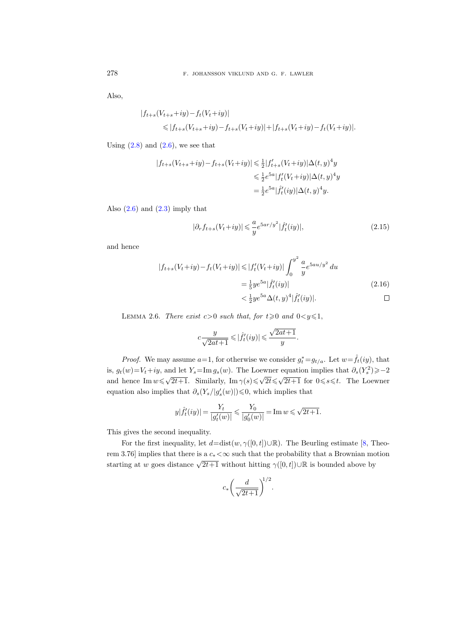Also,

$$
|f_{t+s}(V_{t+s}+iy)-f_t(V_t+iy)|
$$
  
\n
$$
\leq |f_{t+s}(V_{t+s}+iy)-f_{t+s}(V_t+iy)|+|f_{t+s}(V_t+iy)-f_t(V_t+iy)|.
$$

Using  $(2.8)$  and  $(2.6)$ , we see that

$$
|f_{t+s}(V_{t+s}+iy) - f_{t+s}(V_t+iy)| \le \frac{1}{2}|f'_{t+s}(V_t+iy)|\Delta(t,y)^4y
$$
  

$$
\le \frac{1}{2}e^{5a}|f'_{t}(V_t+iy)|\Delta(t,y)^4y
$$
  

$$
= \frac{1}{2}e^{5a}|\hat{f}'_{t}(iy)|\Delta(t,y)^4y.
$$

Also  $(2.6)$  and  $(2.3)$  imply that

$$
|\partial_r f_{t+s}(V_t+iy)| \leq \frac{a}{y} e^{5ar/y^2} |\hat{f}'_t(iy)|,
$$
\n(2.15)

and hence

$$
|f_{t+s}(V_t+iy) - f_t(V_t+iy)| \le |f'_t(V_t+iy)| \int_0^{y^2} \frac{a}{y} e^{5au/y^2} du
$$
  
=  $\frac{1}{5} y e^{5a} |\hat{f}'_t(iy)|$  (2.16)  
 $< \frac{1}{2} y e^{5a} \Delta(t, y)^4 |\hat{f}'_t(iy)|.$ 

<span id="page-13-0"></span>LEMMA 2.6. There exist  $c>0$  such that, for  $t\geqslant 0$  and  $0< y \leqslant 1$ ,

<span id="page-13-1"></span>
$$
c\frac{y}{\sqrt{2at+1}}\leqslant |\hat{f}_t'(iy)|\leqslant \frac{\sqrt{2at+1}}{y}.
$$

*Proof.* We may assume  $a=1$ , for otherwise we consider  $g_t^* = g_{t/a}$ . Let  $w = \hat{f}_t(iy)$ , that is,  $g_t(w) = V_t + iy$ , and let  $Y_s = \text{Im } g_s(w)$ . The Loewner equation implies that  $\partial_s(Y_s^2) \geqslant -2$ and hence Im  $w \leq \sqrt{2t+1}$ . Similarly, Im  $\gamma(s) \leq \sqrt{2t} \leq \sqrt{2t+1}$  for  $0 \leq s \leq t$ . The Loewner equation also implies that  $\partial_s(Y_s/|g'_s(w)|) \leq 0$ , which implies that

$$
y|\hat{f}_t'(iy)|\,{=}\,\frac{Y_t}{|g_t'(w)|}\leqslant\frac{Y_0}{|g_0'(w)|}\,{=}\,\text{Im}\,w\,{\leqslant}\,\sqrt{2t{+}1}.
$$

This gives the second inequality.

For the first inequality, let  $d=dist(w, \gamma([0, t])\cup \mathbb{R})$ . The Beurling estimate [\[8,](#page-56-4) Theorem 3.76] implies that there is a  $c_*<\infty$  such that the probability that a Brownian motion starting at w goes distance  $\sqrt{2t+1}$  without hitting  $\gamma([0,t])\cup\mathbb{R}$  is bounded above by

$$
c_* \left(\frac{d}{\sqrt{2t+1}}\right)^{1/2}.
$$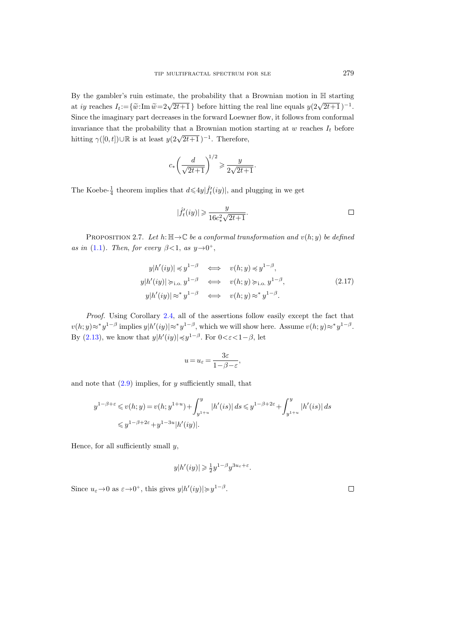By the gambler's ruin estimate, the probability that a Brownian motion in H starting at iy reaches  $I_t := {\tilde{w}:\text{Im } \tilde{w} = 2\sqrt{2t+1}}$  before hitting the real line equals  $y(2\sqrt{2t+1})^{-1}$ . Since the imaginary part decreases in the forward Loewner flow, it follows from conformal invariance that the probability that a Brownian motion starting at  $w$  reaches  $I_t$  before hitting  $\gamma([0,t])\cup\mathbb{R}$  is at least  $y(2\sqrt{2t+1})^{-1}$ . Therefore,

$$
c_*\bigg(\frac{d}{\sqrt{2t+1}}\bigg)^{\!\!1/2} \geqslant \frac{y}{2\sqrt{2t+1}}.
$$

The Koebe- $\frac{1}{4}$  theorem implies that  $d \leq 4y \left| \hat{f}'_t(iy) \right|$ , and plugging in we get

$$
|\hat{f}_t'(iy)|\geqslant \frac{y}{16c_*^2\sqrt{2t+1}}.\qquad \qquad \Box
$$

<span id="page-14-0"></span>PROPOSITION 2.7. Let  $h: \mathbb{H} \to \mathbb{C}$  be a conformal transformation and  $v(h; y)$  be defined as in [\(1.1\)](#page-3-0). Then, for every  $\beta < 1$ , as  $y \rightarrow 0^+$ ,

$$
y|h'(iy)| \preccurlyeq y^{1-\beta} \iff v(h; y) \preccurlyeq y^{1-\beta},
$$
  
\n
$$
y|h'(iy)| \succeq_{1.0} y^{1-\beta} \iff v(h; y) \succeq_{1.0} y^{1-\beta},
$$
  
\n
$$
y|h'(iy)| \approx^* y^{1-\beta} \iff v(h; y) \approx^* y^{1-\beta}.
$$
\n(2.17)

Proof. Using Corollary [2.4,](#page-11-2) all of the assertions follow easily except the fact that  $v(h; y) \approx^* y^{1-\beta}$  implies  $y|h'(iy)| \approx^* y^{1-\beta}$ , which we will show here. Assume  $v(h; y) \approx^* y^{1-\beta}$ . By [\(2.13\)](#page-12-0), we know that  $y|h'(iy)| \preccurlyeq y^{1-\beta}$ . For  $0 \lt \varepsilon \lt 1-\beta$ , let

$$
u=u_\varepsilon=\frac{3\varepsilon}{1-\beta-\varepsilon},
$$

and note that  $(2.9)$  implies, for y sufficiently small, that

$$
y^{1-\beta+\varepsilon} \le v(h; y) = v(h; y^{1+u}) + \int_{y^{1+u}}^{y} |h'(is)| ds \le y^{1-\beta+2\varepsilon} + \int_{y^{1+u}}^{y} |h'(is)| ds
$$
  

$$
\le y^{1-\beta+2\varepsilon} + y^{1-3u} |h'(iy)|.
$$

Hence, for all sufficiently small  $y$ ,

$$
y|h'(iy)| \geq \frac{1}{2}y^{1-\beta}y^{3u_{\varepsilon}+\varepsilon}
$$

.

Since  $u_{\varepsilon} \to 0$  as  $\varepsilon \to 0^+$ , this gives  $y|h'(iy)| \geq y^{1-\beta}$ .

 $\Box$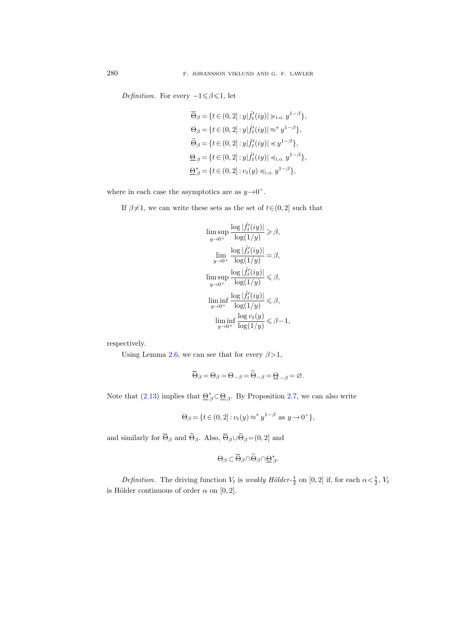Definition. For every  $-1 \le \beta \le 1$ , let

$$
\begin{aligned} &\overline{\Theta}_{\beta}=\{t\in(0,2]:y|\hat{f}_t'(iy)|\succcurlyeq_{\text{i.o.}} y^{1-\beta}\},\\ &\Theta_{\beta}=\{t\in(0,2]:y|\hat{f}_t'(iy)|\approx^*y^{1-\beta}\},\\ &\widetilde{\Theta}_{\beta}=\{t\in(0,2]:y|\hat{f}_t'(iy)|\preccurlyeq y^{1-\beta}\},\\ &\underline{\Theta}_{\beta}=\{t\in(0,2]:y|\hat{f}_t'(iy)|\preccurlyeq_{\text{i.o.}} y^{1-\beta}\},\\ &\underline{\Theta}_{\beta}^*=\{t\in(0,2]:v_t(y)\preccurlyeq_{\text{i.o.}} y^{1-\beta}\}, \end{aligned}
$$

where in each case the asymptotics are as  $y \rightarrow 0^+$ .

If  $\beta{\neq}1,$  we can write these sets as the set of  $t{\in}(0,2]$  such that

$$
\begin{aligned} &\limsup_{y\to 0^+}\frac{\log|\hat{f}'_t(iy)|}{\log(1/y)}\geqslant \beta,\\ &\lim_{y\to 0^+}\frac{\log|\hat{f}'_t(iy)|}{\log(1/y)}=\beta,\\ &\limsup_{y\to 0^+}\frac{\log|\hat{f}'_t(iy)|}{\log(1/y)}\leqslant \beta,\\ &\liminf_{y\to 0^+}\frac{\log|\hat{f}'_t(iy)|}{\log(1/y)}\leqslant \beta,\\ &\liminf_{y\to 0^+}\frac{\log v_t(y)}{\log(1/y)}\leqslant \beta-1,\end{aligned}
$$

respectively.

Using Lemma [2.6,](#page-13-0) we can see that for every  $\beta > 1$ ,

$$
\overline{\Theta}_{\beta} = \Theta_{\beta} = \Theta_{-\beta} = \widetilde{\Theta}_{-\beta} = \underline{\Theta}_{-\beta} = \varnothing.
$$

Note that [\(2.13\)](#page-12-0) implies that  $\underline{\Theta}_{\beta}^* \subset \underline{\Theta}_{\beta}$ . By Proposition [2.7,](#page-14-0) we can also write

$$
\Theta_{\beta} = \{ t \in (0, 2] : v_t(y) \approx^* y^{1-\beta} \text{ as } y \to 0^+ \},\
$$

and similarly for  $\overline{\Theta}_{\beta}$  and  $\widetilde{\Theta}_{\beta}$ . Also,  $\overline{\Theta}_{\beta} \cup \widetilde{\Theta}_{\beta} = (0, 2]$  and

$$
\Theta_{\beta}\subset\overline{\Theta}_{\beta}\cap\widetilde{\Theta}_{\beta}\cap\underline{\Theta}^*_{\beta}.
$$

*Definition.* The driving function  $V_t$  is *weakly Hölder*- $\frac{1}{2}$  on [0, 2] if, for each  $\alpha < \frac{1}{2}$ ,  $V_t$ is Hölder continuous of order  $\alpha$  on [0, 2].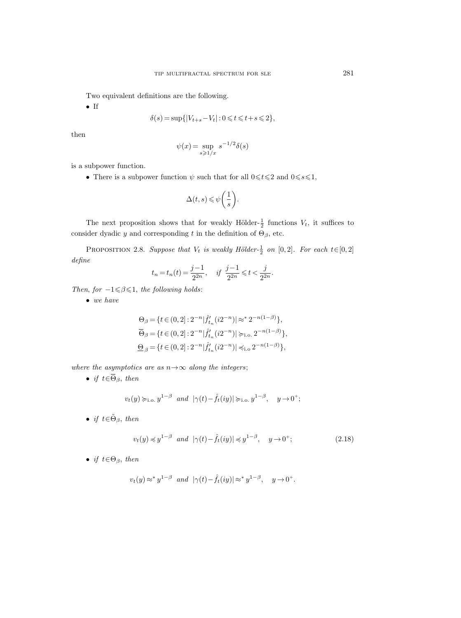Two equivalent definitions are the following.

• If

$$
\delta(s) = \sup\{|V_{t+s} - V_t| : 0 \leq t \leq t + s \leq 2\},\
$$

then

$$
\psi(x) = \sup_{s \geq 1/x} s^{-1/2} \delta(s)
$$

is a subpower function.

• There is a subpower function  $\psi$  such that for all  $0 \le t \le 2$  and  $0 \le s \le 1$ ,

$$
\Delta(t,s) \leqslant \psi\bigg(\frac{1}{s}\bigg).
$$

The next proposition shows that for weakly Hölder- $\frac{1}{2}$  functions  $V_t$ , it suffices to consider dyadic y and corresponding t in the definition of  $\Theta_{\beta}$ , etc.

<span id="page-16-0"></span>PROPOSITION 2.8. Suppose that  $V_t$  is weakly Hölder- $\frac{1}{2}$  on [0, 2]. For each  $t \in [0,2]$ define

$$
t_n = t_n(t) = \frac{j-1}{2^{2n}}, \quad \text{if } \frac{j-1}{2^{2n}} \leq t < \frac{j}{2^{2n}}.
$$

Then, for  $-1 \leq \beta \leq 1$ , the following holds:

 $\bullet\;$  we have

$$
\Theta_{\beta} = \{ t \in (0, 2] : 2^{-n} |\hat{f}_{t_n}'(i2^{-n})| \approx^* 2^{-n(1-\beta)} \},
$$
  
\n
$$
\overline{\Theta}_{\beta} = \{ t \in (0, 2] : 2^{-n} |\hat{f}_{t_n}'(i2^{-n})| \succcurlyeq_{\text{i.o.}} 2^{-n(1-\beta)} \},
$$
  
\n
$$
\underline{\Theta}_{\beta} = \{ t \in (0, 2] : 2^{-n} |\hat{f}_{t_n}'(i2^{-n})| \preccurlyeq_{\text{i.o.}} 2^{-n(1-\beta)} \},
$$

where the asymptotics are as  $n \rightarrow \infty$  along the integers;

• if  $t \in \overline{\Theta}_{\beta}$ , then

$$
v_t(y) \succ_{i.o.} y^{1-\beta}
$$
 and  $|\gamma(t) - \hat{f}_t(iy)| \succ_{i.o.} y^{1-\beta}, y \to 0^+;$ 

• if  $t \in \tilde{\Theta}_{\beta}$ , then

<span id="page-16-1"></span>
$$
v_t(y) \preccurlyeq y^{1-\beta} \quad \text{and} \quad |\gamma(t) - \hat{f}_t(iy)| \preccurlyeq y^{1-\beta}, \quad y \to 0^+; \tag{2.18}
$$

• if  $t \in \Theta_{\beta}$ , then

$$
v_t(y) \approx^* y^{1-\beta}
$$
 and  $|\gamma(t) - \hat{f}_t(iy)| \approx^* y^{1-\beta}$ ,  $y \to 0^+$ .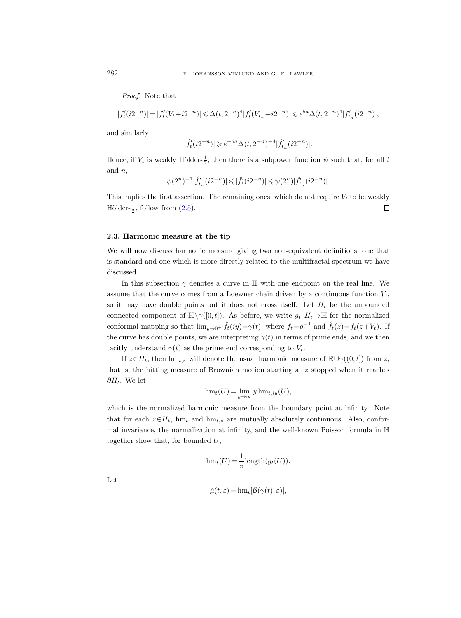Proof. Note that

$$
|\hat{f}_t'(i2^{-n})|=|f_t'(V_t+i2^{-n})|\leqslant \Delta(t,2^{-n})^4|f_t'(V_{t_n}+i2^{-n})|\leqslant e^{5a}\Delta(t,2^{-n})^4|\hat{f}_{t_n}'(i2^{-n})|,
$$

and similarly

$$
|\hat{f}'_t(i2^{-n})| \geqslant e^{-5a} \Delta(t, 2^{-n})^{-4} |\hat{f}'_{t_n}(i2^{-n})|.
$$

Hence, if  $V_t$  is weakly Hölder- $\frac{1}{2}$ , then there is a subpower function  $\psi$  such that, for all t and  $n$ ,

$$
\psi(2^n)^{-1}|\hat{f}'_{t_n}(i2^{-n})| \leqslant |\hat{f}'_t(i2^{-n})| \leqslant \psi(2^n) |\hat{f}'_{t_n}(i2^{-n})|.
$$

This implies the first assertion. The remaining ones, which do not require  $V_t$  to be weakly Hölder- $\frac{1}{2}$ , follow from  $(2.5)$ .  $\Box$ 

### <span id="page-17-0"></span>2.3. Harmonic measure at the tip

We will now discuss harmonic measure giving two non-equivalent definitions, one that is standard and one which is more directly related to the multifractal spectrum we have discussed.

In this subsection  $\gamma$  denotes a curve in H with one endpoint on the real line. We assume that the curve comes from a Loewner chain driven by a continuous function  $V_t$ , so it may have double points but it does not cross itself. Let  $H_t$  be the unbounded connected component of  $\mathbb{H}\setminus \gamma([0,t])$ . As before, we write  $g_t: H_t \to \mathbb{H}$  for the normalized conformal mapping so that  $\lim_{y\to 0^+} \hat{f}_t(iy) = \gamma(t)$ , where  $f_t = g_t^{-1}$  and  $\hat{f}_t(z) = f_t(z + V_t)$ . If the curve has double points, we are interpreting  $\gamma(t)$  in terms of prime ends, and we then tacitly understand  $\gamma(t)$  as the prime end corresponding to  $V_t$ .

If  $z \in H_t$ , then hm<sub>t,z</sub> will denote the usual harmonic measure of  $\mathbb{R} \cup \gamma((0, t])$  from z, that is, the hitting measure of Brownian motion starting at z stopped when it reaches  $\partial H_t$ . We let

$$
\operatorname{hm}_t(U) = \lim_{y \to \infty} y \operatorname{hm}_{t, iy}(U),
$$

which is the normalized harmonic measure from the boundary point at infinity. Note that for each  $z \in H_t$ , hm<sub>t</sub> and hm<sub>t,z</sub> are mutually absolutely continuous. Also, conformal invariance, the normalization at infinity, and the well-known Poisson formula in H together show that, for bounded  $U$ ,

$$
\text{hm}_t(U) = \frac{1}{\pi} \text{length}(g_t(U)).
$$

Let

$$
\tilde{\mu}(t,\varepsilon) = \operatorname{hm}_t[\overline{\mathcal{B}}(\gamma(t),\varepsilon)],
$$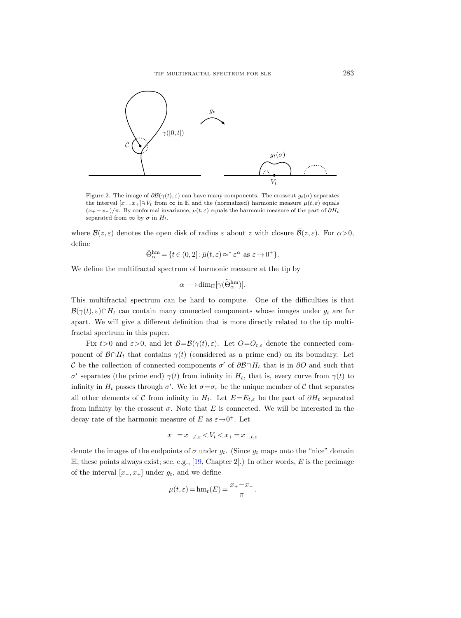

<span id="page-18-0"></span>Figure 2. The image of  $\partial \mathcal{B}(\gamma(t), \varepsilon)$  can have many components. The crosscut  $g_t(\sigma)$  separates the interval  $[x_-, x_+] \ni V_t$  from  $\infty$  in H and the (normalized) harmonic measure  $\mu(t, \varepsilon)$  equals  $(x_{+}-x_{-})/\pi$ . By conformal invariance,  $\mu(t,\varepsilon)$  equals the harmonic measure of the part of  $\partial H_t$ separated from  $\infty$  by  $\sigma$  in  $H_t$ .

where  $\mathcal{B}(z,\varepsilon)$  denotes the open disk of radius  $\varepsilon$  about z with closure  $\overline{\mathcal{B}}(z,\varepsilon)$ . For  $\alpha > 0$ , define

$$
\widetilde{\Theta}_{\alpha}^{\text{hm}} = \{ t \in (0,2] : \widetilde{\mu}(t,\varepsilon) \approx^* \varepsilon^{\alpha} \text{ as } \varepsilon \to 0^+ \}.
$$

We define the multifractal spectrum of harmonic measure at the tip by

$$
\alpha \longmapsto \dim_{\mathrm{H}}[\gamma(\widetilde{\Theta}_{\alpha}^{\mathrm{hm}})].
$$

This multifractal spectrum can be hard to compute. One of the difficulties is that  $\mathcal{B}(\gamma(t),\varepsilon)\cap H_t$  can contain many connected components whose images under  $g_t$  are far apart. We will give a different definition that is more directly related to the tip multifractal spectrum in this paper.

Fix  $t>0$  and  $\varepsilon>0$ , and let  $\mathcal{B}=\mathcal{B}(\gamma(t),\varepsilon)$ . Let  $O=O_{t,\varepsilon}$  denote the connected component of  $\mathcal{B} \cap H_t$  that contains  $\gamma(t)$  (considered as a prime end) on its boundary. Let C be the collection of connected components  $\sigma'$  of  $\partial \mathcal{B} \cap H_t$  that is in  $\partial O$  and such that σ' separates (the prime end)  $γ(t)$  from infinity in  $H_t$ , that is, every curve from  $γ(t)$  to infinity in  $H_t$  passes through  $\sigma'$ . We let  $\sigma = \sigma_{\varepsilon}$  be the unique member of C that separates all other elements of C from infinity in  $H_t$ . Let  $E=E_{t,\varepsilon}$  be the part of  $\partial H_t$  separated from infinity by the crosscut  $\sigma$ . Note that E is connected. We will be interested in the decay rate of the harmonic measure of E as  $\varepsilon \rightarrow 0^+$ . Let

$$
x_{-} = x_{-,t,\varepsilon} < V_t < x_{+} = x_{+,t,\varepsilon}
$$

denote the images of the endpoints of  $\sigma$  under  $g_t$ . (Since  $g_t$  maps onto the "nice" domain  $\mathbb{H}$ , these points always exist; see, e.g., [\[19,](#page-56-20) Chapter 2].) In other words, E is the preimage of the interval  $[x_-, x_+]$  under  $g_t$ , and we define

$$
\mu(t,\varepsilon) = \text{hm}_t(E) = \frac{x_+ - x_-}{\pi}.
$$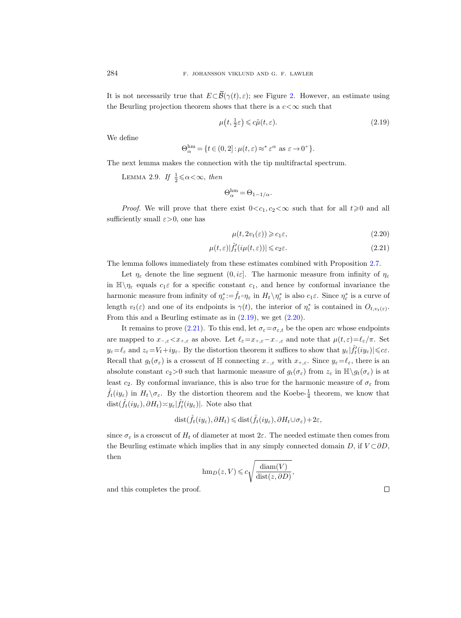It is not necessarily true that  $E\subset\overline{\mathcal{B}}(\gamma(t),\varepsilon)$ ; see Figure [2.](#page-18-0) However, an estimate using the Beurling projection theorem shows that there is a  $c < \infty$  such that

<span id="page-19-0"></span>
$$
\mu\left(t, \frac{1}{2}\varepsilon\right) \leqslant c\tilde{\mu}\left(t, \varepsilon\right). \tag{2.19}
$$

We define

$$
\Theta_{\alpha}^{\text{hm}} = \{ t \in (0,2] : \mu(t,\varepsilon) \approx^* \varepsilon^{\alpha} \text{ as } \varepsilon \to 0^+ \}.
$$

<span id="page-19-3"></span>The next lemma makes the connection with the tip multifractal spectrum.

LEMMA 2.9. If  $\frac{1}{2} \le \alpha < \infty$ , then

Θ

$$
\Theta^{\mathrm{hm}}_{\alpha} = \Theta_{1-1/\alpha}.
$$

*Proof.* We will prove that there exist  $0 < c_1, c_2 < \infty$  such that for all  $t \geq 0$  and all sufficiently small  $\varepsilon > 0$ , one has

<span id="page-19-2"></span><span id="page-19-1"></span>
$$
\mu(t, 2v_t(\varepsilon)) \geqslant c_1 \varepsilon,\tag{2.20}
$$

$$
\mu(t,\varepsilon)|\hat{f}'_t(i\mu(t,\varepsilon))| \leq c_2\varepsilon. \tag{2.21}
$$

The lemma follows immediately from these estimates combined with Proposition [2.7.](#page-14-0)

Let  $\eta_{\varepsilon}$  denote the line segment  $(0, i\varepsilon]$ . The harmonic measure from infinity of  $\eta_{\varepsilon}$ in  $\mathbb{H}\setminus\eta_{\varepsilon}$  equals  $c_1\varepsilon$  for a specific constant  $c_1$ , and hence by conformal invariance the harmonic measure from infinity of  $\eta_{\varepsilon}^* := \hat{f}_t \circ \eta_{\varepsilon}$  in  $H_t \setminus \eta_{\varepsilon}^*$  is also  $c_1 \varepsilon$ . Since  $\eta_{\varepsilon}^*$  is a curve of length  $v_t(\varepsilon)$  and one of its endpoints is  $\gamma(t)$ , the interior of  $\eta_{\varepsilon}^*$  is contained in  $O_{t,v_t(\varepsilon)}$ . From this and a Beurling estimate as in [\(2.19\)](#page-19-0), we get [\(2.20\)](#page-19-1).

It remains to prove [\(2.21\)](#page-19-2). To this end, let  $\sigma_{\varepsilon} = \sigma_{\varepsilon,t}$  be the open arc whose endpoints are mapped to  $x_{-,\varepsilon} < x_{+,\varepsilon}$  as above. Let  $\ell_{\varepsilon} = x_{+,\varepsilon} - x_{-,\varepsilon}$  and note that  $\mu(t, \varepsilon) = \ell_{\varepsilon}/\pi$ . Set  $y_{\varepsilon} = \ell_{\varepsilon}$  and  $z_{\varepsilon} = V_t + iy_{\varepsilon}$ . By the distortion theorem it suffices to show that  $y_{\varepsilon}|\hat{f}'_t(iy_{\varepsilon})| \leqslant c\varepsilon$ . Recall that  $g_t(\sigma_{\varepsilon})$  is a crosscut of H connecting  $x_{-\varepsilon}$  with  $x_{+\varepsilon}$ . Since  $y_{\varepsilon}=\ell_{\varepsilon}$ , there is an absolute constant  $c_2>0$  such that harmonic measure of  $g_t(\sigma_{\varepsilon})$  from  $z_{\varepsilon}$  in  $\mathbb{H}\setminus g_t(\sigma_{\varepsilon})$  is at least c<sub>2</sub>. By conformal invariance, this is also true for the harmonic measure of  $\sigma_{\varepsilon}$  from  $\hat{f}_t(iy_\varepsilon)$  in  $H_t \setminus \sigma_\varepsilon$ . By the distortion theorem and the Koebe- $\frac{1}{4}$  theorem, we know that  $dist(\hat{f}_t(iy_\varepsilon), \partial H_t) \times y_\varepsilon |\hat{f}'_t(iy_\varepsilon)|$ . Note also that

$$
\mathrm{dist}(\hat{f}_t(iy_\varepsilon), \partial H_t) \leq \mathrm{dist}(\hat{f}_t(iy_\varepsilon), \partial H_t \cup \sigma_\varepsilon) + 2\varepsilon,
$$

since  $\sigma_{\varepsilon}$  is a crosscut of  $H_t$  of diameter at most  $2\varepsilon$ . The needed estimate then comes from the Beurling estimate which implies that in any simply connected domain D, if  $V \subset \partial D$ , then

$$
\text{hm}_D(z, V) \leqslant c \sqrt{\frac{\text{diam}(V)}{\text{dist}(z, \partial D)}},
$$

and this completes the proof.

 $\Box$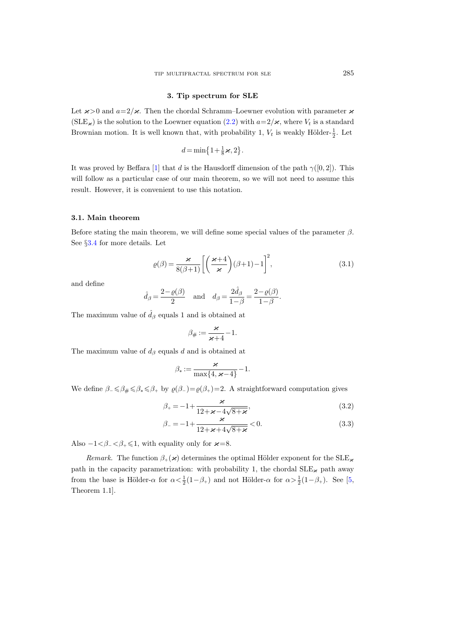### 3. Tip spectrum for SLE

<span id="page-20-0"></span>Let  $\varkappa > 0$  and  $a=2/\varkappa$ . Then the chordal Schramm–Loewner evolution with parameter  $\varkappa$  $(SLE_{\varkappa})$  is the solution to the Loewner equation  $(2.2)$  with  $a=2/\varkappa$ , where  $V_t$  is a standard Brownian motion. It is well known that, with probability 1,  $V_t$  is weakly Hölder- $\frac{1}{2}$ . Let

$$
d = \min\left\{1 + \frac{1}{8}\varkappa, 2\right\}.
$$

It was proved by Beffara [\[1\]](#page-56-8) that d is the Hausdorff dimension of the path  $\gamma([0,2])$ . This will follow as a particular case of our main theorem, so we will not need to assume this result. However, it is convenient to use this notation.

# 3.1. Main theorem

Before stating the main theorem, we will define some special values of the parameter  $\beta$ . See §[3.4](#page-24-0) for more details. Let

<span id="page-20-1"></span>
$$
\varrho(\beta) = \frac{\varkappa}{8(\beta+1)} \left[ \left( \frac{\varkappa+4}{\varkappa} \right) (\beta+1) - 1 \right]^2, \tag{3.1}
$$

and define

$$
\hat{d}_{\beta} = \frac{2-\varrho(\beta)}{2} \quad \text{and} \quad d_{\beta} = \frac{2\hat{d}_{\beta}}{1-\beta} = \frac{2-\varrho(\beta)}{1-\beta}.
$$

The maximum value of  $\hat{d}_{\beta}$  equals 1 and is obtained at

$$
\beta_{\#}:=\frac{\varkappa}{\varkappa+4}-1.
$$

The maximum value of  $d_{\beta}$  equals d and is obtained at

<span id="page-20-3"></span><span id="page-20-2"></span>
$$
\beta_* := \frac{\varkappa}{\max\{4, \varkappa - 4\}} - 1.
$$

We define  $\beta_-\leq \beta_\# \leq \beta_* \leq \beta_+$  by  $\varrho(\beta_-)=\varrho(\beta_+)=2$ . A straightforward computation gives

$$
\beta_{+} = -1 + \frac{\varkappa}{12 + \varkappa - 4\sqrt{8 + \varkappa}},\tag{3.2}
$$

$$
\beta_{-} = -1 + \frac{\varkappa}{12 + \varkappa + 4\sqrt{8 + \varkappa}} < 0. \tag{3.3}
$$

Also  $-1 < \beta_- < \beta_+ \leq 1$ , with equality only for  $\varkappa = 8$ .

Remark. The function  $\beta_+(\varkappa)$  determines the optimal Hölder exponent for the SLE<sub> $\varkappa$ </sub> path in the capacity parametrization: with probability 1, the chordal  $SLE_{\varkappa}$  path away from the base is Hölder- $\alpha$  for  $\alpha < \frac{1}{2}(1-\beta_+)$  and not Hölder- $\alpha$  for  $\alpha > \frac{1}{2}(1-\beta_+)$ . See [\[5,](#page-56-10) Theorem 1.1].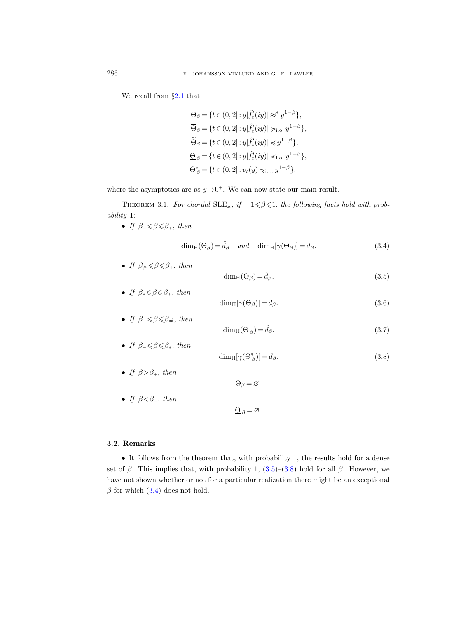We recall from §[2.1](#page-6-0) that

$$
\Theta_{\beta} = \{ t \in (0, 2] : y | \hat{f}'_t(iy) | \approx^* y^{1-\beta} \},\
$$
  
\n
$$
\overline{\Theta}_{\beta} = \{ t \in (0, 2] : y | \hat{f}'_t(iy) | \succ_{i.o.} y^{1-\beta} \},\
$$
  
\n
$$
\widetilde{\Theta}_{\beta} = \{ t \in (0, 2] : y | \hat{f}'_t(iy) | \preccurlyeq y^{1-\beta} \},\
$$
  
\n
$$
\underline{\Theta}_{\beta} = \{ t \in (0, 2] : y | \hat{f}'_t(iy) | \preccurlyeq_{i.o.} y^{1-\beta} \},\
$$
  
\n
$$
\underline{\Theta}_{\beta}^* = \{ t \in (0, 2] : v_t(y) \preccurlyeq_{i.o.} y^{1-\beta} \},\
$$

where the asymptotics are as  $y \rightarrow 0^+$ . We can now state our main result.

<span id="page-21-0"></span>THEOREM 3.1. For chordal  $SLE_{\varkappa}$ , if  $-1 \leq \beta \leq 1$ , the following facts hold with probability 1:

• If  $\beta_-\leq \beta \leq \beta_+$ , then

<span id="page-21-3"></span>
$$
\dim_{\mathcal{H}}(\Theta_{\beta}) = \hat{d}_{\beta} \quad and \quad \dim_{\mathcal{H}}[\gamma(\Theta_{\beta})] = d_{\beta}.
$$
\n(3.4)

• If  $\beta_{\#} \leq \beta \leq \beta_{+}$ , then

<span id="page-21-4"></span><span id="page-21-1"></span>
$$
\dim_{\mathrm{H}}(\overline{\Theta}_{\beta}) = \hat{d}_{\beta}.\tag{3.5}
$$

• If 
$$
\beta_* \le \beta \le \beta_+
$$
, then  
\n
$$
\dim_H[\gamma(\overline{\Theta}_\beta)] = d_\beta.
$$
\n(3.6)

• If 
$$
\beta_- \le \beta \le \beta_{\#}
$$
, then  

$$
\dim_{\mathrm{H}}(\underline{\Theta}_{\beta}) = \hat{d}_{\beta}.
$$
 (3.7)

If 
$$
\beta_- \le \beta \le \beta_*
$$
, then  
\n
$$
\dim_{\mathrm{H}}[\gamma(\underline{\Theta}^*_{\beta})] = d_{\beta}.
$$
\n(3.8)

• If 
$$
\beta > \beta_+
$$
, then

• If 
$$
\beta \leq \beta_{-}
$$
, then

$$
\underline{\Theta}_{\beta} = \varnothing.
$$

<span id="page-21-2"></span> $\overline{\Theta}_{\beta} = \varnothing.$ 

# 3.2. Remarks

• It follows from the theorem that, with probability 1, the results hold for a dense set of  $\beta$ . This implies that, with probability 1, [\(3.5\)](#page-21-1)–[\(3.8\)](#page-21-2) hold for all  $\beta$ . However, we have not shown whether or not for a particular realization there might be an exceptional  $\beta$  for which [\(3.4\)](#page-21-3) does not hold.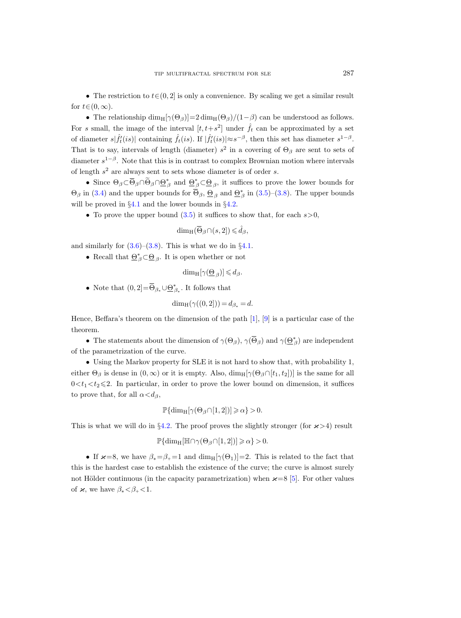• The restriction to  $t \in (0, 2]$  is only a convenience. By scaling we get a similar result for  $t \in (0, \infty)$ .

• The relationship dim<sub>H</sub>[ $\gamma(\Theta_{\beta})$ ]=2 dim<sub>H</sub>( $\Theta_{\beta}$ )/(1– $\beta$ ) can be understood as follows. For s small, the image of the interval  $[t, t+s^2]$  under  $\hat{f}_t$  can be approximated by a set of diameter  $s|\hat{f}'_t(is)|$  containing  $\hat{f}_t(is)$ . If  $|\hat{f}'_t(is)| \approx s^{-\beta}$ , then this set has diameter  $s^{1-\beta}$ . That is to say, intervals of length (diameter)  $s^2$  in a covering of  $\Theta_\beta$  are sent to sets of diameter  $s^{1-\beta}$ . Note that this is in contrast to complex Brownian motion where intervals of length  $s^2$  are always sent to sets whose diameter is of order s.

• Since  $\Theta_{\beta} \subset \overline{\Theta}_{\beta} \cap \Theta_{\beta}^* \cap \Theta_{\beta}^*$  and  $\underline{\Theta}_{\beta}^* \subset \underline{\Theta}_{\beta}$ , it suffices to prove the lower bounds for  $\Theta_{\beta}$  in [\(3.4\)](#page-21-3) and the upper bounds for  $\overline{\Theta}_{\beta}$ ,  $\underline{\Theta}_{\beta}$  and  $\underline{\Theta}_{\beta}^{*}$  in [\(3.5\)](#page-21-1)–[\(3.8\)](#page-21-2). The upper bounds will be proved in §[4.1](#page-27-0) and the lower bounds in §[4.2.](#page-31-0)

• To prove the upper bound  $(3.5)$  it suffices to show that, for each  $s > 0$ ,

$$
\dim_{\mathrm{H}}(\overline{\Theta}_{\beta}\cap(s,2])\leqslant\hat{d}_{\beta},
$$

and similarly for  $(3.6)$ – $(3.8)$ . This is what we do in §[4.1.](#page-27-0)

• Recall that  $\underline{\Theta}_{\beta}^* \subset \underline{\Theta}_{\beta}$ . It is open whether or not

$$
\dim_{\mathrm{H}}[\gamma(\underline{\Theta}_{\beta})] \leq d_{\beta}.
$$

• Note that  $(0, 2] = \overline{\Theta}_{\beta_*} \cup \underline{\Theta}^*_{\beta_*}$ . It follows that

$$
\dim_{\mathcal{H}}(\gamma((0,2])) = d_{\beta_*} = d.
$$

Hence, Beffara's theorem on the dimension of the path [\[1\]](#page-56-8), [\[9\]](#page-56-18) is a particular case of the theorem.

• The statements about the dimension of  $\gamma(\Theta_{\beta}), \gamma(\overline{\Theta}_{\beta})$  and  $\gamma(\underline{\Theta}_{\beta}^{*})$  are independent of the parametrization of the curve.

• Using the Markov property for SLE it is not hard to show that, with probability 1, either  $\Theta_{\beta}$  is dense in  $(0,\infty)$  or it is empty. Also,  $\dim_{\mathrm{H}}[\gamma(\Theta_{\beta}\cap [t_1,t_2])]$  is the same for all  $0 \lt t_1 \lt t_2 \leq 2$ . In particular, in order to prove the lower bound on dimension, it suffices to prove that, for all  $\alpha < d_{\beta}$ ,

$$
\mathbb{P}\{\dim_{\mathrm{H}}[\gamma(\Theta_{\beta}\cap[1,2])] \geqslant \alpha\} > 0.
$$

This is what we will do in §[4.2.](#page-31-0) The proof proves the slightly stronger (for  $\varkappa > 4$ ) result

$$
\mathbb{P}\{\dim_{\mathrm{H}}[\mathbb{H}\cap \gamma(\Theta_{\beta}\cap [1,2])]\geqslant \alpha\}>0.
$$

• If  $\varkappa = 8$ , we have  $\beta_* = \beta_+ = 1$  and  $\dim_H[\gamma(\Theta_1)] = 2$ . This is related to the fact that this is the hardest case to establish the existence of the curve; the curve is almost surely not Hölder continuous (in the capacity parametrization) when  $\varkappa = 8$  [\[5\]](#page-56-10). For other values of  $\varkappa$ , we have  $\beta_* < \beta_* < 1$ .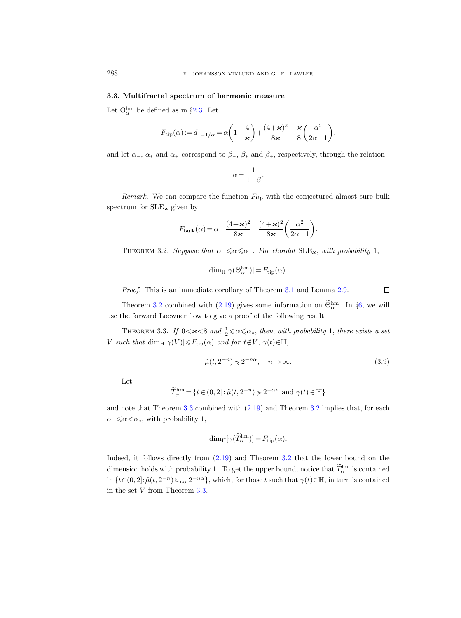### <span id="page-23-2"></span>3.3. Multifractal spectrum of harmonic measure

Let  $\Theta_{\alpha}^{\text{hm}}$  be defined as in §[2.3.](#page-17-0) Let

$$
F_{\mathrm{tip}}(\alpha) := d_{1-1/\alpha} = \alpha \left( 1 - \frac{4}{\varkappa} \right) + \frac{(4+\varkappa)^2}{8 \varkappa} - \frac{\varkappa}{8} \left( \frac{\alpha^2}{2\alpha - 1} \right),
$$

and let  $\alpha_-\,$ ,  $\alpha_*$  and  $\alpha_+$  correspond to  $\beta_-\,$ ,  $\beta_*$  and  $\beta_+$ , respectively, through the relation

$$
\alpha = \frac{1}{1 - \beta}.
$$

Remark. We can compare the function  $F_{\text{tip}}$  with the conjectured almost sure bulk spectrum for  $SLE_{\varkappa}$  given by

$$
F_{\text{bulk}}(\alpha) = \alpha + \frac{(4+\varkappa)^2}{8\varkappa} - \frac{(4+\varkappa)^2}{8\varkappa} \left(\frac{\alpha^2}{2\alpha - 1}\right).
$$

<span id="page-23-0"></span>THEOREM 3.2. Suppose that  $\alpha_-\leq \alpha \leq \alpha_+$ . For chordal SLE<sub> $\infty$ </sub>, with probability 1,

$$
\dim_{\mathrm{H}}[\gamma(\Theta_{\alpha}^{\mathrm{hm}})] = F_{\mathrm{tip}}(\alpha).
$$

Proof. This is an immediate corollary of Theorem [3.1](#page-21-0) and Lemma [2.9.](#page-19-3)

Theorem [3.2](#page-23-0) combined with [\(2.19\)](#page-19-0) gives some information on  $\Theta_{\alpha}^{\text{hm}}$ . In §[6,](#page-44-0) we will use the forward Loewner flow to give a proof of the following result.

<span id="page-23-1"></span>THEOREM 3.3. If  $0 < \varkappa < 8$  and  $\frac{1}{2} \le \alpha \le \alpha_*$ , then, with probability 1, there exists a set V such that  $\dim_{\mathrm{H}}[\gamma(V)] \leq F_{\mathrm{tip}}(\alpha)$  and for  $t \notin V$ ,  $\gamma(t) \in \mathbb{H}$ ,

<span id="page-23-3"></span>
$$
\tilde{\mu}(t, 2^{-n}) \preccurlyeq 2^{-n\alpha}, \quad n \to \infty. \tag{3.9}
$$

Let

$$
\widetilde{T}_{\alpha}^{\text{hm}} = \{ t \in (0,2] : \widetilde{\mu}(t, 2^{-n}) \succcurlyeq 2^{-\alpha n} \text{ and } \gamma(t) \in \mathbb{H} \}
$$

and note that Theorem [3.3](#page-23-1) combined with [\(2.19\)](#page-19-0) and Theorem [3.2](#page-23-0) implies that, for each  $\alpha_-\leqslant\alpha<\alpha_*,$  with probability 1,

$$
\dim_{\mathrm{H}}[\gamma(\widetilde{T}_{\alpha}^{\mathrm{hm}})] = F_{\mathrm{tip}}(\alpha).
$$

Indeed, it follows directly from [\(2.19\)](#page-19-0) and Theorem [3.2](#page-23-0) that the lower bound on the dimension holds with probability 1. To get the upper bound, notice that  $\overline{T}_{\alpha}^{\text{hm}}$  is contained in  $\{t\in(0,2]:\tilde{\mu}(t,2^{-n})\succ_{i.o.}2^{-n\alpha}\},\$  which, for those t such that  $\gamma(t)\in\mathbb{H},\$  in turn is contained in the set V from Theorem [3.3.](#page-23-1)

 $\Box$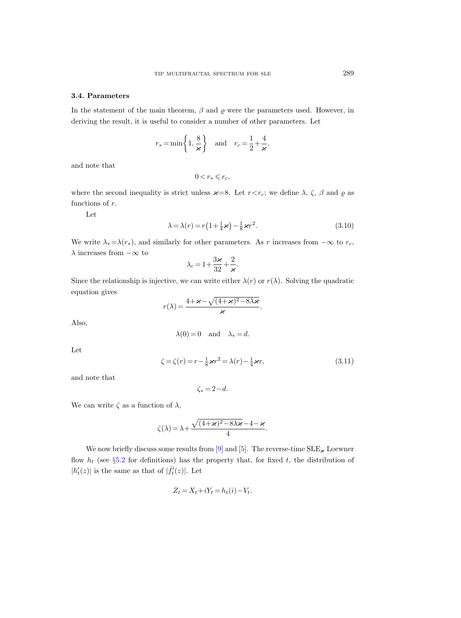# <span id="page-24-0"></span>3.4. Parameters

In the statement of the main theorem,  $\beta$  and  $\varrho$  were the parameters used. However, in deriving the result, it is useful to consider a number of other parameters. Let

$$
r_* = \min\left\{1, \frac{8}{\varkappa}\right\}
$$
 and  $r_c = \frac{1}{2} + \frac{4}{\varkappa}$ ,

and note that

$$
0 < r_* \leqslant r_c,
$$

where the second inequality is strict unless  $\varkappa=8$ . Let  $r < r_c$ ; we define  $\lambda$ ,  $\zeta$ ,  $\beta$  and  $\varrho$  as functions of  $r$ .

Let

$$
\lambda = \lambda(r) = r\left(1 + \frac{1}{4}\varkappa\right) - \frac{1}{8}\varkappa r^2. \tag{3.10}
$$

We write  $\lambda_* = \lambda(r_*)$ , and similarly for other parameters. As r increases from  $-\infty$  to  $r_c$ ,  $\lambda$  increases from  $-\infty$  to

$$
\lambda_c = 1 + \frac{3\kappa}{32} + \frac{2}{\kappa}.
$$

Since the relationship is injective, we can write either  $\lambda(r)$  or  $r(\lambda)$ . Solving the quadratic equation gives

$$
r(\lambda) = \frac{4 + \varkappa - \sqrt{(4 + \varkappa)^2 - 8\lambda\varkappa}}{\varkappa}.
$$

Also,

$$
\lambda(0) = 0 \quad \text{and} \quad \lambda_* = d.
$$

Let

$$
\zeta = \zeta(r) = r - \frac{1}{8}\varkappa r^2 = \lambda(r) - \frac{1}{4}\varkappa r,\tag{3.11}
$$

and note that

$$
\zeta_* = 2 - d.
$$

We can write  $\zeta$  as a function of  $\lambda$ ,

$$
\zeta(\lambda) = \lambda + \frac{\sqrt{(4+\varkappa)^2 - 8\lambda\varkappa} - 4 - \varkappa}{4}.
$$

We now briefly discuss some results from [\[9\]](#page-56-18) and [\[5\]](#page-56-10). The reverse-time  $SLE_{\varkappa}$  Loewner flow  $h_t$  (see §[5.2](#page-39-0) for definitions) has the property that, for fixed t, the distribution of  $|h'_t(z)|$  is the same as that of  $|\hat{f}'_t(z)|$ . Let

$$
Z_t = X_t + iY_t = h_t(i) - V_t.
$$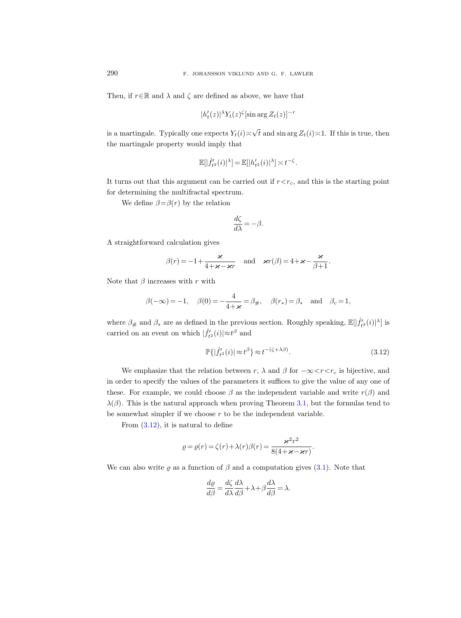Then, if  $r \in \mathbb{R}$  and  $\lambda$  and  $\zeta$  are defined as above, we have that

$$
|h'_t(z)|^{\lambda} Y_t(z)^{\zeta}[\sin \arg Z_t(z)]^{-r}
$$

is a martingale. Typically one expects  $Y_t(i)$ √ t and sin arg  $Z_t(i) \leq 1$ . If this is true, then the martingale property would imply that

$$
\mathbb{E}[|\hat{f}'_{t^2}(i)|^{\lambda}] = \mathbb{E}[|h'_{t^2}(i)|^{\lambda}] \asymp t^{-\zeta}.
$$

It turns out that this argument can be carried out if  $r < r<sub>c</sub>$ , and this is the starting point for determining the multifractal spectrum.

We define  $\beta = \beta(r)$  by the relation

$$
\frac{d\zeta}{d\lambda} = -\beta.
$$

A straightforward calculation gives

$$
\beta(r) = -1 + \frac{\varkappa}{4 + \varkappa - \varkappa r}
$$
 and  $\varkappa r(\beta) = 4 + \varkappa - \frac{\varkappa}{\beta + 1}$ .

Note that  $\beta$  increases with r with

$$
\beta(-\infty)=-1,\quad \beta(0)=-\frac{4}{4+\varkappa}=\beta_\#, \quad \beta(r_*)=\beta_*\quad \text{and}\quad \beta_c=1,
$$

where  $\beta_{\#}$  and  $\beta_{*}$  are as defined in the previous section. Roughly speaking,  $\mathbb{E}[\hat{f}_{t2}'(i)|^{\lambda}]$  is carried on an event on which  $|\hat{f}'_{t^2}(i)| \approx t^{\beta}$  and

<span id="page-25-0"></span>
$$
\mathbb{P}\{|\hat{f}_{t^2}'(i)| \approx t^{\beta}\} \approx t^{-(\zeta + \lambda \beta)}.\tag{3.12}
$$

We emphasize that the relation between r,  $\lambda$  and  $\beta$  for  $-\infty < r < r_c$  is bijective, and in order to specify the values of the parameters it suffices to give the value of any one of these. For example, we could choose  $\beta$  as the independent variable and write  $r(\beta)$  and  $\lambda(\beta)$ . This is the natural approach when proving Theorem [3.1,](#page-21-0) but the formulas tend to be somewhat simpler if we choose  $r$  to be the independent variable.

From  $(3.12)$ , it is natural to define

$$
\varrho = \varrho(r) = \zeta(r) + \lambda(r)\beta(r) = \frac{\varkappa^2 r^2}{8(4 + \varkappa - \varkappa r)}.
$$

We can also write  $\rho$  as a function of  $\beta$  and a computation gives [\(3.1\)](#page-20-1). Note that

$$
\frac{d\rho}{d\beta} = \frac{d\zeta}{d\lambda} \frac{d\lambda}{d\beta} + \lambda + \beta \frac{d\lambda}{d\beta} = \lambda.
$$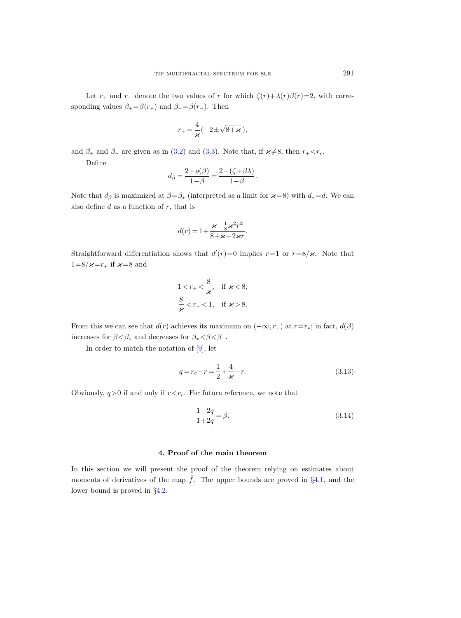Let  $r_+$  and  $r_-$  denote the two values of r for which  $\zeta(r)+\lambda(r)\beta(r)=2$ , with corresponding values  $\beta_+ = \beta(r_+)$  and  $\beta_- = \beta(r_-)$ . Then

$$
r_{\pm}=\frac{4}{\varkappa}(-2\pm\sqrt{8+\varkappa}\,),
$$

and  $\beta_+$  and  $\beta_-$  are given as in [\(3.2\)](#page-20-2) and [\(3.3\)](#page-20-3). Note that, if  $\varkappa \neq 8$ , then  $r_+ < r_c$ .

Define

$$
d_{\beta} = \frac{2 - \varrho(\beta)}{1 - \beta} = \frac{2 - (\zeta + \beta \lambda)}{1 - \beta}.
$$

Note that  $d_{\beta}$  is maximized at  $\beta = \beta_*$  (interpreted as a limit for  $\varkappa = 8$ ) with  $d_* = d$ . We can also define  $d$  as a function of  $r$ , that is

$$
d(r) = 1 + \frac{\varkappa - \frac{1}{8}\varkappa^2 r^2}{8 + \varkappa - 2\varkappa r}.
$$

Straightforward differentiation shows that  $d'(r)=0$  implies  $r=1$  or  $r=8/\varkappa$ . Note that  $1=8/\varkappa=r_{+}$  if  $\varkappa=8$  and

$$
1 < r_+ < \frac{8}{\varkappa}, \quad \text{if } \varkappa < 8,
$$
\n
$$
\frac{8}{\varkappa} < r_+ < 1, \quad \text{if } \varkappa > 8.
$$

From this we can see that  $d(r)$  achieves its maximum on  $(-\infty, r_+)$  at  $r=r_*$ ; in fact,  $d(\beta)$ increases for  $\beta < \beta_*$  and decreases for  $\beta_* < \beta < \beta_+$ .

In order to match the notation of [\[9\]](#page-56-18), let

$$
q = r_c - r = \frac{1}{2} + \frac{4}{\varkappa} - r.
$$
\n(3.13)

Obviously,  $q>0$  if and only if  $r < r_c$ . For future reference, we note that

$$
\frac{1-2q}{1+2q} = \beta.
$$
\n(3.14)

#### 4. Proof of the main theorem

<span id="page-26-0"></span>In this section we will present the proof of the theorem relying on estimates about moments of derivatives of the map  $\hat{f}$ . The upper bounds are proved in §[4.1,](#page-27-0) and the lower bound is proved in §[4.2.](#page-31-0)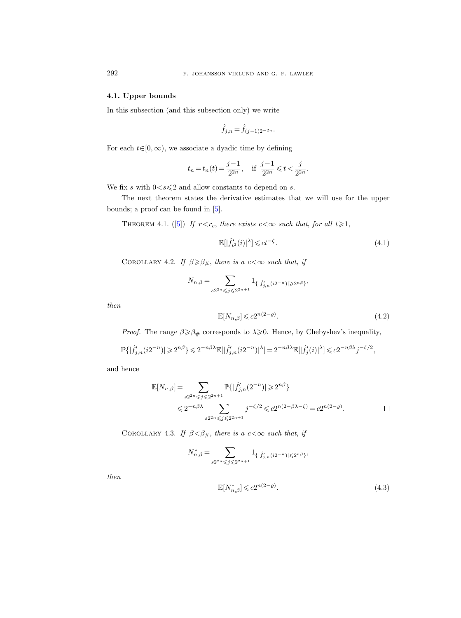# <span id="page-27-0"></span>4.1. Upper bounds

In this subsection (and this subsection only) we write

$$
\hat{f}_{j,n} = \hat{f}_{(j-1)2^{-2n}}.
$$

For each  $t \in [0, \infty)$ , we associate a dyadic time by defining

$$
t_n = t_n(t) = \frac{j-1}{2^{2n}},
$$
 if  $\frac{j-1}{2^{2n}} \le t < \frac{j}{2^{2n}}.$ 

We fix s with  $0 < s \leq 2$  and allow constants to depend on s.

The next theorem states the derivative estimates that we will use for the upper bounds; a proof can be found in [\[5\]](#page-56-10).

<span id="page-27-3"></span>THEOREM4.1. ([\[5\]](#page-56-10)) If  $r < r_c$ , there exists  $c < \infty$  such that, for all  $t \geq 1$ ,

$$
\mathbb{E}[|\hat{f}'_{t^2}(i)|^{\lambda}] \leqslant ct^{-\zeta}.\tag{4.1}
$$

COROLLARY 4.2. If  $\beta \geqslant \beta_{\#},$  there is a  $c < \infty$  such that, if

$$
N_{n,\beta} = \sum_{s2^{2n} \leqslant j \leqslant 2^{2n+1}} 1_{\{|\hat{f}'_{j,n}(i2^{-n})| \geqslant 2^{n\beta}\}}
$$

then

<span id="page-27-1"></span>
$$
\mathbb{E}[N_{n,\beta}] \leqslant c2^{n(2-\varrho)}.\tag{4.2}
$$

*Proof.* The range  $\beta \geq \beta_{\#}$  corresponds to  $\lambda \geq 0$ . Hence, by Chebyshev's inequality,

$$
\mathbb{P}\{|\hat{f}'_{j,n}(i2^{-n})|\geqslant 2^{n\beta}\}\leqslant 2^{-n\beta\lambda}\mathbb{E}[|\hat{f}'_{j,n}(i2^{-n})|^{\lambda}]=2^{-n\beta\lambda}\mathbb{E}[|\hat{f}'_j(i)|^{\lambda}]\leqslant c2^{-n\beta\lambda}j^{-\zeta/2},
$$

and hence

$$
\mathbb{E}[N_{n,\beta}] = \sum_{s2^{2n} \leq j \leq 2^{2n+1}} \mathbb{P}\{|\hat{f}'_{j,n}(2^{-n})| \geq 2^{n\beta}\}\
$$
  

$$
\leq 2^{-n\beta\lambda} \sum_{s2^{2n} \leq j \leq 2^{2n+1}} j^{-\zeta/2} \leq c2^{n(2-\beta\lambda-\zeta)} = c2^{n(2-\varrho)}.
$$

COROLLARY 4.3. If  $\beta < \beta_{\#}$ , there is a  $c < \infty$  such that, if

$$
N_{n,\beta}^*=\sum_{s2^{2n}\leqslant j\leqslant 2^{2n+1}}1_{\{|\hat{f}'_{j,n}(i2^{-n})|\leqslant 2^{n\beta}\}},
$$

then

<span id="page-27-2"></span>
$$
\mathbb{E}[N_{n,\beta}^*] \leqslant c2^{n(2-\varrho)}.\tag{4.3}
$$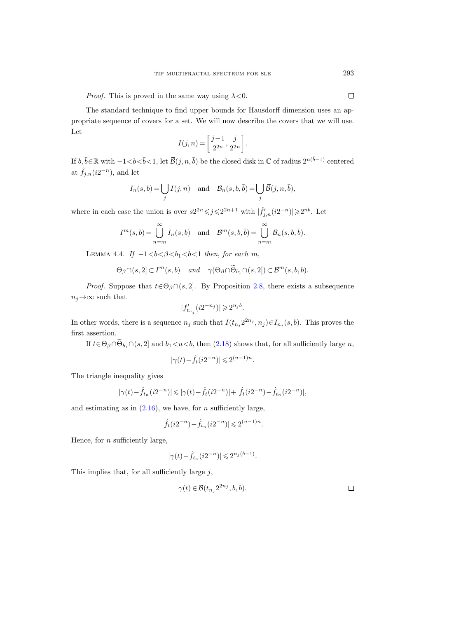*Proof.* This is proved in the same way using  $\lambda < 0$ .

The standard technique to find upper bounds for Hausdorff dimension uses an appropriate sequence of covers for a set. We will now describe the covers that we will use. Let

$$
I(j,n) = \left[\frac{j-1}{2^{2n}}, \frac{j}{2^{2n}}\right].
$$

If  $b, \overline{b} \in \mathbb{R}$  with  $-1 < b < \overline{b} < 1$ , let  $\overline{\mathcal{B}}(j, n, \overline{b})$  be the closed disk in ℂ of radius  $2^{n(\overline{b}-1)}$  centered at  $\hat{f}_{j,n}(i2^{-n})$ , and let

$$
I_n(s, b) = \bigcup_j I(j, n)
$$
 and  $B_n(s, b, \overline{b}) = \bigcup_j \overline{\mathcal{B}}(j, n, \overline{b}),$ 

where in each case the union is over  $s2^{2n} \leq j \leq 2^{2n+1}$  with  $|\hat{f}'_{j,n}(i2^{-n})| \geq 2^{nb}$ . Let

$$
I^{m}(s,b) = \bigcup_{n=m}^{\infty} I_{n}(s,b) \text{ and } \mathcal{B}^{m}(s,b,\overline{b}) = \bigcup_{n=m}^{\infty} \mathcal{B}_{n}(s,b,\overline{b}).
$$

<span id="page-28-0"></span>LEMMA 4.4. If  $-1 < b < \beta < b_1 < \bar{b} < 1$  then, for each m,

$$
\overline{\Theta}_{\beta} \cap (s,2] \subset I^m(s,b) \quad \text{and} \quad \gamma(\overline{\Theta}_{\beta} \cap \widetilde{\Theta}_{b_1} \cap (s,2]) \subset \mathcal{B}^m(s,b,\overline{b}).
$$

*Proof.* Suppose that  $t \in \overline{\Theta}_{\beta} \cap (s, 2]$ . By Proposition [2.8,](#page-16-0) there exists a subsequence  $n_j \rightarrow \infty$  such that

$$
|f_{t_{n_j}}'(i2^{-n_j})| \geqslant 2^{n_j b}.
$$

In other words, there is a sequence  $n_j$  such that  $I(t_{n_j} 2^{2n_j}, n_j) \in I_{n_j}(s, b)$ . This proves the first assertion.

If  $t \in \overline{\Theta}_{\beta} \cap \widetilde{\Theta}_{b_1} \cap (s, 2]$  and  $b_1 < u < \overline{b}$ , then  $(2.18)$  shows that, for all sufficiently large n,

$$
|\gamma(t)-\hat{f}_{t}(i2^{-n})|\leqslant 2^{(u-1)n}.
$$

The triangle inequality gives

$$
|\gamma(t) - \hat{f}_{t_n}(i2^{-n})| \le |\gamma(t) - \hat{f}_t(i2^{-n})| + |\hat{f}_t(i2^{-n}) - \hat{f}_{t_n}(i2^{-n})|,
$$

and estimating as in  $(2.16)$ , we have, for *n* sufficiently large,

$$
|\hat{f}_{t}(i2^{-n}) - \hat{f}_{t_n}(i2^{-n})| \leqslant 2^{(u-1)n}.
$$

Hence, for  $n$  sufficiently large,

$$
|\gamma(t)-\widehat{f}_{t_n}(i2^{-n})|\leqslant 2^{n_j(\bar b-1)}.
$$

<span id="page-28-1"></span>This implies that, for all sufficiently large  $j$ ,

$$
\gamma(t) \in \mathcal{B}(t_{n_j} 2^{2n_j}, b, \bar{b}). \square
$$

 $\Box$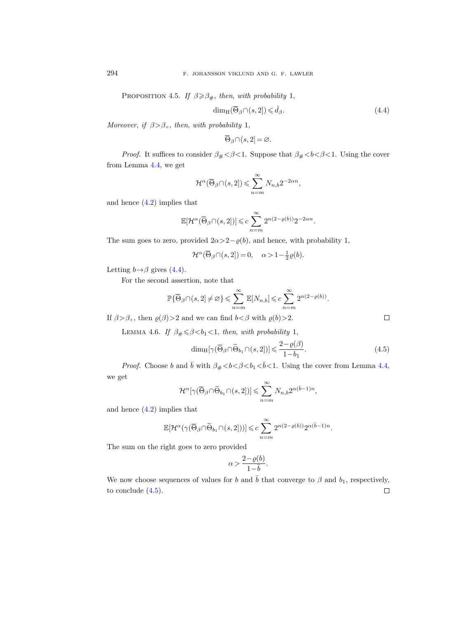PROPOSITION 4.5. If  $\beta \geq \beta_{\#}$ , then, with probability 1,

<span id="page-29-0"></span>
$$
\dim_{\mathrm{H}}(\overline{\Theta}_{\beta}\cap(s,2]) \leq \hat{d}_{\beta}.\tag{4.4}
$$

Moreover, if  $\beta > \beta_+$ , then, with probability 1,

$$
\overline{\Theta}_{\beta} \cap (s, 2] = \varnothing.
$$

*Proof.* It suffices to consider  $\beta_{\#} < \beta < 1$ . Suppose that  $\beta_{\#} < b < \beta < 1$ . Using the cover from Lemma [4.4,](#page-28-0) we get

$$
\mathcal{H}^{\alpha}(\overline{\Theta}_{\beta}\cap(s,2])\leqslant \sum_{n=m}^{\infty}N_{n,b}2^{-2\alpha n},
$$

and hence [\(4.2\)](#page-27-1) implies that

$$
\mathbb{E}[\mathcal{H}^\alpha(\overline{\Theta}_\beta \cap (s,2])] \leqslant c \sum_{n=m}^\infty 2^{n(2-\varrho(b))} 2^{-2\alpha n}.
$$

The sum goes to zero, provided  $2\alpha > 2-\varrho(b)$ , and hence, with probability 1,

$$
\mathcal{H}^{\alpha}(\overline{\Theta}_{\beta} \cap (s, 2]) = 0, \quad \alpha > 1 - \frac{1}{2}\varrho(b).
$$

Letting  $b \rightarrow \beta$  gives [\(4.4\)](#page-29-0).

For the second assertion, note that

$$
\mathbb{P}\{\overline{\Theta}_{\beta}\cap(s,2]\neq\varnothing\}\leqslant\sum_{n=m}^{\infty}\mathbb{E}[N_{n,b}]\leqslant c\sum_{n=m}^{\infty}2^{n(2-\varrho(b))}.
$$

If  $\beta > \beta_+$ , then  $\varrho(\beta) > 2$  and we can find  $b < \beta$  with  $\varrho(b) > 2$ .

<span id="page-29-2"></span>LEMMA 4.6. If  $\beta_{\#} \leq \beta < b_1 < 1$ , then, with probability 1,

<span id="page-29-1"></span>
$$
\dim_{\mathrm{H}}[\gamma(\overline{\Theta}_{\beta} \cap \widetilde{\Theta}_{b_1} \cap (s, 2])] \leqslant \frac{2 - \varrho(\beta)}{1 - b_1}.
$$
\n(4.5)

*Proof.* Choose b and  $\bar{b}$  with  $\beta_{\#} < b < \beta < b_1 < \bar{b} < 1$ . Using the cover from Lemma [4.4,](#page-28-0) we get

$$
\mathcal{H}^{\alpha}[\gamma(\overline{\Theta}_{\beta} \cap \widetilde{\Theta}_{b_1} \cap (s,2])] \leq \sum_{n=m}^{\infty} N_{n,b} 2^{\alpha(\overline{b}-1)n},
$$

and hence [\(4.2\)](#page-27-1) implies that

$$
\mathbb{E}[\mathcal{H}^{\alpha}(\gamma(\overline{\Theta}_{\beta}\cap\widetilde{\Theta}_{b_1}\cap(s,2]))] \leqslant c \sum_{n=m}^{\infty} 2^{n(2-\varrho(b))} 2^{\alpha(\overline{b}-1)n}.
$$

The sum on the right goes to zero provided

$$
\alpha > \frac{2-\varrho(b)}{1-\bar{b}}.
$$

We now choose sequences of values for b and  $\bar{b}$  that converge to  $\beta$  and  $b_1$ , respectively, to conclude  $(4.5)$ .  $\Box$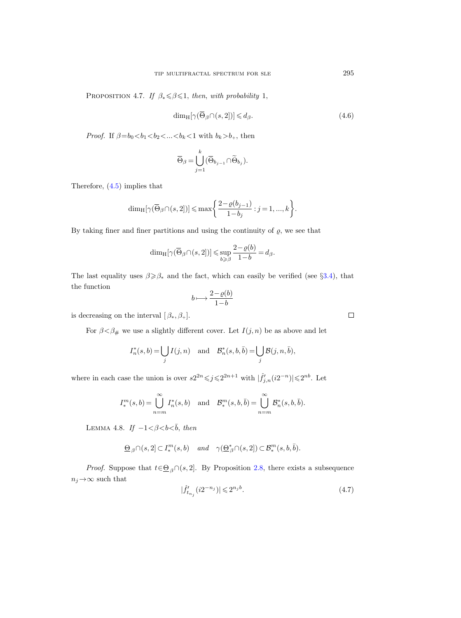PROPOSITION 4.7. If  $\beta_* \leq \beta \leq 1$ , then, with probability 1,

$$
\dim_{\mathrm{H}}[\gamma(\overline{\Theta}_{\beta}\cap(s,2])] \leq d_{\beta}.\tag{4.6}
$$

*Proof.* If  $\beta = b_0 < b_1 < b_2 < ... < b_k < 1$  with  $b_k > b_+$ , then

$$
\overline{\Theta}_{\beta} = \bigcup_{j=1}^{k} (\overline{\Theta}_{b_{j-1}} \cap \widetilde{\Theta}_{b_j}).
$$

Therefore, [\(4.5\)](#page-29-1) implies that

$$
\dim_{\mathrm{H}}[\gamma(\overline{\Theta}_{\beta}\cap(s,2])]\leqslant \max\bigg\{\frac{2-\varrho(b_{j-1})}{1-b_j}:j=1,...,k\bigg\}.
$$

By taking finer and finer partitions and using the continuity of  $\rho$ , we see that

$$
\dim_{\mathrm{H}}[\gamma(\overline{\Theta}_{\beta}\cap(s,2])]\leqslant \sup_{b\geqslant\beta}\frac{2-\varrho(b)}{1-b}=d_{\beta}.
$$

The last equality uses  $\beta \ge \beta_*$  and the fact, which can easily be verified (see §[3.4\)](#page-24-0), that the function

$$
b \longmapsto \frac{2 - \varrho(b)}{1 - b}
$$

is decreasing on the interval  $[\beta_*, \beta_+]$ .

For  $\beta \hspace{-0.05cm}< \hspace{-0.05cm} \beta_\#$  we use a slightly different cover. Let  $I(j,n)$  be as above and let

$$
I_n^*(s, b) = \bigcup_j I(j, n) \text{ and } \mathcal{B}_n^*(s, b, \overline{b}) = \bigcup_j \mathcal{B}(j, n, \overline{b}),
$$

where in each case the union is over  $s2^{2n} \leq j \leq 2^{2n+1}$  with  $|\hat{f}'_{j,n}(i2^{-n})| \leq 2^{nb}$ . Let

$$
I_*^m(s, b) = \bigcup_{n=m}^{\infty} I_n^*(s, b) \quad \text{and} \quad \mathcal{B}_*^m(s, b, \bar{b}) = \bigcup_{n=m}^{\infty} \mathcal{B}_n^*(s, b, \bar{b}).
$$

LEMMA 4.8. If  $-1 < \beta < b < \bar{b}$ , then

$$
\underline{\Theta}_{\beta} \cap (s,2] \subset I_*^m(s,b) \quad \text{and} \quad \gamma(\underline{\Theta}_{\beta}^* \cap (s,2]) \subset \mathcal{B}_*^m(s,b,\overline{b}).
$$

*Proof.* Suppose that  $t \in \mathcal{Q}_{\beta} \cap (s, 2]$ . By Proposition [2.8,](#page-16-0) there exists a subsequence  $n_j \rightarrow \infty$  such that

<span id="page-30-0"></span>
$$
|\hat{f}'_{t_{n_j}}(i2^{-n_j})| \leq 2^{n_j b}.\tag{4.7}
$$

 $\Box$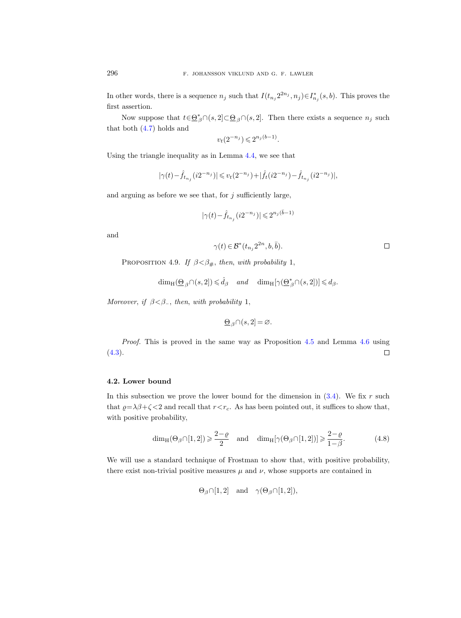In other words, there is a sequence  $n_j$  such that  $I(t_{n_j} 2^{2n_j}, n_j) \in I_{n_j}^*(s, b)$ . This proves the first assertion.

Now suppose that  $t \in \underline{\Theta}^*_{\beta} \cap (s, 2] \subset \underline{\Theta}_{\beta} \cap (s, 2]$ . Then there exists a sequence  $n_j$  such that both [\(4.7\)](#page-30-0) holds and

$$
v_t(2^{-n_j}) \leqslant 2^{n_j(b-1)}.
$$

Using the triangle inequality as in Lemma [4.4,](#page-28-0) we see that

$$
|\gamma(t) - \hat{f}_{t_{n_j}}(i2^{-n_j})| \leqslant v_t(2^{-n_j}) + |\hat{f}_{t}(i2^{-n_j}) - \hat{f}_{t_{n_j}}(i2^{-n_j})|,
$$

and arguing as before we see that, for  $j$  sufficiently large,

$$
|\gamma(t)-\widehat{f}_{t_{n_j}}(i2^{-n_j})|\leqslant 2^{n_j(\bar{b}-1)}
$$

and

$$
\gamma(t)\in \mathcal{B}^*(t_{n_j}2^{2n},b,\bar{b}).
$$

PROPOSITION 4.9. If  $\beta < \beta_{\#}$ , then, with probability 1,

$$
\dim_{\mathrm{H}}(\underline{\Theta}_{\beta}\cap(s,2])\leqslant \hat{d}_{\beta} \quad \text{and} \quad \dim_{\mathrm{H}}[\gamma(\underline{\Theta}_{\beta}^{*}\cap(s,2])]\leqslant d_{\beta}.
$$

Moreover, if  $\beta < \beta_-,$  then, with probability 1,

$$
\underline{\Theta}_{\beta} \cap (s, 2] = \varnothing.
$$

Proof. This is proved in the same way as Proposition [4.5](#page-28-1) and Lemma [4.6](#page-29-2) using  $(4.3).$  $(4.3).$  $\Box$ 

# <span id="page-31-0"></span>4.2. Lower bound

In this subsection we prove the lower bound for the dimension in  $(3.4)$ . We fix r such that  $\varrho = \lambda \beta + \zeta < 2$  and recall that  $r < r_c$ . As has been pointed out, it suffices to show that, with positive probability,

<span id="page-31-1"></span>
$$
\dim_{\mathcal{H}}(\Theta_{\beta}\cap[1,2]) \geqslant \frac{2-\varrho}{2} \quad \text{and} \quad \dim_{\mathcal{H}}[\gamma(\Theta_{\beta}\cap[1,2])] \geqslant \frac{2-\varrho}{1-\beta}.\tag{4.8}
$$

We will use a standard technique of Frostman to show that, with positive probability, there exist non-trivial positive measures  $\mu$  and  $\nu$ , whose supports are contained in

$$
\Theta_{\beta} \cap [1,2]
$$
 and  $\gamma(\Theta_{\beta} \cap [1,2]),$ 

 $\Box$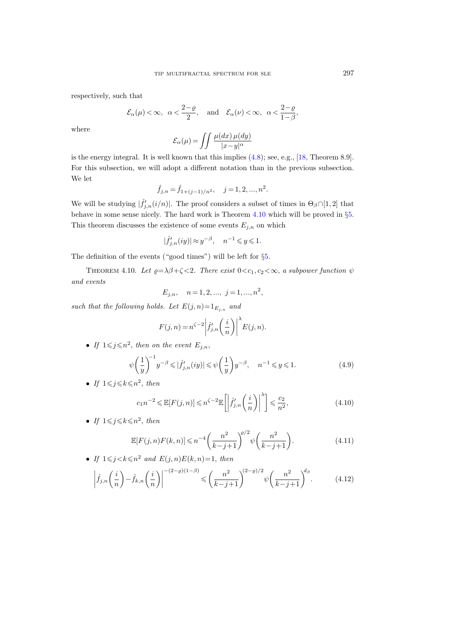respectively, such that

$$
\mathcal{E}_{\alpha}(\mu) < \infty
$$
,  $\alpha < \frac{2-\varrho}{2}$ , and  $\mathcal{E}_{\alpha}(\nu) < \infty$ ,  $\alpha < \frac{2-\varrho}{1-\beta}$ ,

where

$$
\mathcal{E}_{\alpha}(\mu) = \iint \frac{\mu(dx) \,\mu(dy)}{|x - y|^{\alpha}}
$$

is the energy integral. It is well known that this implies [\(4.8\)](#page-31-1); see, e.g., [\[18,](#page-56-21) Theorem 8.9]. For this subsection, we will adopt a different notation than in the previous subsection. We let

$$
\hat{f}_{j,n} = \hat{f}_{1+(j-1)/n^2}, \quad j = 1, 2, ..., n^2.
$$

We will be studying  $|\hat{f}'_{j,n}(i/n)|$ . The proof considers a subset of times in  $\Theta_{\beta} \cap [1,2]$  that behave in some sense nicely. The hard work is Theorem [4.10](#page-32-0) which will be proved in §[5.](#page-36-0) This theorem discusses the existence of some events  $E_{j,n}$  on which

$$
|\hat{f}'_{j,n}(iy)| \approx y^{-\beta}, \quad n^{-1} \leqslant y \leqslant 1.
$$

The definition of the events ("good times") will be left for §[5.](#page-36-0)

<span id="page-32-0"></span>THEOREM 4.10. Let  $\varrho = \lambda \beta + \zeta < 2$ . There exist  $0 < c_1, c_2 < \infty$ , a subpower function  $\psi$ and events

$$
E_{j,n}, \quad n = 1, 2, \dots, j = 1, \dots, n^2,
$$

such that the following holds. Let  $E(j, n) = 1_{E_{j,n}}$  and

$$
F(j,n) = n^{\zeta - 2} \left| \hat{f}'_{j,n} \left( \frac{i}{n} \right) \right|^{\lambda} E(j,n).
$$

• If  $1 \leq j \leq n^2$ , then on the event  $E_{j,n}$ ,

<span id="page-32-4"></span>
$$
\psi\left(\frac{1}{y}\right)^{-1} y^{-\beta} \leqslant |\hat{f}'_{j,n}(iy)| \leqslant \psi\left(\frac{1}{y}\right) y^{-\beta}, \quad n^{-1} \leqslant y \leqslant 1. \tag{4.9}
$$

• If  $1 \leq j \leq k \leq n^2$ , then

<span id="page-32-1"></span>
$$
c_1 n^{-2} \leq \mathbb{E}[F(j,n)] \leq n^{\zeta - 2} \mathbb{E}\left[\left|\hat{f}'_{j,n}\left(\frac{i}{n}\right)\right|^{\lambda}\right] \leq \frac{c_2}{n^2},\tag{4.10}
$$

• If  $1 \leq j \leq k \leq n^2$ , then

<span id="page-32-2"></span>
$$
\mathbb{E}[F(j,n)F(k,n)] \le n^{-4} \left(\frac{n^2}{k-j+1}\right)^{e/2} \psi\left(\frac{n^2}{k-j+1}\right).
$$
 (4.11)

<span id="page-32-3"></span>• If 
$$
1 \le j < k \le n^2
$$
 and  $E(j, n)E(k, n) = 1$ , then  
\n
$$
\left| \hat{f}_{j,n}\left(\frac{i}{n}\right) - \hat{f}_{k,n}\left(\frac{i}{n}\right) \right|^{-(2-\varrho)(1-\beta)} \le \left(\frac{n^2}{k-j+1}\right)^{(2-\varrho)/2} \psi\left(\frac{n^2}{k-j+1}\right)^{d_{\beta}}.
$$
\n(4.12)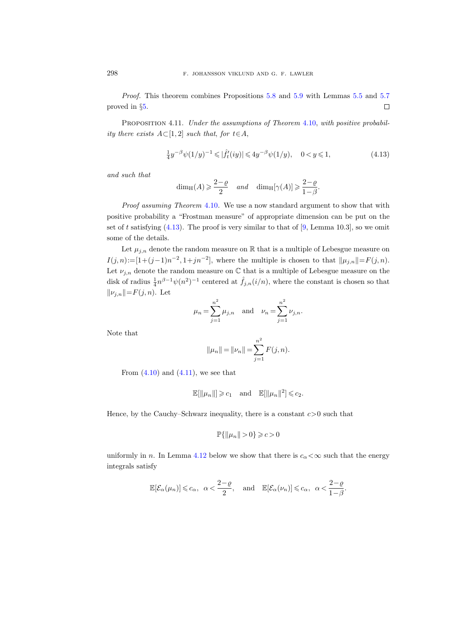Proof. This theorem combines Propositions [5.8](#page-42-0) and [5.9](#page-43-0) with Lemmas [5.5](#page-41-0) and [5.7](#page-41-1)  $\Box$ proved in §[5.](#page-36-0)

<span id="page-33-1"></span>PROPOSITION 4.11. Under the assumptions of Theorem [4.10,](#page-32-0) with positive probability there exists  $A\subset [1,2]$  such that, for  $t\in A$ ,

<span id="page-33-0"></span>
$$
\frac{1}{4}y^{-\beta}\psi(1/y)^{-1} \leq \left|\hat{f}_t'(iy)\right| \leq 4y^{-\beta}\psi(1/y), \quad 0 < y \leq 1,\tag{4.13}
$$

and such that

$$
\dim_{\mathrm{H}}(A) \geqslant \frac{2-\varrho}{2} \quad \text{and} \quad \dim_{\mathrm{H}}[\gamma(A)] \geqslant \frac{2-\varrho}{1-\beta}.
$$

Proof assuming Theorem [4.10](#page-32-0). We use a now standard argument to show that with positive probability a "Frostman measure" of appropriate dimension can be put on the set of t satisfying  $(4.13)$ . The proof is very similar to that of  $[9, \text{Lemma } 10.3]$ , so we omit some of the details.

Let  $\mu_{j,n}$  denote the random measure on  $\mathbb R$  that is a multiple of Lebesgue measure on  $I(j,n) := [1+(j-1)n^{-2}, 1+jn^{-2}]$ , where the multiple is chosen to that  $\|\mu_{j,n}\| = F(j,n)$ . Let  $\nu_{j,n}$  denote the random measure on  $\mathbb C$  that is a multiple of Lebesgue measure on the disk of radius  $\frac{1}{4}n^{\beta-1}\psi(n^2)^{-1}$  centered at  $\hat{f}_{j,n}(i/n)$ , where the constant is chosen so that  $||\nu_{j,n}|| = F(j, n)$ . Let

$$
\mu_n = \sum_{j=1}^{n^2} \mu_{j,n}
$$
 and  $\nu_n = \sum_{j=1}^{n^2} \nu_{j,n}$ .

Note that

$$
||\mu_n|| = ||\nu_n|| = \sum_{j=1}^{n^2} F(j, n).
$$

From  $(4.10)$  and  $(4.11)$ , we see that

$$
\mathbb{E}[\|\mu_n\|] \geqslant c_1 \quad \text{and} \quad \mathbb{E}[\|\mu_n\|^2] \leqslant c_2.
$$

Hence, by the Cauchy–Schwarz inequality, there is a constant  $c > 0$  such that

$$
\mathbb{P}\{\|\mu_n\|>0\}\geqslant c>0
$$

uniformly in n. In Lemma [4.12](#page-34-0) below we show that there is  $c_{\alpha} < \infty$  such that the energy integrals satisfy

$$
\mathbb{E}[\mathcal{E}_{\alpha}(\mu_n)] \leqslant c_{\alpha}, \ \ \alpha < \frac{2-\varrho}{2}, \quad \text{and} \quad \mathbb{E}[\mathcal{E}_{\alpha}(\nu_n)] \leqslant c_{\alpha}, \ \ \alpha < \frac{2-\varrho}{1-\beta}.
$$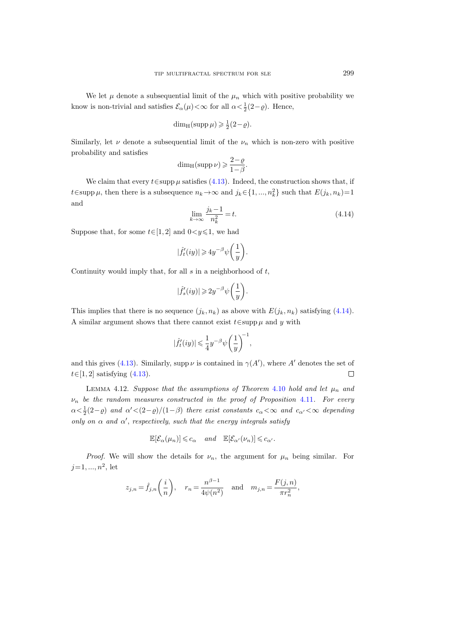We let  $\mu$  denote a subsequential limit of the  $\mu_n$  which with positive probability we know is non-trivial and satisfies  $\mathcal{E}_{\alpha}(\mu) < \infty$  for all  $\alpha < \frac{1}{2}(2-\varrho)$ . Hence,

$$
\dim_{\mathrm{H}}(\mathrm{supp}\,\mu)\geqslant \tfrac{1}{2}(2-\varrho).
$$

Similarly, let  $\nu$  denote a subsequential limit of the  $\nu_n$  which is non-zero with positive probability and satisfies

$$
\dim_{\mathrm{H}}(\mathrm{supp}\,\nu)\geqslant \frac{2-\varrho}{1-\beta}.
$$

We claim that every  $t \in \text{supp }\mu$  satisfies [\(4.13\)](#page-33-0). Indeed, the construction shows that, if t∈supp  $\mu$ , then there is a subsequence  $n_k \to \infty$  and  $j_k \in \{1, ..., n_k^2\}$  such that  $E(j_k, n_k)=1$ and

<span id="page-34-1"></span>
$$
\lim_{k \to \infty} \frac{j_k - 1}{n_k^2} = t.
$$
\n(4.14)

Suppose that, for some  $t \in [1, 2]$  and  $0 < y \le 1$ , we had

$$
|\hat{f}_t'(iy)| \geqslant 4 y^{-\beta} \psi\bigg(\frac{1}{y}\bigg).
$$

Continuity would imply that, for all  $s$  in a neighborhood of  $t$ ,

$$
|\hat{f}_s'(iy)| \geq 2y^{-\beta} \psi\bigg(\frac{1}{y}\bigg).
$$

This implies that there is no sequence  $(j_k, n_k)$  as above with  $E(j_k, n_k)$  satisfying [\(4.14\)](#page-34-1). A similar argument shows that there cannot exist  $t \in \text{supp}\,\mu$  and y with

$$
|\hat{f}_t'(iy)| \leqslant \frac{1}{4} y^{-\beta} \psi\bigg(\frac{1}{y}\bigg)^{\hspace{-0.05cm}-1}
$$

,

and this gives [\(4.13\)](#page-33-0). Similarly, supp  $\nu$  is contained in  $\gamma(A')$ , where A' denotes the set of  $t \in [1, 2]$  satisfying  $(4.13)$ .  $\Box$ 

<span id="page-34-0"></span>LEMMA 4.12. Suppose that the assumptions of Theorem [4.10](#page-32-0) hold and let  $\mu_n$  and  $\nu_n$  be the random measures constructed in the proof of Proposition [4.11](#page-33-1). For every  $\alpha < \frac{1}{2}(2-\varrho)$  and  $\alpha' < (2-\varrho)/(1-\beta)$  there exist constants  $c_{\alpha} < \infty$  and  $c_{\alpha'} < \infty$  depending only on  $\alpha$  and  $\alpha'$ , respectively, such that the energy integrals satisfy

$$
\mathbb{E}[\mathcal{E}_{\alpha}(\mu_n)] \leqslant c_{\alpha} \quad \text{and} \quad \mathbb{E}[\mathcal{E}_{\alpha'}(\nu_n)] \leqslant c_{\alpha'}.
$$

*Proof.* We will show the details for  $\nu_n$ , the argument for  $\mu_n$  being similar. For  $j=1, ..., n^2$ , let

$$
z_{j,n} = \hat{f}_{j,n}\left(\frac{i}{n}\right), \quad r_n = \frac{n^{\beta-1}}{4\psi(n^2)} \quad \text{and} \quad m_{j,n} = \frac{F(j,n)}{\pi r_n^2},
$$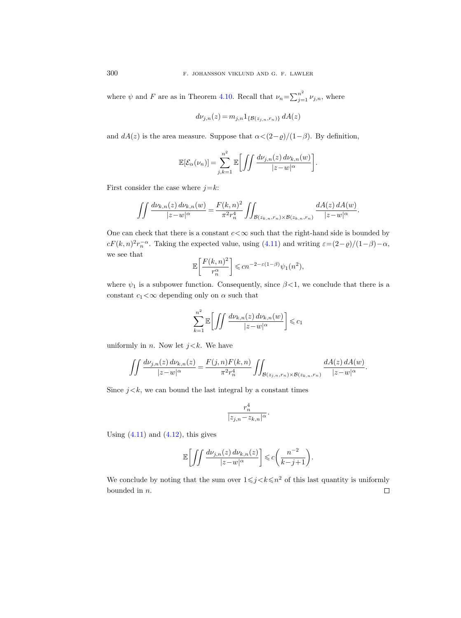where  $\psi$  and F are as in Theorem [4.10.](#page-32-0) Recall that  $\nu_n = \sum_{j=1}^{n^2} \nu_{j,n}$ , where

$$
d\nu_{j,n}(z) = m_{j,n} 1_{\{\mathcal{B}(z_{j,n},r_n)\}} dA(z)
$$

and  $dA(z)$  is the area measure. Suppose that  $\alpha < (2-\varrho)/(1-\beta)$ . By definition,

$$
\mathbb{E}[\mathcal{E}_{\alpha}(\nu_n)] = \sum_{j,k=1}^{n^2} \mathbb{E}\bigg[\iint \frac{d\nu_{j,n}(z) d\nu_{k,n}(w)}{|z-w|^{\alpha}}\bigg].
$$

First consider the case where  $j=k$ :

$$
\iint \frac{d\nu_{k,n}(z) d\nu_{k,n}(w)}{|z-w|^\alpha} = \frac{F(k,n)^2}{\pi^2 r_n^4} \iint_{\mathcal{B}(z_{k,n},r_n)\times\mathcal{B}(z_{k,n},r_n)} \frac{dA(z) dA(w)}{|z-w|^\alpha}.
$$

One can check that there is a constant  $c < \infty$  such that the right-hand side is bounded by  $cF(k,n)^{2}r_{n}^{-\alpha}$ . Taking the expected value, using [\(4.11\)](#page-32-2) and writing  $\varepsilon = (2-\varrho)/(1-\beta)-\alpha$ , we see that

$$
\mathbb{E}\left[\frac{F(k,n)^2}{r_n^{\alpha}}\right] \leqslant cn^{-2-\varepsilon(1-\beta)}\psi_1(n^2),
$$

where  $\psi_1$  is a subpower function. Consequently, since  $\beta < 1$ , we conclude that there is a constant  $c_1 < \infty$  depending only on  $\alpha$  such that

$$
\sum_{k=1}^{n^2} \mathbb{E}\bigg[\iint \frac{d\nu_{k,n}(z) \, d\nu_{k,n}(w)}{|z-w|^\alpha}\bigg] \leqslant c_1
$$

uniformly in *n*. Now let  $j < k$ . We have

$$
\iint \frac{d\nu_{j,n}(z) d\nu_{k,n}(z)}{|z-w|^\alpha} = \frac{F(j,n)F(k,n)}{\pi^2 r_n^4} \iint_{\mathcal{B}(z_{j,n},r_n)\times\mathcal{B}(z_{k,n},r_n)} \frac{dA(z) dA(w)}{|z-w|^\alpha}.
$$

Since  $j < k$ , we can bound the last integral by a constant times

$$
\frac{r_n^4}{|z_{j,n}-z_{k,n}|^{\alpha}}.
$$

Using  $(4.11)$  and  $(4.12)$ , this gives

$$
\mathbb{E}\bigg[\int\int\frac{d\nu_{j,n}(z)\,d\nu_{k,n}(z)}{|z-w|^{\alpha}}\bigg]\leqslant c\bigg(\frac{n^{-2}}{k-j+1}\bigg).
$$

We conclude by noting that the sum over  $1 \leq j \leq k \leq n^2$  of this last quantity is uniformly bounded in n. $\Box$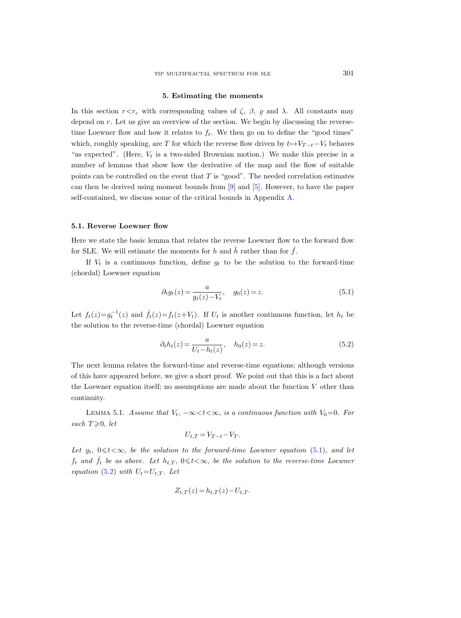### 5. Estimating the moments

<span id="page-36-0"></span>In this section  $r \leq r_c$  with corresponding values of  $\zeta$ ,  $\beta$ ,  $\varrho$  and  $\lambda$ . All constants may depend on r. Let us give an overview of the section. We begin by discussing the reversetime Loewner flow and how it relates to  $f_t$ . We then go on to define the "good times" which, roughly speaking, are T for which the reverse flow driven by  $t \mapsto V_{T-t} - V_t$  behaves "as expected". (Here,  $V_t$  is a two-sided Brownian motion.) We make this precise in a number of lemmas that show how the derivative of the map and the flow of suitable points can be controlled on the event that  $T$  is "good". The needed correlation estimates can then be derived using moment bounds from [\[9\]](#page-56-18) and [\[5\]](#page-56-10). However, to have the paper self-contained, we discuss some of the critical bounds in Appendix [A.](#page-49-0)

#### 5.1. Reverse Loewner flow

Here we state the basic lemma that relates the reverse Loewner flow to the forward flow for SLE. We will estimate the moments for h and  $\tilde{h}$  rather than for  $\hat{f}$ .

If  $V_t$  is a continuous function, define  $g_t$  to be the solution to the forward-time (chordal) Loewner equation

<span id="page-36-1"></span>
$$
\partial_t g_t(z) = \frac{a}{g_t(z) - V_t}, \quad g_0(z) = z.
$$
\n(5.1)

Let  $f_t(z) = g_t^{-1}(z)$  and  $\hat{f}_t(z) = f_t(z + V_t)$ . If  $U_t$  is another continuous function, let  $h_t$  be the solution to the reverse-time (chordal) Loewner equation

<span id="page-36-2"></span>
$$
\partial_t h_t(z) = \frac{a}{U_t - h_t(z)}, \quad h_0(z) = z.
$$
\n(5.2)

The next lemma relates the forward-time and reverse-time equations; although versions of this have appeared before, we give a short proof. We point out that this is a fact about the Loewner equation itself; no assumptions are made about the function  $V$  other than continuity.

<span id="page-36-3"></span>LEMMA 5.1. Assume that  $V_t$ ,  $-\infty < t < \infty$ , is a continuous function with  $V_0=0$ . For each  $T \geqslant 0$ , let

$$
U_{t,T} = V_{T-t} - V_T.
$$

Let  $g_t$ ,  $0 \leq t < \infty$ , be the solution to the forward-time Loewner equation [\(5.1\)](#page-36-1), and let  $f_t$  and  $\hat{f}_t$  be as above. Let  $h_{t,T}$ ,  $0 \leq t < \infty$ , be the solution to the reverse-time Loewner equation [\(5.2\)](#page-36-2) with  $U_t=U_{t,T}$ . Let

$$
Z_{t,T}(z) = h_{t,T}(z) - U_{t,T}.
$$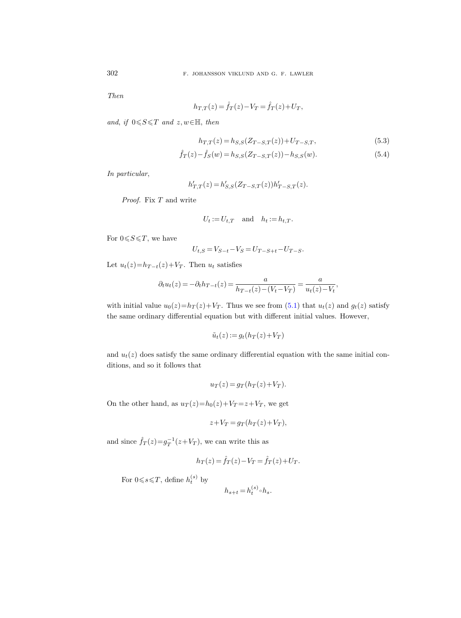Then

$$
h_{T,T}(z) = \hat{f}_T(z) - V_T = \hat{f}_T(z) + U_T,
$$

and, if  $0 \leq S \leq T$  and  $z, w \in \mathbb{H}$ , then

<span id="page-37-1"></span><span id="page-37-0"></span>
$$
h_{T,T}(z) = h_{S,S}(Z_{T-S,T}(z)) + U_{T-S,T},
$$
\n(5.3)

$$
\hat{f}_T(z) - \hat{f}_S(w) = h_{S,S}(Z_{T-S,T}(z)) - h_{S,S}(w).
$$
\n(5.4)

In particular,

$$
h'_{T,T}(z) = h'_{S,S}(Z_{T-S,T}(z))h'_{T-S,T}(z).
$$

Proof. Fix T and write

$$
U_t := U_{t,T} \quad \text{and} \quad h_t := h_{t,T}.
$$

For  $0 \leqslant S \leqslant T$ , we have

$$
U_{t,S} = V_{S-t} - V_S = U_{T-S+t} - U_{T-S}.
$$

Let  $u_t(z) = h_{T-t}(z) + V_T$ . Then  $u_t$  satisfies

$$
\partial_t u_t(z) = -\partial_t h_{T-t}(z) = \frac{a}{h_{T-t}(z) - (V_t - V_T)} = \frac{a}{u_t(z) - V_t},
$$

with initial value  $u_0(z)=h_T(z)+V_T$ . Thus we see from [\(5.1\)](#page-36-1) that  $u_t(z)$  and  $g_t(z)$  satisfy the same ordinary differential equation but with different initial values. However,

$$
\tilde{u}_t(z) := g_t(h_T(z) + V_T)
$$

and  $u_t(z)$  does satisfy the same ordinary differential equation with the same initial conditions, and so it follows that

$$
u_T(z) = g_T(h_T(z) + V_T).
$$

On the other hand, as  $u_T(z)=h_0(z)+V_T=z+V_T$ , we get

$$
z + V_T = g_T(h_T(z) + V_T),
$$

and since  $\hat{f}_T(z) = g_T^{-1}(z+V_T)$ , we can write this as

$$
h_T(z) = \hat{f}_T(z) - V_T = \hat{f}_T(z) + U_T.
$$

For  $0 \le s \le T$ , define  $h_t^{(s)}$  by

$$
h_{s+t} = h_t^{(s)} \circ h_s.
$$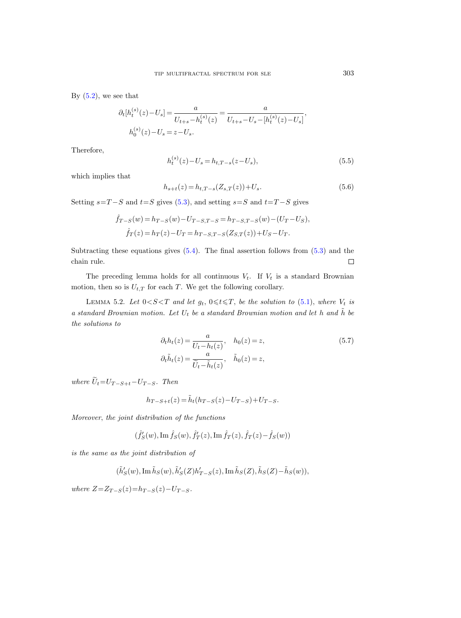By  $(5.2)$ , we see that

$$
\partial_t[h_t^{(s)}(z) - U_s] = \frac{a}{U_{t+s} - h_t^{(s)}(z)} = \frac{a}{U_{t+s} - U_s - [h_t^{(s)}(z) - U_s]},
$$
  

$$
h_0^{(s)}(z) - U_s = z - U_s.
$$

Therefore,

$$
h_t^{(s)}(z) - U_s = h_{t,T-s}(z - U_s),
$$
\n(5.5)

which implies that

$$
h_{s+t}(z) = h_{t,T-s}(Z_{s,T}(z)) + U_s.
$$
\n(5.6)

Setting  $s=T-S$  and  $t=S$  gives [\(5.3\)](#page-37-0), and setting  $s=S$  and  $t=T-S$  gives

$$
\hat{f}_{T-S}(w) = h_{T-S}(w) - U_{T-S,T-S} = h_{T-S,T-S}(w) - (U_T - U_S),
$$
  

$$
\hat{f}_T(z) = h_T(z) - U_T = h_{T-S,T-S}(Z_{S,T}(z)) + U_S - U_T.
$$

Subtracting these equations gives [\(5.4\)](#page-37-1). The final assertion follows from [\(5.3\)](#page-37-0) and the chain rule.  $\Box$ 

The preceding lemma holds for all continuous  $V_t$ . If  $V_t$  is a standard Brownian motion, then so is  $U_{t,T}$  for each T. We get the following corollary.

LEMMA 5.2. Let  $0 < S < T$  and let  $g_t$ ,  $0 \le t \le T$ , be the solution to [\(5.1\)](#page-36-1), where  $V_t$  is a standard Brownian motion. Let  $U_t$  be a standard Brownian motion and let h and  $\tilde{h}$  be the solutions to

$$
\partial_t h_t(z) = \frac{a}{U_t - h_t(z)}, \quad h_0(z) = z,
$$
  
\n
$$
\partial_t \tilde{h}_t(z) = \frac{a}{\tilde{U}_t - \tilde{h}_t(z)}, \quad \tilde{h}_0(z) = z,
$$
\n(5.7)

where  $\widetilde{U}_t=U_{T-S+t}-U_{T-S}$ . Then

$$
h_{T-S+t}(z) = \tilde{h}_t(h_{T-S}(z) - U_{T-S}) + U_{T-S}.
$$

Moreover, the joint distribution of the functions

$$
(\hat{f}'_S(w), \mathrm{Im}\,\hat{f}_S(w), \hat{f}'_T(z), \mathrm{Im}\,\hat{f}_T(z), \hat{f}_T(z) - \hat{f}_S(w))
$$

is the same as the joint distribution of

$$
(\tilde{h}'_S(w), \text{Im }\tilde{h}_S(w), \tilde{h}'_S(Z)h'_{T-S}(z), \text{Im }\tilde{h}_S(Z), \tilde{h}_S(Z) - \tilde{h}_S(w)),
$$

where  $Z = Z_{T-S}(z) = h_{T-S}(z) - U_{T-S}$ .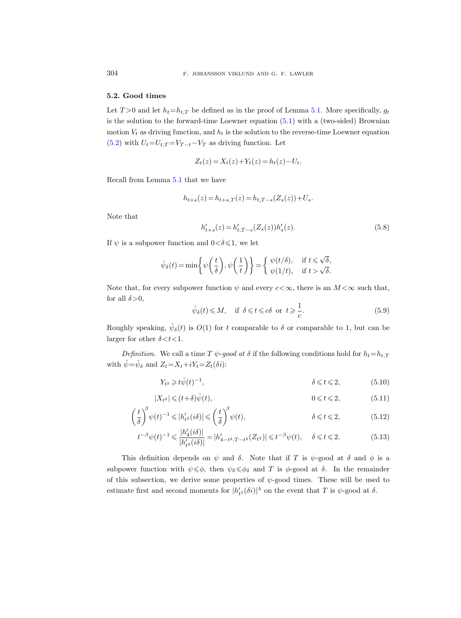# <span id="page-39-0"></span>5.2. Good times

Let  $T > 0$  and let  $h_t = h_t$ , be defined as in the proof of Lemma [5.1.](#page-36-3) More specifically,  $g_t$ is the solution to the forward-time Loewner equation [\(5.1\)](#page-36-1) with a (two-sided) Brownian motion  $V_t$  as driving function, and  $h_t$  is the solution to the reverse-time Loewner equation [\(5.2\)](#page-36-2) with  $U_t = U_{t,T} = V_{T-t} - V_T$  as driving function. Let

$$
Z_t(z) = X_t(z) + Y_t(z) = h_t(z) - U_t.
$$

Recall from Lemma [5.1](#page-36-3) that we have

$$
h_{t+s}(z) = h_{t+s,T}(z) = h_{t,T-s}(Z_s(z)) + U_s.
$$

Note that

<span id="page-39-4"></span>
$$
h'_{t+s}(z) = h'_{t,T-s}(Z_s(z))h'_s(z).
$$
\n(5.8)

If  $\psi$  is a subpower function and  $0 < \delta \leq 1$ , we let

$$
\hat{\psi}_{\delta}(t) = \min\left\{\psi\left(\frac{t}{\delta}\right), \psi\left(\frac{1}{t}\right)\right\} = \begin{cases} \psi(t/\delta), & \text{if } t \leq \sqrt{\delta}, \\ \psi(1/t), & \text{if } t > \sqrt{\delta}. \end{cases}
$$

Note that, for every subpower function  $\psi$  and every  $c < \infty$ , there is an  $M < \infty$  such that, for all  $\delta$ >0,

<span id="page-39-2"></span><span id="page-39-1"></span>
$$
\hat{\psi}_{\delta}(t) \leqslant M, \quad \text{if } \delta \leqslant t \leqslant c\delta \text{ or } t \geqslant \frac{1}{c}.
$$
\n
$$
(5.9)
$$

Roughly speaking,  $\hat{\psi}_{\delta}(t)$  is  $O(1)$  for t comparable to  $\delta$  or comparable to 1, but can be larger for other  $\delta < t < 1$ .

Definition. We call a time T  $\psi$ -good at  $\delta$  if the following conditions hold for  $h_t=h_{t,T}$ with  $\hat{\psi} = \hat{\psi}_{\delta}$  and  $Z_t = X_t + iY_t = Z_t(\delta i)$ :

<span id="page-39-3"></span>
$$
Y_{t^2} \geq t\hat{\psi}(t)^{-1}, \qquad \delta \leq t \leq 2, \qquad (5.10)
$$

$$
|X_{t^2}| \leq (t+\delta)\hat{\psi}(t), \qquad \qquad 0 \leq t \leq 2, \qquad (5.11)
$$

$$
\left(\frac{t}{\delta}\right)^{\beta}\psi(t)^{-1}\leqslant|h'_{t^2}(i\delta)|\leqslant\left(\frac{t}{\delta}\right)^{\beta}\psi(t),\qquad\delta\leqslant t\leqslant 2,\qquad(5.12)
$$

$$
t^{-\beta}\psi(t)^{-1} \leq \frac{|h_4'(i\delta)|}{|h_{t^2}'(i\delta)|} = |h_{4-t^2,T-t^2}'(Z_{t^2})| \leq t^{-\beta}\psi(t), \quad \delta \leq t \leq 2. \tag{5.13}
$$

This definition depends on  $\psi$  and  $\delta$ . Note that if T is  $\psi$ -good at  $\delta$  and  $\phi$  is a subpower function with  $\psi \leq \phi$ , then  $\psi_{\delta} \leq \phi_{\delta}$  and T is  $\phi$ -good at  $\delta$ . In the remainder of this subsection, we derive some properties of  $\psi$ -good times. These will be used to estimate first and second moments for  $|h'_{t^2}(\delta i)|^{\lambda}$  on the event that T is  $\psi$ -good at  $\delta$ .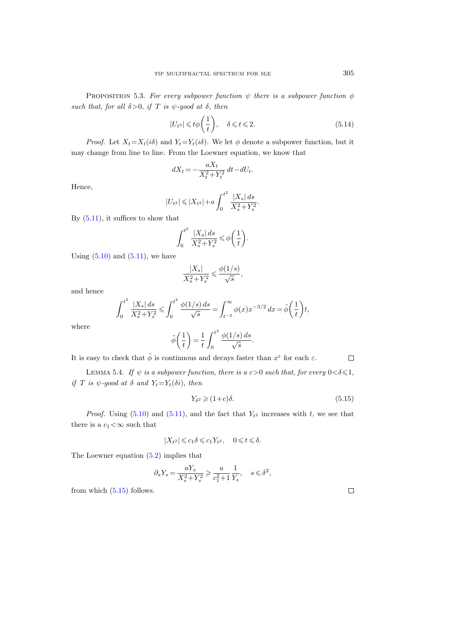PROPOSITION 5.3. For every subpower function  $\psi$  there is a subpower function  $\phi$ such that, for all  $\delta > 0$ , if T is  $\psi$ -good at  $\delta$ , then

<span id="page-40-1"></span>
$$
|U_{t^2}| \leq t\phi\left(\frac{1}{t}\right), \quad \delta \leq t \leq 2. \tag{5.14}
$$

*Proof.* Let  $X_t = X_t(i\delta)$  and  $Y_t = Y_t(i\delta)$ . We let  $\phi$  denote a subpower function, but it may change from line to line. From the Loewner equation, we know that

$$
dX_t = -\frac{aX_t}{X_t^2 + Y_t^2} dt - dU_t.
$$

Hence,

$$
|U_{t^2}| \leq |X_{t^2}| + a \int_0^{t^2} \frac{|X_s| ds}{X_s^2 + Y_s^2}.
$$

By  $(5.11)$ , it suffices to show that

$$
\int_0^{t^2} \frac{|X_s| ds}{X_s^2 + Y_s^2} \leqslant \phi\bigg(\frac{1}{t}\bigg).
$$

Using  $(5.10)$  and  $(5.11)$ , we have

$$
\frac{|X_s|}{X_s^2+Y_s^2}\leqslant \frac{\phi(1/s)}{\sqrt{s}},
$$

and hence

$$
\int_0^{t^2} \frac{|X_s| \, ds}{X_s^2 + Y_s^2} \le \int_0^{t^2} \frac{\phi(1/s) \, ds}{\sqrt{s}} = \int_{t^{-2}}^\infty \phi(x) x^{-3/2} \, dx = \tilde{\phi}\left(\frac{1}{t}\right) t,
$$

where

$$
\tilde{\phi}\left(\frac{1}{t}\right) = \frac{1}{t} \int_0^{t^2} \frac{\phi(1/s) ds}{\sqrt{s}}.
$$

It is easy to check that  $\tilde{\phi}$  is continuous and decays faster than  $x^{\varepsilon}$  for each  $\varepsilon$ .  $\Box$ 

LEMMA 5.4. If  $\psi$  is a subpower function, there is a c > 0 such that, for every  $0 < \delta \leq 1$ , if T is  $\psi$ -good at  $\delta$  and  $Y_t = Y_t(\delta i)$ , then

<span id="page-40-0"></span>
$$
Y_{\delta^2} \geqslant (1+c)\delta. \tag{5.15}
$$

*Proof.* Using  $(5.10)$  and  $(5.11)$ , and the fact that  $Y_{t^2}$  increases with t, we see that there is a  $c_1<\infty$  such that

$$
|X_{t^2}|\leqslant c_1\delta\leqslant c_1Y_{t^2},\quad 0\leqslant t\leqslant \delta.
$$

The Loewner equation [\(5.2\)](#page-36-2) implies that

$$
\partial_s Y_s = \frac{aY_s}{X_s^2+Y_s^2} \geqslant \frac{a}{c_1^2+1}\frac{1}{Y_s}, \quad s\leqslant \delta^2,
$$

from which  $(5.15)$  follows.

 $\Box$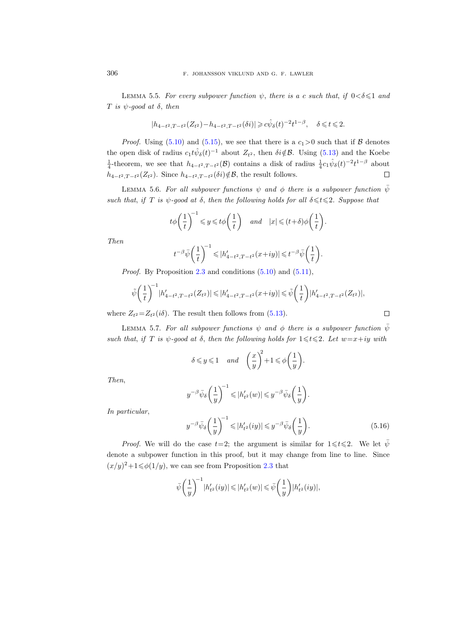<span id="page-41-0"></span>LEMMA 5.5. For every subpower function  $\psi$ , there is a c such that, if  $0 < \delta \leq 1$  and T is  $\psi$ -good at  $\delta$ , then

$$
|h_{4-t^2,T-t^2}(Z_{t^2}) - h_{4-t^2,T-t^2}(\delta i)| \geq c\hat{\psi}_{\delta}(t)^{-2}t^{1-\beta}, \quad \delta \leq t \leq 2.
$$

*Proof.* Using [\(5.10\)](#page-39-2) and [\(5.15\)](#page-40-0), we see that there is a  $c_1 > 0$  such that if  $\beta$  denotes the open disk of radius  $c_1 t \hat{\psi}_\delta(t)^{-1}$  about  $Z_{t^2}$ , then  $\delta i \notin \mathcal{B}$ . Using [\(5.13\)](#page-39-3) and the Koebe <sup>1</sup>/<sub>4</sub>-theorem, we see that  $h_{4-t^2,T-t^2}(\mathcal{B})$  contains a disk of radius  $\frac{1}{4}c_1\hat{\psi}_\delta(t)^{-2}t^{1-\beta}$  about  $\Box$  $h_{4-t^2,T-t^2}(Z_{t^2})$ . Since  $h_{4-t^2,T-t^2}(\delta i) \notin \mathcal{B}$ , the result follows.

LEMMA 5.6. For all subpower functions  $\psi$  and  $\phi$  there is a subpower function  $\bar{\psi}$ such that, if T is  $\psi$ -good at  $\delta$ , then the following holds for all  $\delta \leq t \leq 2$ . Suppose that

$$
t\phi\bigg(\frac{1}{t}\bigg)^{\!-1}\leqslant y\leqslant t\phi\bigg(\frac{1}{t}\bigg)\quad and\quad |x|\leqslant (t+\delta)\phi\bigg(\frac{1}{t}\bigg).
$$

Then

$$
t^{-\beta}\bar{\psi}\bigg(\frac{1}{t}\bigg)^{\!-1}\leqslant|h'_{4-t^2,T-t^2}(x+iy)|\leqslant t^{-\beta}\bar{\psi}\bigg(\frac{1}{t}\bigg)
$$

*Proof.* By Proposition [2.3](#page-10-5) and conditions  $(5.10)$  and  $(5.11)$ ,

$$
\tilde{\psi}\left(\frac{1}{t}\right)^{-1} |h'_{4-t^2,T-t^2}(Z_{t^2})| \leqslant |h'_{4-t^2,T-t^2}(x+iy)| \leqslant \tilde{\psi}\left(\frac{1}{t}\right) |h'_{4-t^2,T-t^2}(Z_{t^2})|,
$$

where  $Z_{t^2} = Z_{t^2}(i\delta)$ . The result then follows from [\(5.13\)](#page-39-3).

<span id="page-41-1"></span>LEMMA 5.7. For all subpower functions  $\psi$  and  $\phi$  there is a subpower function  $\bar{\psi}$ such that, if T is  $\psi$ -good at  $\delta$ , then the following holds for  $1 \leq t \leq 2$ . Let  $w=x+iy$  with

$$
\delta \leqslant y \leqslant 1 \quad and \quad \left(\frac{x}{y}\right)^{\!2} + 1 \leqslant \phi\!\left(\frac{1}{y}\right).
$$

Then,

$$
y^{-\beta}\bar{\psi}_\delta\bigg(\frac{1}{y}\bigg)^{\!\!-1}\leqslant\! |h_{t^2}'(w)|\leqslant\!y^{-\beta}\bar{\psi}_\delta\bigg(\frac{1}{y}\bigg).
$$

In particular,

<span id="page-41-2"></span>
$$
y^{-\beta}\bar{\psi}_{\delta}\left(\frac{1}{y}\right)^{-1} \leqslant |h'_{t^2}(iy)| \leqslant y^{-\beta}\bar{\psi}_{\delta}\left(\frac{1}{y}\right). \tag{5.16}
$$

.

 $\Box$ 

*Proof.* We will do the case  $t=2$ ; the argument is similar for  $1 \le t \le 2$ . We let  $\bar{\psi}$ denote a subpower function in this proof, but it may change from line to line. Since  $(x/y)^2 + 1 \le \phi(1/y)$ , we can see from Proposition [2.3](#page-10-5) that

$$
\bar{\psi}\left(\frac{1}{y}\right)^{-1} |h'_{t^2}(iy)| \leq |h'_{t^2}(w)| \leq \bar{\psi}\left(\frac{1}{y}\right) |h'_{t^2}(iy)|,
$$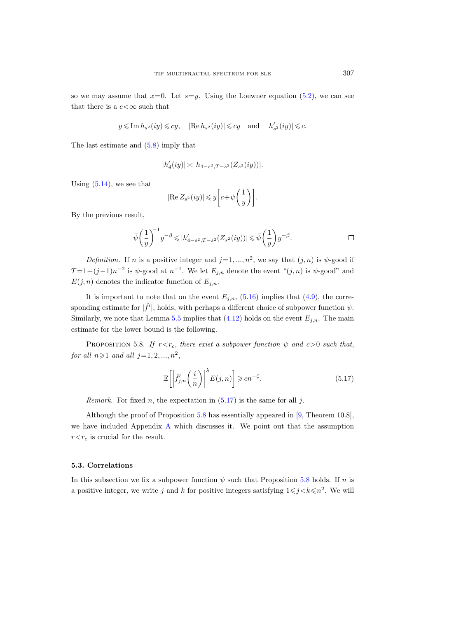so we may assume that  $x=0$ . Let  $s=y$ . Using the Loewner equation [\(5.2\)](#page-36-2), we can see that there is a  $c < \infty$  such that

$$
y\leqslant \operatorname{Im} h_{s^2}(iy)\leqslant cy,\quad |\operatorname{Re} h_{s^2}(iy)|\leqslant cy \quad \text{and}\quad |h'_{s^2}(iy)|\leqslant c.
$$

The last estimate and [\(5.8\)](#page-39-4) imply that

$$
|h'_4(iy)| \asymp |h_{4-s^2,T-s^2}(Z_{s^2}(iy))|.
$$

Using  $(5.14)$ , we see that

$$
|\text{Re } Z_{s^2}(iy)| \leq y \left[ c + \psi\left(\frac{1}{y}\right) \right].
$$

By the previous result,

$$
\bar{\psi}\bigg(\frac{1}{y}\bigg)^{\!\!-1}y^{-\beta}\leqslant|h'_{4-s^2,T-s^2}(Z_{s^2}(iy))|\leqslant \bar{\psi}\bigg(\frac{1}{y}\bigg)y^{-\beta}.\qquad \qquad \Box
$$

*Definition*. If *n* is a positive integer and  $j=1, ..., n^2$ , we say that  $(j, n)$  is  $\psi$ -good if  $T=1+(j-1)n^{-2}$  is  $\psi$ -good at  $n^{-1}$ . We let  $E_{j,n}$  denote the event " $(j,n)$  is  $\psi$ -good" and  $E(j, n)$  denotes the indicator function of  $E_{j,n}$ .

It is important to note that on the event  $E_{j,n}$ , [\(5.16\)](#page-41-2) implies that [\(4.9\)](#page-32-4), the corresponding estimate for  $|\hat{f}'|$ , holds, with perhaps a different choice of subpower function  $\psi$ . Similarly, we note that Lemma [5.5](#page-41-0) implies that  $(4.12)$  holds on the event  $E_{j,n}$ . The main estimate for the lower bound is the following.

<span id="page-42-0"></span>PROPOSITION 5.8. If  $r < r_c$ , there exist a subpower function  $\psi$  and  $c > 0$  such that, for all  $n \geqslant 1$  and all  $j = 1, 2, ..., n^2$ ,

<span id="page-42-1"></span>
$$
\mathbb{E}\left[\left|\hat{f}'_{j,n}\left(\frac{i}{n}\right)\right|^{\lambda}E(j,n)\right]\geqslant cn^{-\zeta}.\tag{5.17}
$$

*Remark.* For fixed *n*, the expectation in  $(5.17)$  is the same for all j.

Although the proof of Proposition [5.8](#page-42-0) has essentially appeared in [\[9,](#page-56-18) Theorem 10.8], we have included Appendix [A](#page-49-0) which discusses it. We point out that the assumption  $r \leq r_c$  is crucial for the result.

### 5.3. Correlations

In this subsection we fix a subpower function  $\psi$  such that Proposition [5.8](#page-42-0) holds. If n is a positive integer, we write j and k for positive integers satisfying  $1 \le j \le k \le n^2$ . We will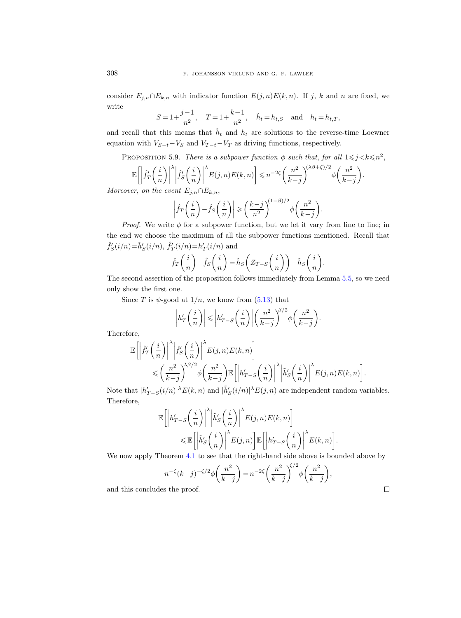consider  $E_{j,n} \cap E_{k,n}$  with indicator function  $E(j,n)E(k,n)$ . If j, k and n are fixed, we write

$$
S=1+\frac{j-1}{n^2}
$$
,  $T=1+\frac{k-1}{n^2}$ ,  $\tilde{h}_t=h_{t,S}$  and  $h_t=h_{t,T}$ ,

and recall that this means that  $\tilde{h}_t$  and  $h_t$  are solutions to the reverse-time Loewner equation with  $V_{S-t}-V_S$  and  $V_{T-t}-V_T$  as driving functions, respectively.

<span id="page-43-0"></span>PROPOSITION 5.9. There is a subpower function  $\phi$  such that, for all  $1 \leq j < k \leq n^2$ ,

$$
\mathbb{E}\left[\left|\hat{f}'_T\left(\frac{i}{n}\right)\right|^{\lambda}\middle|\hat{f}'_S\left(\frac{i}{n}\right)\right|^{\lambda}E(j,n)E(k,n)\right] \leq n^{-2\zeta}\left(\frac{n^2}{k-j}\right)^{(\lambda\beta+\zeta)/2}\phi\left(\frac{n^2}{k-j}\right).
$$

Moreover, on the event  $E_{i,n} \cap E_{k,n}$ ,

$$
\left| \hat{f}_T\left(\frac{i}{n}\right) - \hat{f}_S\left(\frac{i}{n}\right) \right| \ge \left(\frac{k-j}{n^2}\right)^{(1-\beta)/2} \phi\left(\frac{n^2}{k-j}\right).
$$

*Proof.* We write  $\phi$  for a subpower function, but we let it vary from line to line; in the end we choose the maximum of all the subpower functions mentioned. Recall that  $\hat{f}'_S(i/n) = \tilde{h}'_S(i/n), \ \hat{f}'_T(i/n) = h'_T(i/n)$  and

$$
\hat{f}_T\left(\frac{i}{n}\right) - \hat{f}_S\left(\frac{i}{n}\right) = \tilde{h}_S\left(Z_{T-S}\left(\frac{i}{n}\right)\right) - \tilde{h}_S\left(\frac{i}{n}\right).
$$

The second assertion of the proposition follows immediately from Lemma [5.5,](#page-41-0) so we need only show the first one.

Since T is  $\psi$ -good at  $1/n$ , we know from [\(5.13\)](#page-39-3) that

$$
\left| h'_T\left(\frac{i}{n}\right) \right| \leqslant \left| h'_{T-S}\left(\frac{i}{n}\right) \right| \left(\frac{n^2}{k-j}\right)^{\!\!\beta/2} \phi\!\left(\frac{n^2}{k-j}\right).
$$

Therefore,

$$
\mathbb{E}\left[\left|\hat{f}'_T\left(\frac{i}{n}\right)\right|^{\lambda}\middle|\hat{f}'_S\left(\frac{i}{n}\right)\right|^{\lambda}E(j,n)E(k,n)\right]
$$
  
\$\leqslant \left(\frac{n^2}{k-j}\right)^{\lambda\beta/2}\phi\left(\frac{n^2}{k-j}\right)\mathbb{E}\left[\left|h'\_{T-S}\left(\frac{i}{n}\right)\right|^{\lambda}\middle|\tilde{h}'\_S\left(\frac{i}{n}\right)\right|^{\lambda}E(j,n)E(k,n)\right]

Note that  $|h'_{T-S}(i/n)|^{\lambda} E(k, n)$  and  $|\tilde{h}'_S(i/n)|^{\lambda} E(j, n)$  are independent random variables. Therefore, λ λ

$$
\mathbb{E}\Bigg[\Bigg|h'_{T-S}\Big(\frac{i}{n}\Big)\Bigg|^{\lambda}\Bigg|\tilde{h}'_S\Big(\frac{i}{n}\Big)\Bigg|^{\lambda}E(j,n)E(k,n)\Bigg] \leq \mathbb{E}\Bigg[\Big|\tilde{h}'_S\Big(\frac{i}{n}\Big)\Big|^{\lambda}E(j,n)\Bigg]\mathbb{E}\Bigg[\Big|h'_{T-S}\Big(\frac{i}{n}\Big)\Big|^{\lambda}E(k,n)\Bigg].
$$

We now apply Theorem [4.1](#page-27-3) to see that the right-hand side above is bounded above by

$$
n^{-\zeta}(k-j)^{-\zeta/2}\phi\left(\frac{n^2}{k-j}\right) = n^{-2\zeta}\left(\frac{n^2}{k-j}\right)^{\zeta/2}\phi\left(\frac{n^2}{k-j}\right),
$$

and this concludes the proof.

 $\Box$ 

.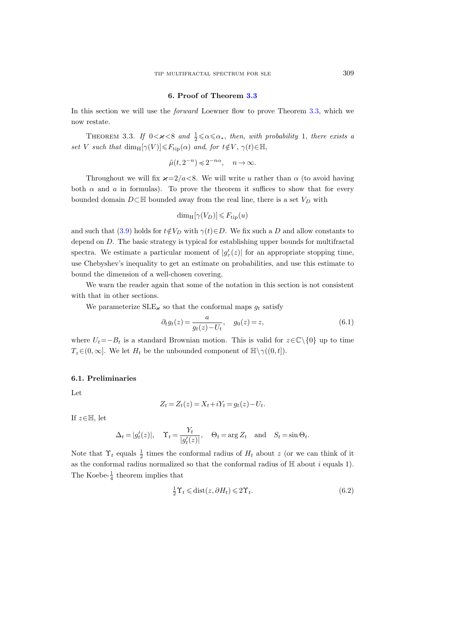### 6. Proof of Theorem [3.3](#page-23-1)

<span id="page-44-0"></span>In this section we will use the forward Loewner flow to prove Theorem [3.3,](#page-23-1) which we now restate.

THEOREM 3.3. If  $0 < \varkappa < 8$  and  $\frac{1}{2} \le \alpha \le \alpha_*$ , then, with probability 1, there exists a set V such that  $\dim_{\mathrm{H}}[\gamma(V)] \leq F_{\mathrm{tip}}(\alpha)$  and, for  $t \notin V$ ,  $\gamma(t) \in \mathbb{H}$ ,

$$
\tilde{\mu}(t,2^{-n})\preccurlyeq 2^{-n\alpha},\quad n\to\infty.
$$

Throughout we will fix  $\varkappa = 2/a < 8$ . We will write u rather than  $\alpha$  (to avoid having both  $\alpha$  and  $\alpha$  in formulas). To prove the theorem it suffices to show that for every bounded domain  $D\subset\mathbb{H}$  bounded away from the real line, there is a set  $V_D$  with

$$
\dim_{\mathrm{H}}[\gamma(V_D)] \leq F_{\mathrm{tip}}(u)
$$

and such that [\(3.9\)](#page-23-3) holds for  $t \notin V_D$  with  $\gamma(t) \in D$ . We fix such a D and allow constants to depend on D. The basic strategy is typical for establishing upper bounds for multifractal spectra. We estimate a particular moment of  $|g'_{\tau}(z)|$  for an appropriate stopping time, use Chebyshev's inequality to get an estimate on probabilities, and use this estimate to bound the dimension of a well-chosen covering.

We warn the reader again that some of the notation in this section is not consistent with that in other sections.

We parameterize  $SLE_{\kappa}$  so that the conformal maps  $g_t$  satisfy

<span id="page-44-1"></span>
$$
\partial_t g_t(z) = \frac{a}{g_t(z) - U_t}, \quad g_0(z) = z,\tag{6.1}
$$

where  $U_t=-B_t$  is a standard Brownian motion. This is valid for  $z\in\mathbb{C}\backslash\{0\}$  up to time  $T_z \in (0, \infty]$ . We let  $H_t$  be the unbounded component of  $\mathbb{H} \setminus \gamma((0, t])$ .

#### 6.1. Preliminaries

Let

$$
Z_t = Z_t(z) = X_t + iY_t = g_t(z) - U_t.
$$

If  $z \in \mathbb{H}$ , let

$$
\Delta_t = |g'_t(z)|, \quad \Upsilon_t = \frac{Y_t}{|g'_t(z)|}, \quad \Theta_t = \arg Z_t \quad \text{and} \quad S_t = \sin \Theta_t.
$$

Note that  $\Upsilon_t$  equals  $\frac{1}{2}$  times the conformal radius of  $H_t$  about z (or we can think of it as the conformal radius normalized so that the conformal radius of  $H$  about i equals 1). The Koebe- $\frac{1}{4}$  theorem implies that

<span id="page-44-2"></span>
$$
\frac{1}{2}\Upsilon_t \le \text{dist}(z, \partial H_t) \le 2\Upsilon_t. \tag{6.2}
$$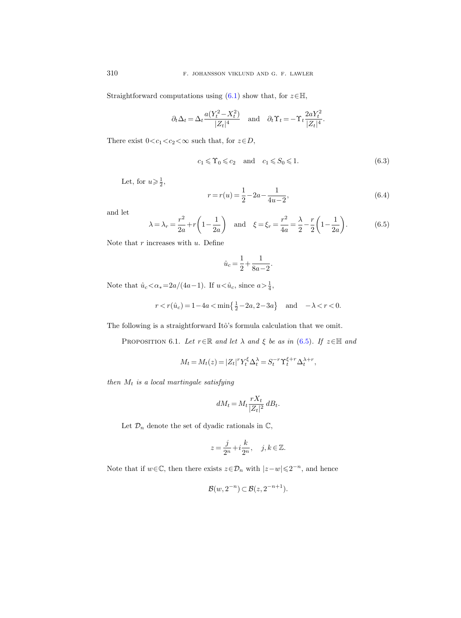Straightforward computations using [\(6.1\)](#page-44-1) show that, for  $z \in \mathbb{H}$ ,

$$
\partial_t \Delta_t = \Delta_t \frac{a(Y_t^2 - X_t^2)}{|Z_t|^4} \quad \text{and} \quad \partial_t \Upsilon_t = -\Upsilon_t \frac{2aY_t^2}{|Z_t|^4}.
$$

There exist  $0 < c_1 < c_2 < \infty$  such that, for  $z \in D$ ,

<span id="page-45-1"></span>
$$
c_1 \leq \Upsilon_0 \leq c_2 \quad \text{and} \quad c_1 \leqslant S_0 \leqslant 1. \tag{6.3}
$$

Let, for  $u \geqslant \frac{1}{2}$ ,

$$
r = r(u) = \frac{1}{2} - 2a - \frac{1}{4u - 2},\tag{6.4}
$$

and let

<span id="page-45-0"></span>
$$
\lambda = \lambda_r = \frac{r^2}{2a} + r\left(1 - \frac{1}{2a}\right)
$$
 and  $\xi = \xi_r = \frac{r^2}{4a} = \frac{\lambda}{2} - \frac{r}{2}\left(1 - \frac{1}{2a}\right).$  (6.5)

Note that  $r$  increases with  $u$ . Define

$$
\hat{u}_c = \frac{1}{2} + \frac{1}{8a - 2}.
$$

Note that  $\hat{u}_c < \alpha_* = 2a/(4a-1)$ . If  $u < \hat{u}_c$ , since  $a > \frac{1}{4}$ ,

$$
r < r(\hat{u}_c) = 1 - 4a < \min\left\{\frac{1}{2} - 2a, 2 - 3a\right\} \quad \text{and} \quad -\lambda < r < 0.
$$

The following is a straightforward Itô's formula calculation that we omit.

PROPOSITION 6.1. Let  $r \in \mathbb{R}$  and let  $\lambda$  and  $\xi$  be as in [\(6.5\)](#page-45-0). If  $z \in \mathbb{H}$  and

$$
M_t = M_t(z) = |Z_t|^r Y_t^{\xi} \Delta_t^{\lambda} = S_t^{-r} \Upsilon_t^{\xi+r} \Delta_t^{\lambda+r},
$$

then  $M_t$  is a local martingale satisfying

$$
dM_t = M_t \frac{rX_t}{|Z_t|^2} dB_t.
$$

Let  $\mathcal{D}_n$  denote the set of dyadic rationals in  $\mathbb{C},$ 

$$
z = \frac{j}{2^n} + i\frac{k}{2^n}, \quad j, k \in \mathbb{Z}.
$$

Note that if  $w \in \mathbb{C}$ , then there exists  $z \in \mathcal{D}_n$  with  $|z-w| \leq 2^{-n}$ , and hence

$$
\mathcal{B}(w, 2^{-n}) \subset \mathcal{B}(z, 2^{-n+1}).
$$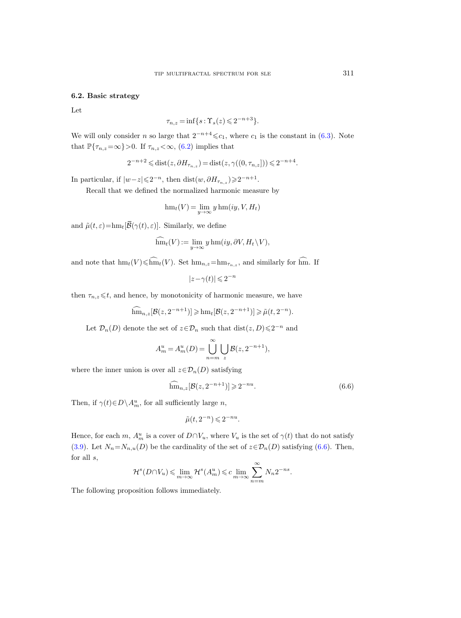# 6.2. Basic strategy

Let

$$
\tau_{n,z} = \inf\{s : \Upsilon_s(z) \leqslant 2^{-n+3}\}.
$$

We will only consider n so large that  $2^{-n+4} \leq c_1$ , where  $c_1$  is the constant in [\(6.3\)](#page-45-1). Note that  $\mathbb{P}\{\tau_{n,z}=\infty\}$  > 0. If  $\tau_{n,z}<\infty$ , [\(6.2\)](#page-44-2) implies that

$$
2^{-n+2} \leq \text{dist}(z, \partial H_{\tau_{n,z}}) = \text{dist}(z, \gamma((0, \tau_{n,z}])) \leq 2^{-n+4}.
$$

In particular, if  $|w-z|\leqslant 2^{-n}$ , then  $dist(w,\partial H_{\tau_{n,z}})\geqslant 2^{-n+1}$ .

Recall that we defined the normalized harmonic measure by

$$
\operatorname{hm}_t(V) = \lim_{y \to \infty} y \operatorname{hm}(iy, V, H_t)
$$

and  $\tilde{\mu}(t, \varepsilon) = \text{hm}_t[\overline{\mathcal{B}}(\gamma(t), \varepsilon)]$ . Similarly, we define

$$
\widehat{\text{hm}}_t(V) := \lim_{y \to \infty} y \operatorname{hm}(iy, \partial V, H_t \setminus V),
$$

and note that  $\text{hm}_t(V) \leq \widehat{\text{hm}}_t(V)$ . Set  $\text{hm}_{n,z} = \text{hm}_{\tau_{n,z}}$ , and similarly for  $\widehat{\text{hm}}$ . If

$$
|z-\gamma(t)| \leqslant 2^{-n}
$$

then  $\tau_{n,z} \leq t$ , and hence, by monotonicity of harmonic measure, we have

$$
\widehat{\text{hm}}_{n,z}[\mathcal{B}(z,2^{-n+1})] \geq \text{hm}_{t}[\mathcal{B}(z,2^{-n+1})] \geq \tilde{\mu}(t,2^{-n}).
$$

Let  $\mathcal{D}_n(D)$  denote the set of  $z \in \mathcal{D}_n$  such that  $dist(z, D) \leq 2^{-n}$  and

$$
A_m^u = A_m^u(D) = \bigcup_{n=m}^{\infty} \bigcup_z \mathcal{B}(z, 2^{-n+1}),
$$

where the inner union is over all  $z \in \mathcal{D}_n(D)$  satisfying

<span id="page-46-0"></span>
$$
\widehat{\text{hm}}_{n,z}[\mathcal{B}(z,2^{-n+1})] \geqslant 2^{-nu}.\tag{6.6}
$$

Then, if  $\gamma(t) \in D \backslash A_m^u$ , for all sufficiently large *n*,

$$
\tilde{\mu}(t, 2^{-n}) \leqslant 2^{-nu}.
$$

Hence, for each m,  $A_m^u$  is a cover of  $D \cap V_u$ , where  $V_u$  is the set of  $\gamma(t)$  that do not satisfy [\(3.9\)](#page-23-3). Let  $N_n = N_{n,u}(D)$  be the cardinality of the set of  $z \in \mathcal{D}_n(D)$  satisfying [\(6.6\)](#page-46-0). Then, for all  $s$ ,

$$
\mathcal{H}^s(D\cap V_u)\leqslant \lim_{m\to\infty}\mathcal{H}^s(A_m^u)\leqslant c\lim_{m\to\infty}\sum_{n=m}^\infty N_n2^{-ns}.
$$

The following proposition follows immediately.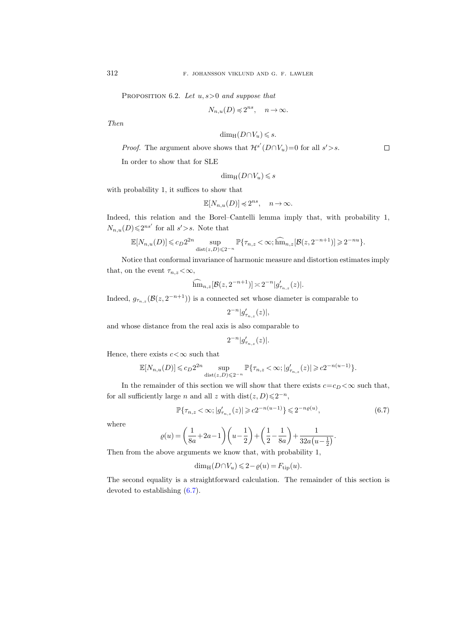PROPOSITION 6.2. Let  $u, s > 0$  and suppose that

$$
N_{n,u}(D)\preccurlyeq 2^{ns},\quad n\to\infty.
$$

Then

$$
\dim_{\mathrm{H}} (D \cap V_u) \leqslant s.
$$

 $\Box$ 

*Proof.* The argument above shows that  $\mathcal{H}^{s'}(D \cap V_u) = 0$  for all  $s' > s$ .

In order to show that for SLE

$$
\dim_{\mathrm{H}} (D \cap V_u) \leqslant s
$$

with probability 1, it suffices to show that

$$
\mathbb{E}[N_{n,u}(D)] \preccurlyeq 2^{ns}, \quad n \to \infty.
$$

Indeed, this relation and the Borel–Cantelli lemma imply that, with probability 1,  $N_{n,u}(D) \leqslant 2^{ns'}$  for all  $s' > s$ . Note that

$$
\mathbb{E}[N_{n,u}(D)] \leqslant c_D 2^{2n} \sup_{\text{dist}(z,D) \leqslant 2^{-n}} \mathbb{P}\{\tau_{n,z} < \infty; \widehat{\text{hm}}_{n,z}[\mathcal{B}(z,2^{-n+1})] \geqslant 2^{-nu}\}.
$$

Notice that conformal invariance of harmonic measure and distortion estimates imply that, on the event  $\tau_{n,z} < \infty$ ,

$$
\widehat{\text{hm}}_{n,z}[\mathcal{B}(z,2^{-n+1})] \asymp 2^{-n} |g'_{\tau_{n,z}}(z)|.
$$

Indeed,  $g_{\tau_{n,z}}(\mathcal{B}(z,2^{-n+1}))$  is a connected set whose diameter is comparable to

$$
2^{-n}|g_{\tau_{n,z}}'(z)|,
$$

and whose distance from the real axis is also comparable to

$$
2^{-n}|g_{\tau_{n,z}}'(z)|.
$$

Hence, there exists  $c < \infty$  such that

$$
\mathbb{E}[N_{n,u}(D)] \leq c_D 2^{2n} \sup_{\text{dist}(z,D) \leq 2^{-n}} \mathbb{P}\{\tau_{n,z} < \infty; |g_{\tau_{n,z}}'(z)| \geq c_2 2^{-n(u-1)}\}.
$$

In the remainder of this section we will show that there exists  $c=c_D < \infty$  such that, for all sufficiently large *n* and all z with  $dist(z, D) \leq 2^{-n}$ ,

<span id="page-47-0"></span>
$$
\mathbb{P}\{\tau_{n,z} < \infty; |g'_{\tau_{n,z}}(z)| \geqslant c2^{-n(u-1)}\} \leqslant 2^{-n\varrho(u)},\tag{6.7}
$$

where

$$
\varrho(u) = \left(\frac{1}{8a} + 2a - 1\right)\left(u - \frac{1}{2}\right) + \left(\frac{1}{2} - \frac{1}{8a}\right) + \frac{1}{32a\left(u - \frac{1}{2}\right)}.
$$

Then from the above arguments we know that, with probability 1,

$$
\dim_{\mathrm{H}} (D \cap V_u) \leq 2 - \varrho(u) = F_{\mathrm{tip}}(u).
$$

The second equality is a straightforward calculation. The remainder of this section is devoted to establishing [\(6.7\)](#page-47-0).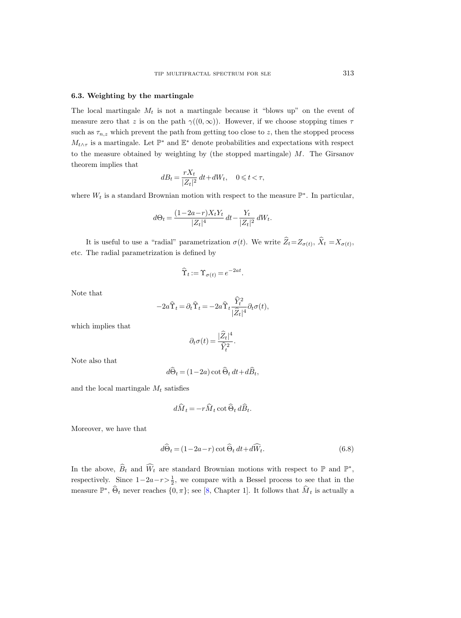# 6.3. Weighting by the martingale

The local martingale  $M_t$  is not a martingale because it "blows up" on the event of measure zero that z is on the path  $\gamma((0,\infty))$ . However, if we choose stopping times  $\tau$ such as  $\tau_{n,z}$  which prevent the path from getting too close to z, then the stopped process  $M_{t\wedge\tau}$  is a martingale. Let  $\mathbb{P}^*$  and  $\mathbb{E}^*$  denote probabilities and expectations with respect to the measure obtained by weighting by (the stopped martingale)  $M$ . The Girsanov theorem implies that

$$
dB_t = \frac{rX_t}{|Z_t|^2} dt + dW_t, \quad 0 \leq t < \tau,
$$

where  $W_t$  is a standard Brownian motion with respect to the measure  $\mathbb{P}^*$ . In particular,

$$
d\Theta_t = \frac{(1 - 2a - r)X_tY_t}{|Z_t|^4} dt - \frac{Y_t}{|Z_t|^2} dW_t.
$$

It is useful to use a "radial" parametrization  $\sigma(t)$ . We write  $Z_t = Z_{\sigma(t)}$ ,  $X_t = X_{\sigma(t)}$ , etc. The radial parametrization is defined by

$$
\widehat{\Upsilon}_t := \Upsilon_{\sigma(t)} = e^{-2at}.
$$

Note that

$$
-2a\widehat{\Upsilon}_t = \partial_t \widehat{\Upsilon}_t = -2a\widehat{\Upsilon}_t \frac{\widehat{Y}_t^2}{|\widehat{Z}_t|^4} \partial_t \sigma(t),
$$

which implies that

$$
\partial_t \sigma(t) = \frac{|\widehat{Z}_t|^4}{\widehat{Y}_t^2}.
$$

Note also that

$$
d\widehat{\Theta}_t = (1 - 2a) \cot \widehat{\Theta}_t dt + d\widehat{B}_t,
$$

and the local martingale  $M_t$  satisfies

$$
d\widehat{M}_t = -r\widehat{M}_t \cot \widehat{\Theta}_t d\widehat{B}_t.
$$

Moreover, we have that

<span id="page-48-0"></span>
$$
d\widehat{\Theta}_t = (1 - 2a - r) \cot \widehat{\Theta}_t dt + d\widehat{W}_t.
$$
\n(6.8)

In the above,  $\widehat{B}_t$  and  $\widehat{W}_t$  are standard Brownian motions with respect to P and  $\mathbb{P}^*$ , respectively. Since  $1-2a-r>\frac{1}{2}$ , we compare with a Bessel process to see that in the measure  $\mathbb{P}^*, \widehat{\Theta}_t$  never reaches  $\{0, \pi\}$ ; see [\[8,](#page-56-4) Chapter 1]. It follows that  $\widehat{M}_t$  is actually a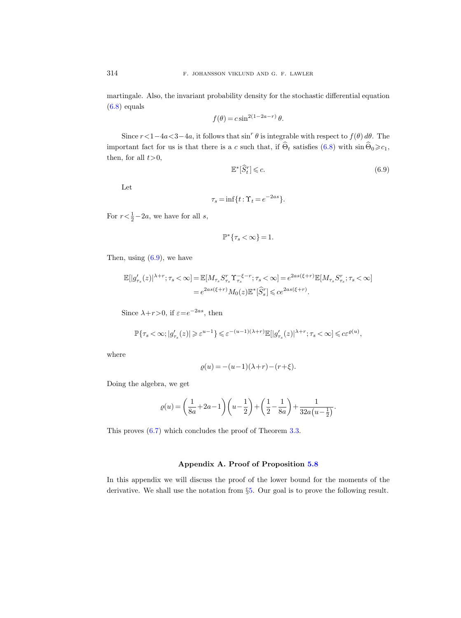martingale. Also, the invariant probability density for the stochastic differential equation  $(6.8)$  equals

$$
f(\theta) = c \sin^{2(1-2a-r)} \theta.
$$

Since  $r < 1-4a < 3-4a$ , it follows that  $\sin^r \theta$  is integrable with respect to  $f(\theta) d\theta$ . The important fact for us is that there is a c such that, if  $\widehat{\Theta}_t$  satisfies [\(6.8\)](#page-48-0) with  $\sin \widehat{\Theta}_0 \geq c_1$ , then, for all  $t>0$ ,

<span id="page-49-1"></span>
$$
\mathbb{E}^*[\hat{S}_t^r] \leqslant c. \tag{6.9}
$$

Let

$$
\tau_s = \inf\{t : \Upsilon_t = e^{-2as}\}.
$$

For  $r < \frac{1}{2} - 2a$ , we have for all s,

$$
\mathbb{P}^*\{\tau_s<\infty\}=1.
$$

Then, using  $(6.9)$ , we have

$$
\mathbb{E}[|g'_{\tau_s}(z)|^{\lambda+r}; \tau_s < \infty] = \mathbb{E}[M_{\tau_s} S_{\tau_s}^r \Upsilon_{\tau_s}^{-\xi-r}; \tau_s < \infty] = e^{2as(\xi+r)} \mathbb{E}[M_{\tau_s} S_{\tau_s}^r; \tau_s < \infty] = e^{2as(\xi+r)} M_0(z) \mathbb{E}^*[\widehat{S}_s^r] \leqslant ce^{2as(\xi+r)}.
$$

Since  $\lambda + r > 0$ , if  $\varepsilon = e^{-2as}$ , then

$$
\mathbb{P}\{\tau_s<\infty; |g_{\tau_s}'(z)| \geqslant \varepsilon^{u-1}\} \leqslant \varepsilon^{-(u-1)(\lambda+r)}\mathbb{E}[|g_{\tau_s}'(z)|^{\lambda+r}; \tau_s < \infty] \leqslant c\varepsilon^{\varrho(u)},
$$

where

$$
\varrho(u) = -(u-1)(\lambda + r) - (r + \xi).
$$

Doing the algebra, we get

$$
\varrho(u)=\bigg(\frac{1}{8a}+2a-1\bigg)\bigg(u-\frac{1}{2}\bigg)+\bigg(\frac{1}{2}-\frac{1}{8a}\bigg)+\frac{1}{32a\big(u-\frac{1}{2}\big)}.
$$

This proves [\(6.7\)](#page-47-0) which concludes the proof of Theorem [3.3.](#page-23-1)

# Appendix A. Proof of Proposition [5.8](#page-42-0)

<span id="page-49-0"></span>In this appendix we will discuss the proof of the lower bound for the moments of the derivative. We shall use the notation from §[5.](#page-36-0) Our goal is to prove the following result.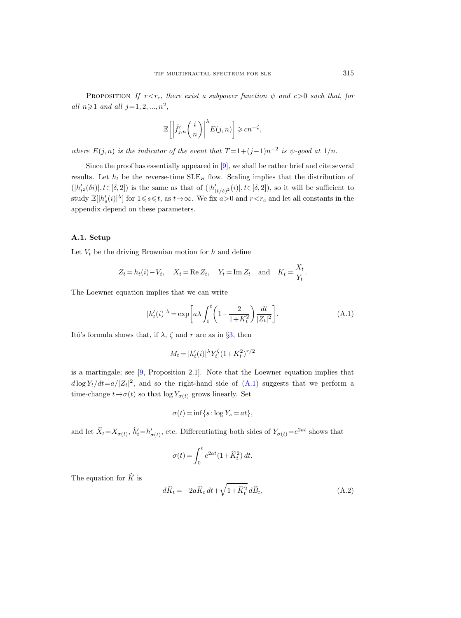PROPOSITION If  $r < r_c$ , there exist a subpower function  $\psi$  and  $c > 0$  such that, for all  $n \ge 1$  and all  $j = 1, 2, ..., n^2$ ,

$$
\mathbb{E}\bigg[\bigg|\hat{f}'_{j,n}\bigg(\frac{i}{n}\bigg)\bigg|^{\lambda}E(j,n)\bigg]\geqslant cn^{-\zeta},
$$

where  $E(j, n)$  is the indicator of the event that  $T = 1 + (j-1)n^{-2}$  is  $\psi$ -good at  $1/n$ .

Since the proof has essentially appeared in [\[9\]](#page-56-18), we shall be rather brief and cite several results. Let  $h_t$  be the reverse-time  $SLE_{\varkappa}$  flow. Scaling implies that the distribution of  $(|h'_{t^2}(\delta i)|, t \in [\delta, 2])$  is the same as that of  $(|h'_{(t/\delta)^2}(i)|, t \in [\delta, 2])$ , so it will be sufficient to study  $\mathbb{E}[|h'_s(i)|^{\lambda}]$  for  $1 \le s \le t$ , as  $t \to \infty$ . We fix  $a > 0$  and  $r < r_c$  and let all constants in the appendix depend on these parameters.

# A.1. Setup

Let  $V_t$  be the driving Brownian motion for h and define

$$
Z_t = h_t(i) - V_t, \quad X_t = \text{Re } Z_t, \quad Y_t = \text{Im } Z_t \quad \text{and} \quad K_t = \frac{X_t}{Y_t}.
$$

The Loewner equation implies that we can write

<span id="page-50-0"></span>
$$
|h'_t(i)|^{\lambda} = \exp\left[a\lambda \int_0^t \left(1 - \frac{2}{1 + K_t^2}\right) \frac{dt}{|Z_t|^2}\right].
$$
 (A.1)

Itô's formula shows that, if  $\lambda$ ,  $\zeta$  and  $r$  are as in §[3,](#page-20-0) then

$$
M_t = |h'_t(i)|^{\lambda} Y_t^{\zeta} (1 + K_t^2)^{r/2}
$$

is a martingale; see [\[9,](#page-56-18) Proposition 2.1]. Note that the Loewner equation implies that  $d \log Y_t/dt = a/|Z_t|^2$ , and so the right-hand side of  $(A.1)$  suggests that we perform a time-change  $t \mapsto \sigma(t)$  so that log  $Y_{\sigma(t)}$  grows linearly. Set

$$
\sigma(t) = \inf\{s : \log Y_s = at\},\
$$

and let  $\hat{X}_t = X_{\sigma(t)}$ ,  $\hat{h}'_t = h'_{\sigma(t)}$ , etc. Differentiating both sides of  $Y_{\sigma(t)} = e^{2at}$  shows that

$$
\sigma(t) = \int_0^t e^{2at} (1 + \widehat{K}_t^2) dt.
$$

The equation for  $\widehat{K}$  is

<span id="page-50-1"></span>
$$
d\widehat{K}_t = -2a\widehat{K}_t dt + \sqrt{1 + \widehat{K}_t^2} d\widehat{B}_t, \tag{A.2}
$$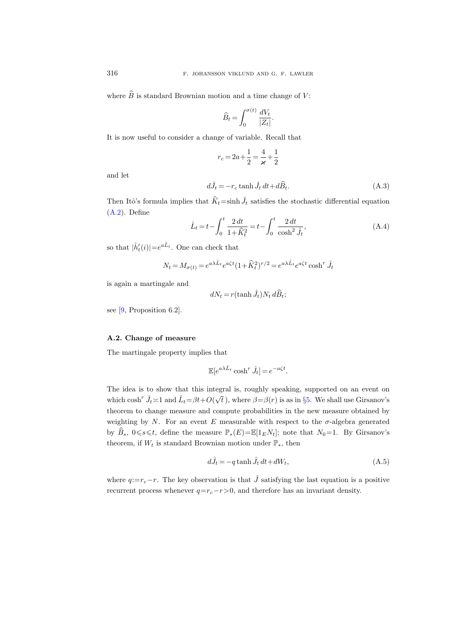where  $\widehat{B}$  is standard Brownian motion and a time change of V:

$$
\widehat{B}_t = \int_0^{\sigma(t)} \frac{dV_t}{|Z_t|}.
$$

It is now useful to consider a change of variable. Recall that

$$
r_c = 2a + \frac{1}{2} = \frac{4}{\varkappa} + \frac{1}{2}
$$

and let

$$
d\hat{J}_t = -r_c \tanh \hat{J}_t dt + d\hat{B}_t.
$$
 (A.3)

Then Itô's formula implies that  $\hat{K}_t$ =sinh  $\hat{J}_t$  satisfies the stochastic differential equation [\(A.2\)](#page-50-1). Define

<span id="page-51-1"></span>
$$
\hat{L}_t = t - \int_0^t \frac{2 dt}{1 + \hat{K}_t^2} = t - \int_0^t \frac{2 dt}{\cosh^2 \hat{J}_t},
$$
\n(A.4)

so that  $|\hat{h}'_t(i)| = e^{a\hat{L}_t}$ . One can check that

$$
N_t = M_{\sigma(t)} = e^{a\lambda \hat{L}_t} e^{a\zeta t} (1 + \hat{K}_t^2)^{r/2} = e^{a\lambda \hat{L}_t} e^{a\zeta t} \cosh^r \hat{J}_t
$$

is again a martingale and

$$
dN_t = r(\tanh \hat{J}_t)N_t \, d\hat{B}_t;
$$

see [\[9,](#page-56-18) Proposition 6.2].

# A.2. Change of measure

The martingale property implies that

$$
\mathbb{E}[e^{a\lambda \hat{L}_t} \cosh^r \hat{J}_t] = e^{-a\zeta t}.
$$

The idea is to show that this integral is, roughly speaking, supported on an event on which  $\cosh^r \hat{J}_t \asymp 1$  and  $\hat{L}_t = \beta t + O(r)$ √ t), where  $\beta = \beta(r)$  is as in §[5.](#page-36-0) We shall use Girsanov's theorem to change measure and compute probabilities in the new measure obtained by weighting by N. For an event E measurable with respect to the  $\sigma$ -algebra generated by  $\widehat{B}_s$ ,  $0 \le s \le t$ , define the measure  $\mathbb{P}_*(E)=\mathbb{E}[1_EN_t]$ ; note that  $N_0=1$ . By Girsanov's theorem, if  $W_t$  is standard Brownian motion under  $\mathbb{P}_*$ , then

<span id="page-51-0"></span>
$$
d\hat{J}_t = -q \tanh \hat{J}_t dt + dW_t,
$$
\n(A.5)

<span id="page-51-2"></span>where  $q:=r_c-r$ . The key observation is that  $\hat{J}$  satisfying the last equation is a positive recurrent process whenever  $q=r_c-r>0$ , and therefore has an invariant density.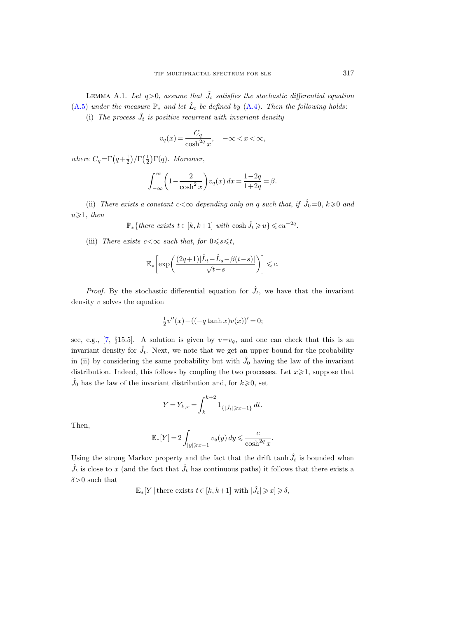LEMMA A.1. Let  $q>0$ , assume that  $\hat{J}_t$  satisfies the stochastic differential equation [\(A.5\)](#page-51-0) under the measure  $\mathbb{P}_{*}$  and let  $\hat{L}_{t}$  be defined by [\(A.4\)](#page-51-1). Then the following holds:

(i) The process  $\hat{J}_t$  is positive recurrent with invariant density

$$
v_q(x) = \frac{C_q}{\cosh^{2q} x}, \quad -\infty < x < \infty,
$$

where  $C_q = \Gamma\left(q + \frac{1}{2}\right)/\Gamma\left(\frac{1}{2}\right)\Gamma(q)$ . Moreover,

$$
\int_{-\infty}^{\infty} \left(1 - \frac{2}{\cosh^2 x}\right) v_q(x) dx = \frac{1 - 2q}{1 + 2q} = \beta.
$$

(ii) There exists a constant  $c < \infty$  depending only on q such that, if  $\hat{J}_0 = 0, k \geq 0$  and  $u \geqslant 1$ , then

$$
\mathbb{P}_{*} \{ there exists t \in [k, k+1] with \cosh \hat{J}_t \geqslant u \} \leqslant cu^{-2q}.
$$

(iii) There exists  $c < \infty$  such that, for  $0 \le s \le t$ ,

$$
\mathbb{E}_*\bigg[\exp\bigg(\frac{(2q+1)|\hat{L}_t-\hat{L}_s-\beta(t-s)|}{\sqrt{t-s}}\bigg)\bigg]\leqslant c.
$$

*Proof.* By the stochastic differential equation for  $\hat{J}_t$ , we have that the invariant density  $v$  solves the equation

$$
\frac{1}{2}v''(x) - ((-q \tanh x)v(x))' = 0;
$$

see, e.g., [\[7,](#page-56-22) §15.5]. A solution is given by  $v=v_q$ , and one can check that this is an invariant density for  $\hat{J}_t$ . Next, we note that we get an upper bound for the probability in (ii) by considering the same probability but with  $\hat{J}_0$  having the law of the invariant distribution. Indeed, this follows by coupling the two processes. Let  $x \geq 1$ , suppose that  $\hat{J}_0$  has the law of the invariant distribution and, for  $k\geqslant 0$ , set

$$
Y = Y_{k,x} = \int_{k}^{k+2} 1_{\{|\hat{J}_t| \ge x-1\}} dt.
$$

Then,

$$
\mathbb{E}_*[Y] = 2 \int_{|y| \geqslant x-1} v_q(y) \, dy \leqslant \frac{c}{\cosh^{2q} x}.
$$

Using the strong Markov property and the fact that the drift tanh  $\hat{J}_t$  is bounded when  $\hat{J}_t$  is close to x (and the fact that  $\hat{J}_t$  has continuous paths) it follows that there exists a  $\delta$ >0 such that

$$
\mathbb{E}_*[Y \mid \text{there exists } t \in [k, k+1] \text{ with } |\hat{J}_t| \geqslant x] \geqslant \delta,
$$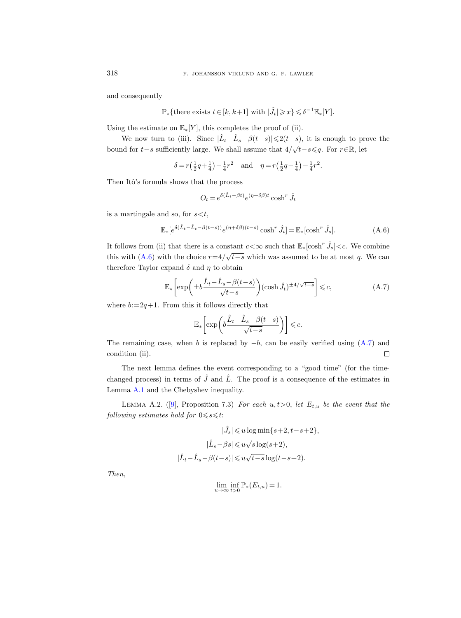and consequently

$$
\mathbb{P}_{*} \{ \text{there exists } t \in [k, k+1] \text{ with } |\hat{J}_t| \geqslant x \} \leqslant \delta^{-1} \mathbb{E}_{*} [Y].
$$

Using the estimate on  $\mathbb{E}_*[Y]$ , this completes the proof of (ii).

We now turn to (iii). Since  $|\hat{L}_t - \hat{L}_s - \beta(t-s)| \leq 2(t-s)$ , it is enough to prove the bound for  $t-s$  sufficiently large. We shall assume that  $4/\sqrt{t-s} \leq q$ . For  $r \in \mathbb{R}$ , let

$$
\delta = r\left(\frac{1}{2}q + \frac{1}{4}\right) - \frac{1}{4}r^2 \quad \text{and} \quad \eta = r\left(\frac{1}{2}q - \frac{1}{4}\right) - \frac{1}{4}r^2.
$$

Then Itô's formula shows that the process

$$
O_t = e^{\delta(\hat{L}_t - \beta t)} e^{(\eta + \delta \beta)t} \cosh^r \hat{J}_t
$$

is a martingale and so, for  $s < t$ ,

<span id="page-53-0"></span>
$$
\mathbb{E}_*[e^{\delta(\hat{L}_t - \hat{L}_t - \beta(t-s))}e^{(\eta + \delta\beta)(t-s)}\cosh^r \hat{J}_t] = \mathbb{E}_*[\cosh^r \hat{J}_s].
$$
\n(A.6)

It follows from (ii) that there is a constant  $c < \infty$  such that  $\mathbb{E}_*$  [cosh<sup>r</sup>  $\hat{J}_s$ ]  $< c$ . We combine this with [\(A.6\)](#page-53-0) with the choice  $r=4/\sqrt{t-s}$  which was assumed to be at most q. We can therefore Taylor expand  $\delta$  and  $\eta$  to obtain

<span id="page-53-1"></span>
$$
\mathbb{E}_{*}\left[\exp\left(\pm b\frac{\hat{L}_{t}-\hat{L}_{s}-\beta(t-s)}{\sqrt{t-s}}\right)(\cosh\hat{J}_{t})^{\pm 4/\sqrt{t-s}}\right] \leq c,\tag{A.7}
$$

where  $b:=2q+1$ . From this it follows directly that

$$
\mathbb{E}_\ast\biggl[\exp\biggl(b\frac{\hat L_t\!-\!\hat L_s\!-\!\beta(t\!-\!s)}{\sqrt{t\!-\!s}}\biggr)\biggr]\leqslant c.
$$

The remaining case, when b is replaced by  $-b$ , can be easily verified using  $(A.7)$  and condition (ii).  $\Box$ 

The next lemma defines the event corresponding to a "good time" (for the timechanged process) in terms of  $\hat{J}$  and  $\hat{L}$ . The proof is a consequence of the estimates in Lemma [A.1](#page-51-2) and the Chebyshev inequality.

<span id="page-53-2"></span>LEMMAA.2. ([\[9\]](#page-56-18), Proposition 7.3) For each  $u, t > 0$ , let  $E_{t,u}$  be the event that the following estimates hold for  $0 \leq s \leq t$ :

$$
|\hat{J}_s| \leqslant u \log \min\{s+2, t-s+2\},
$$
  

$$
|\hat{L}_s - \beta s| \leqslant u\sqrt{s} \log(s+2),
$$
  

$$
|\hat{L}_t - \hat{L}_s - \beta(t-s)| \leqslant u\sqrt{t-s} \log(t-s+2).
$$

Then,

$$
\lim_{u \to \infty} \inf_{t > 0} \mathbb{P}_*(E_{t,u}) = 1.
$$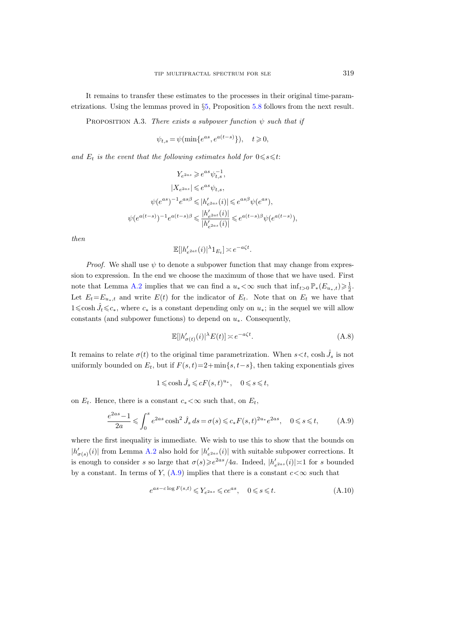It remains to transfer these estimates to the processes in their original time-parametrizations. Using the lemmas proved in §[5,](#page-36-0) Proposition [5.8](#page-42-0) follows from the next result.

PROPOSITION A.3. There exists a subpower function  $\psi$  such that if

$$
\psi_{t,s} = \psi(\min\{e^{as}, e^{a(t-s)}\}), \quad t \geqslant 0,
$$

and  $E_t$  is the event that the following estimates hold for  $0 \le s \le t$ :

$$
Y_{e^{2as}} \geqslant e^{as}\psi_{t,s}^{-1},
$$
  
\n
$$
|X_{e^{2as}}| \leqslant e^{as}\psi_{t,s},
$$
  
\n
$$
\psi(e^{as})^{-1}e^{as\beta} \leqslant |h'_{e^{2as}}(i)| \leqslant e^{as\beta}\psi(e^{as}),
$$
  
\n
$$
\psi(e^{a(t-s)})^{-1}e^{a(t-s)\beta} \leqslant \frac{|h'_{e^{2at}}(i)|}{|h'_{e^{2as}}(i)|} \leqslant e^{a(t-s)\beta}\psi(e^{a(t-s)}),
$$

then

$$
\mathbb{E}[|h'_{e^{2at}}(i)|^{\lambda}1_{E_t}] \asymp e^{-a\zeta t}.
$$

*Proof.* We shall use  $\psi$  to denote a subpower function that may change from expression to expression. In the end we choose the maximum of those that we have used. First note that Lemma [A.2](#page-53-2) implies that we can find a  $u_* < \infty$  such that  $\inf_{t>0} \mathbb{P}_*(E_{u_*,t}) \geq \frac{1}{2}$ . Let  $E_t=E_{u_*,t}$  and write  $E(t)$  for the indicator of  $E_t$ . Note that on  $E_t$  we have that 1≤cosh  $\hat{J}_t$  ≤c<sub>\*</sub>, where  $c_*$  is a constant depending only on  $u_*$ ; in the sequel we will allow constants (and subpower functions) to depend on  $u_*$ . Consequently,

<span id="page-54-2"></span>
$$
\mathbb{E}[|h'_{\sigma(t)}(i)|^{\lambda}E(t)] \asymp e^{-a\zeta t}.\tag{A.8}
$$

It remains to relate  $\sigma(t)$  to the original time parametrization. When  $s < t$ , cosh  $\hat{J}_s$  is not uniformly bounded on  $E_t$ , but if  $F(s, t) = 2 + \min\{s, t-s\}$ , then taking exponentials gives

$$
1 \leqslant \cosh \hat{J}_s \leqslant cF(s,t)^{u_*}, \quad 0 \leqslant s \leqslant t,
$$

on  $E_t$ . Hence, there is a constant  $c_* < \infty$  such that, on  $E_t$ ,

<span id="page-54-0"></span>
$$
\frac{e^{2as} - 1}{2a} \leq \int_0^s e^{2as} \cosh^2 \hat{J}_s \, ds = \sigma(s) \leq c_* F(s, t)^{2u_*} e^{2as}, \quad 0 \leq s \leq t,
$$
 (A.9)

where the first inequality is immediate. We wish to use this to show that the bounds on  $|h'_{\sigma(s)}(i)|$  from Lemma [A.2](#page-53-2) also hold for  $|h'_{e^{2as}}(i)|$  with suitable subpower corrections. It is enough to consider s so large that  $\sigma(s) \geq e^{2as}/4a$ . Indeed,  $|h'_{e^{2as}}(i)| \asymp 1$  for s bounded by a constant. In terms of Y,  $(A.9)$  implies that there is a constant  $c < \infty$  such that

<span id="page-54-1"></span>
$$
e^{as-c\log F(s,t)} \leqslant Y_{e^{2as}} \leqslant ce^{as}, \quad 0 \leqslant s \leqslant t. \tag{A.10}
$$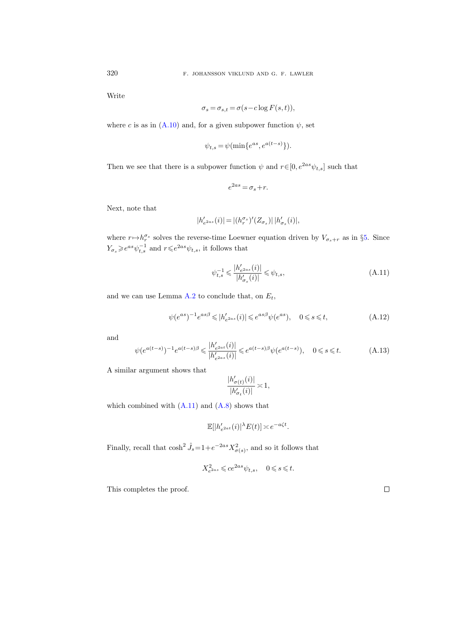Write

$$
\sigma_s = \sigma_{s,t} = \sigma(s - c \log F(s, t)),
$$

where c is as in [\(A.10\)](#page-54-1) and, for a given subpower function  $\psi$ , set

$$
\psi_{t,s} = \psi(\min\{e^{as}, e^{a(t-s)}\}).
$$

Then we see that there is a subpower function  $\psi$  and  $r\!\in\![0,e^{2as}\psi_{t,s}]$  such that

$$
e^{2as} = \sigma_s + r.
$$

Next, note that

$$
|h'_{e^{2as}}(i)|\,{=}\,|(h^{\sigma_s}_r)'(Z_{\sigma_s})|\,|h'_{\sigma_s}(i)|,
$$

where  $r \mapsto h_r^{\sigma_s}$  solves the reverse-time Loewner equation driven by  $V_{\sigma_s+r}$  as in §[5.](#page-36-0) Since  $Y_{\sigma_s} \geqslant e^{as} \psi_{t,s}^{-1}$  and  $r \leqslant e^{2as} \psi_{t,s}$ , it follows that

<span id="page-55-0"></span>
$$
\psi_{t,s}^{-1} \leqslant \frac{|h'_{e^{2as}}(i)|}{|h'_{\sigma_s}(i)|} \leqslant \psi_{t,s},\tag{A.11}
$$

and we can use Lemma [A.2](#page-53-2) to conclude that, on  $E_t$ ,

$$
\psi(e^{as})^{-1}e^{as\beta} \leqslant |h'_{e^{2as}}(i)| \leqslant e^{as\beta}\psi(e^{as}), \quad 0 \leqslant s \leqslant t,
$$
\n(A.12)

and

$$
\psi(e^{a(t-s)})^{-1}e^{a(t-s)\beta} \leq \frac{|h'_{e^{2at}}(i)|}{|h'_{e^{2as}}(i)|} \leq e^{a(t-s)\beta}\psi(e^{a(t-s)}), \quad 0 \leq s \leq t. \tag{A.13}
$$

A similar argument shows that

$$
\frac{|h_{\sigma(t)}'(i)|}{|h_{\sigma_t}'(i)|}\asymp 1,
$$

which combined with  $(A.11)$  and  $(A.8)$  shows that

$$
\mathbb{E}[|h'_{e^{2at}}(i)|^{\lambda}E(t)] \asymp e^{-a\zeta t}.
$$

Finally, recall that  $\cosh^2 \hat{J}_s = 1 + e^{-2as} X_{\sigma(s)}^2$ , and so it follows that

$$
X_{e^{2as}}^2\leqslant ce^{2as}\psi_{t,s},\quad 0\leqslant s\leqslant t.
$$

This completes the proof.

 $\Box$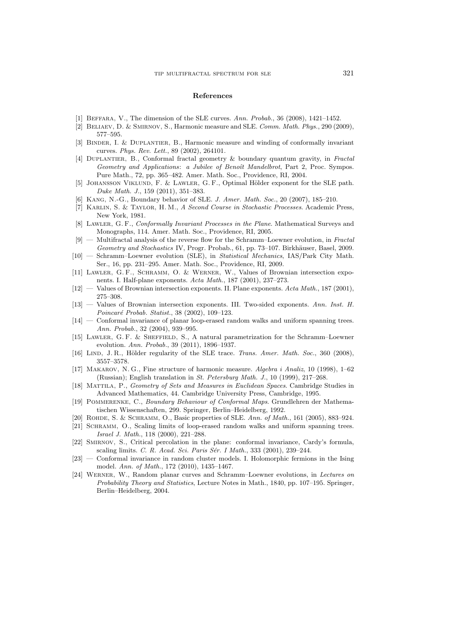#### References

- <span id="page-56-8"></span>[1] Beffara, V., The dimension of the SLE curves. Ann. Probab., 36 (2008), 1421–1452.
- <span id="page-56-15"></span>[2] Beliaev, D. & Smirnov, S., Harmonic measure and SLE. Comm. Math. Phys., 290 (2009), 577–595.
- <span id="page-56-14"></span>[3] Binder, I. & Duplantier, B., Harmonic measure and winding of conformally invariant curves. Phys. Rev. Lett., 89 (2002), 264101.
- <span id="page-56-13"></span>[4] Duplantier, B., Conformal fractal geometry & boundary quantum gravity, in Fractal Geometry and Applications: a Jubilee of Benoît Mandelbrot, Part 2, Proc. Sympos. Pure Math., 72, pp. 365–482. Amer. Math. Soc., Providence, RI, 2004.
- <span id="page-56-10"></span>[5] JOHANSSON VIKLUND, F. & LAWLER, G. F., Optimal Hölder exponent for the SLE path. Duke Math. J., 159 (2011), 351–383.
- <span id="page-56-17"></span>[6] Kang, N.-G., Boundary behavior of SLE. J. Amer. Math. Soc., 20 (2007), 185–210.
- <span id="page-56-22"></span>[7] Karlin, S. & Taylor, H. M., A Second Course in Stochastic Processes. Academic Press, New York, 1981.
- <span id="page-56-4"></span>[8] Lawler, G. F., Conformally Invariant Processes in the Plane. Mathematical Surveys and Monographs, 114. Amer. Math. Soc., Providence, RI, 2005.
- <span id="page-56-18"></span> $[9]$  — Multifractal analysis of the reverse flow for the Schramm–Loewner evolution, in Fractal Geometry and Stochastics IV, Progr. Probab., 61, pp. 73-107. Birkhäuser, Basel, 2009.
- <span id="page-56-5"></span>[10] — Schramm–Loewner evolution (SLE), in Statistical Mechanics, IAS/Park City Math. Ser., 16, pp. 231–295. Amer. Math. Soc., Providence, RI, 2009.
- <span id="page-56-11"></span>[11] Lawler, G. F., Schramm, O. & Werner, W., Values of Brownian intersection exponents. I. Half-plane exponents. Acta Math., 187 (2001), 237–273.
- $[12]$  Values of Brownian intersection exponents. II. Plane exponents. Acta Math., 187 (2001), 275–308.
- <span id="page-56-12"></span>[13] — Values of Brownian intersection exponents. III. Two-sided exponents. Ann. Inst. H. Poincaré Probab. Statist., 38 (2002), 109-123.
- <span id="page-56-1"></span>[14] — Conformal invariance of planar loop-erased random walks and uniform spanning trees. Ann. Probab., 32 (2004), 939–995.
- <span id="page-56-19"></span>[15] Lawler, G. F. & Sheffield, S., A natural parametrization for the Schramm–Loewner evolution. Ann. Probab., 39 (2011), 1896–1937.
- <span id="page-56-9"></span>[16] LIND, J. R., Hölder regularity of the SLE trace. Trans. Amer. Math. Soc., 360 (2008), 3557–3578.
- <span id="page-56-16"></span>[17] Makarov, N. G., Fine structure of harmonic measure. Algebra i Analiz, 10 (1998), 1–62 (Russian); English translation in St. Petersburg Math. J., 10 (1999), 217–268.
- <span id="page-56-21"></span>[18] Mattila, P., Geometry of Sets and Measures in Euclidean Spaces. Cambridge Studies in Advanced Mathematics, 44. Cambridge University Press, Cambridge, 1995.
- <span id="page-56-20"></span>[19] Pommerenke, C., Boundary Behaviour of Conformal Maps. Grundlehren der Mathematischen Wissenschaften, 299. Springer, Berlin–Heidelberg, 1992.
- <span id="page-56-7"></span>[20] ROHDE, S. & SCHRAMM, O., Basic properties of SLE. Ann. of Math., 161 (2005), 883-924.
- <span id="page-56-0"></span>[21] SCHRAMM, O., Scaling limits of loop-erased random walks and uniform spanning trees. Israel J. Math., 118 (2000), 221–288.
- <span id="page-56-2"></span>[22] Smirnov, S., Critical percolation in the plane: conformal invariance, Cardy's formula, scaling limits. C. R. Acad. Sci. Paris Sér. I Math., 333 (2001), 239-244.
- <span id="page-56-3"></span>[23] — Conformal invariance in random cluster models. I. Holomorphic fermions in the Ising model. Ann. of Math., 172 (2010), 1435–1467.
- <span id="page-56-6"></span>[24] Werner, W., Random planar curves and Schramm–Loewner evolutions, in Lectures on Probability Theory and Statistics, Lecture Notes in Math., 1840, pp. 107–195. Springer, Berlin–Heidelberg, 2004.